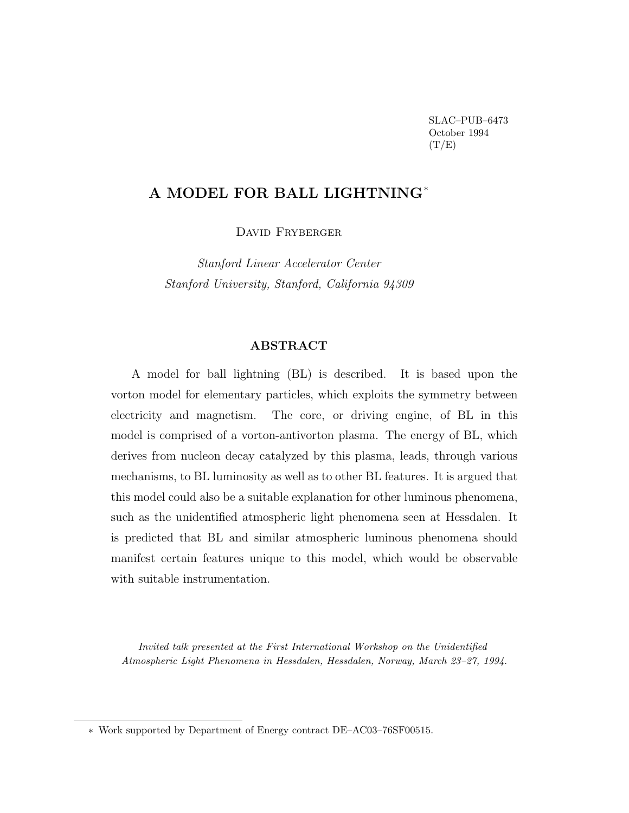SLAC–PUB–6473 October 1994  $(T/E)$ 

# **A MODEL FOR BALL LIGHTNING**<sup>∗</sup>

DAVID FRYBERGER

Stanford Linear Accelerator Center Stanford University, Stanford, California 94309

# **ABSTRACT**

A model for ball lightning (BL) is described. It is based upon the vorton model for elementary particles, which exploits the symmetry between electricity and magnetism. The core, or driving engine, of BL in this model is comprised of a vorton-antivorton plasma. The energy of BL, which derives from nucleon decay catalyzed by this plasma, leads, through various mechanisms, to BL luminosity as well as to other BL features. It is argued that this model could also be a suitable explanation for other luminous phenomena, such as the unidentified atmospheric light phenomena seen at Hessdalen. It is predicted that BL and similar atmospheric luminous phenomena should manifest certain features unique to this model, which would be observable with suitable instrumentation.

Invited talk presented at the First International Workshop on the Unidentified Atmospheric Light Phenomena in Hessdalen, Hessdalen, Norway, March 23–27, 1994.

<sup>∗</sup> Work supported by Department of Energy contract DE–AC03–76SF00515.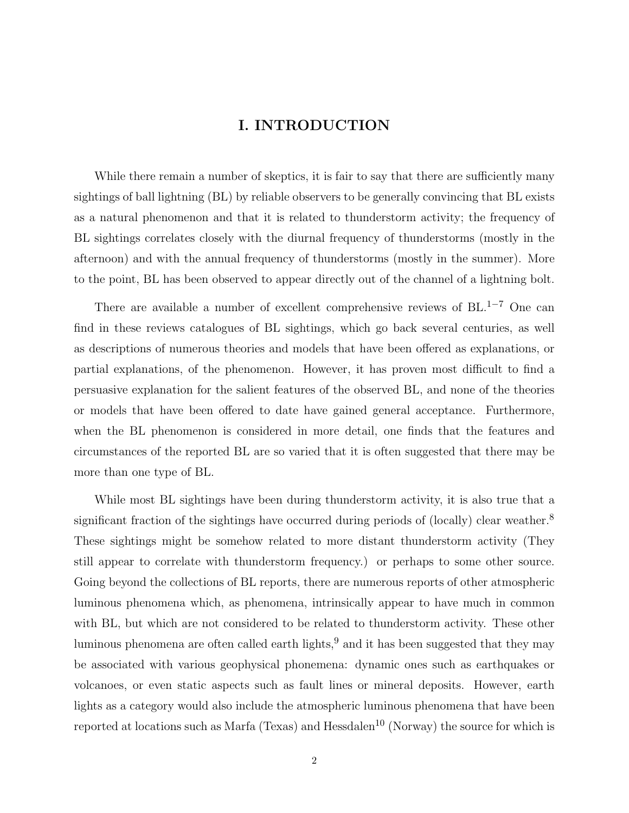# **I. INTRODUCTION**

While there remain a number of skeptics, it is fair to say that there are sufficiently many sightings of ball lightning (BL) by reliable observers to be generally convincing that BL exists as a natural phenomenon and that it is related to thunderstorm activity; the frequency of BL sightings correlates closely with the diurnal frequency of thunderstorms (mostly in the afternoon) and with the annual frequency of thunderstorms (mostly in the summer). More to the point, BL has been observed to appear directly out of the channel of a lightning bolt.

There are available a number of excellent comprehensive reviews of  $BL^{-1-7}$  One can find in these reviews catalogues of BL sightings, which go back several centuries, as well as descriptions of numerous theories and models that have been offered as explanations, or partial explanations, of the phenomenon. However, it has proven most difficult to find a persuasive explanation for the salient features of the observed BL, and none of the theories or models that have been offered to date have gained general acceptance. Furthermore, when the BL phenomenon is considered in more detail, one finds that the features and circumstances of the reported BL are so varied that it is often suggested that there may be more than one type of BL.

While most BL sightings have been during thunderstorm activity, it is also true that a significant fraction of the sightings have occurred during periods of (locally) clear weather.<sup>8</sup> These sightings might be somehow related to more distant thunderstorm activity (They still appear to correlate with thunderstorm frequency.) or perhaps to some other source. Going beyond the collections of BL reports, there are numerous reports of other atmospheric luminous phenomena which, as phenomena, intrinsically appear to have much in common with BL, but which are not considered to be related to thunderstorm activity. These other luminous phenomena are often called earth lights,  $9$  and it has been suggested that they may be associated with various geophysical phonemena: dynamic ones such as earthquakes or volcanoes, or even static aspects such as fault lines or mineral deposits. However, earth lights as a category would also include the atmospheric luminous phenomena that have been reported at locations such as Marfa (Texas) and Hessdalen<sup>10</sup> (Norway) the source for which is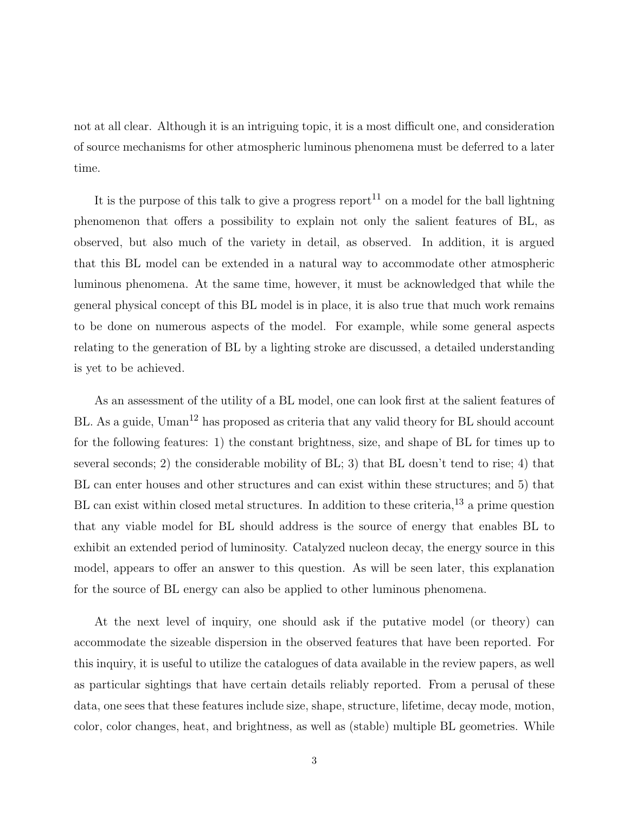not at all clear. Although it is an intriguing topic, it is a most difficult one, and consideration of source mechanisms for other atmospheric luminous phenomena must be deferred to a later time.

It is the purpose of this talk to give a progress report<sup>11</sup> on a model for the ball lightning phenomenon that offers a possibility to explain not only the salient features of BL, as observed, but also much of the variety in detail, as observed. In addition, it is argued that this BL model can be extended in a natural way to accommodate other atmospheric luminous phenomena. At the same time, however, it must be acknowledged that while the general physical concept of this BL model is in place, it is also true that much work remains to be done on numerous aspects of the model. For example, while some general aspects relating to the generation of BL by a lighting stroke are discussed, a detailed understanding is yet to be achieved.

As an assessment of the utility of a BL model, one can look first at the salient features of BL. As a guide, Uman<sup>12</sup> has proposed as criteria that any valid theory for BL should account for the following features: 1) the constant brightness, size, and shape of BL for times up to several seconds; 2) the considerable mobility of BL; 3) that BL doesn't tend to rise; 4) that BL can enter houses and other structures and can exist within these structures; and 5) that BL can exist within closed metal structures. In addition to these criteria,<sup>13</sup> a prime question that any viable model for BL should address is the source of energy that enables BL to exhibit an extended period of luminosity. Catalyzed nucleon decay, the energy source in this model, appears to offer an answer to this question. As will be seen later, this explanation for the source of BL energy can also be applied to other luminous phenomena.

At the next level of inquiry, one should ask if the putative model (or theory) can accommodate the sizeable dispersion in the observed features that have been reported. For this inquiry, it is useful to utilize the catalogues of data available in the review papers, as well as particular sightings that have certain details reliably reported. From a perusal of these data, one sees that these features include size, shape, structure, lifetime, decay mode, motion, color, color changes, heat, and brightness, as well as (stable) multiple BL geometries. While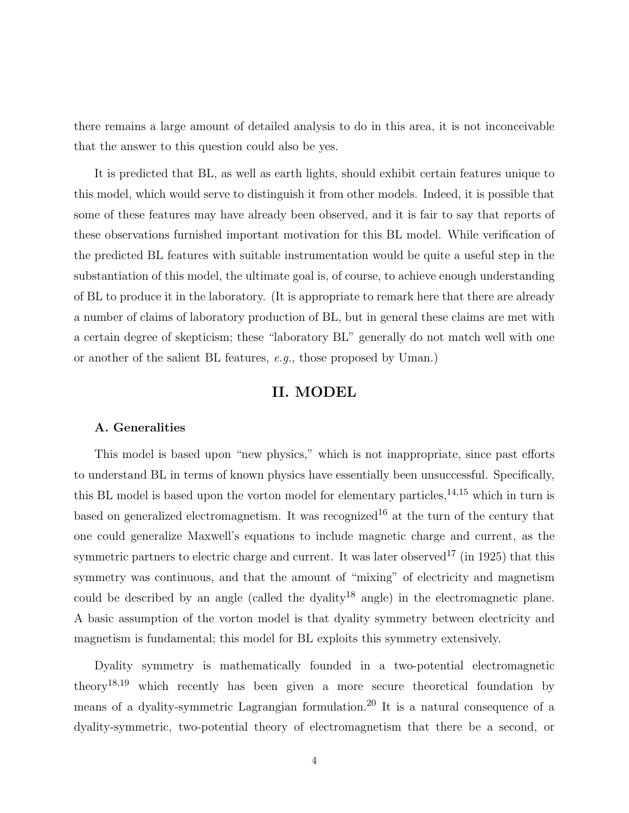there remains a large amount of detailed analysis to do in this area, it is not inconceivable that the answer to this question could also be yes.

It is predicted that BL, as well as earth lights, should exhibit certain features unique to this model, which would serve to distinguish it from other models. Indeed, it is possible that some of these features may have already been observed, and it is fair to say that reports of these observations furnished important motivation for this BL model. While verification of the predicted BL features with suitable instrumentation would be quite a useful step in the substantiation of this model, the ultimate goal is, of course, to achieve enough understanding of BL to produce it in the laboratory. (It is appropriate to remark here that there are already a number of claims of laboratory production of BL, but in general these claims are met with a certain degree of skepticism; these "laboratory BL" generally do not match well with one or another of the salient BL features, e.g., those proposed by Uman.)

# **II. MODEL**

#### **A. Generalities**

This model is based upon "new physics," which is not inappropriate, since past efforts to understand BL in terms of known physics have essentially been unsuccessful. Specifically, this BL model is based upon the vorton model for elementary particles,  $14,15$  which in turn is based on generalized electromagnetism. It was recognized<sup>16</sup> at the turn of the century that one could generalize Maxwell's equations to include magnetic charge and current, as the symmetric partners to electric charge and current. It was later observed<sup>17</sup> (in 1925) that this symmetry was continuous, and that the amount of "mixing" of electricity and magnetism could be described by an angle (called the dyality<sup>18</sup> angle) in the electromagnetic plane. A basic assumption of the vorton model is that dyality symmetry between electricity and magnetism is fundamental; this model for BL exploits this symmetry extensively.

Dyality symmetry is mathematically founded in a two-potential electromagnetic theory18,<sup>19</sup> which recently has been given a more secure theoretical foundation by means of a dyality-symmetric Lagrangian formulation.<sup>20</sup> It is a natural consequence of a dyality-symmetric, two-potential theory of electromagnetism that there be a second, or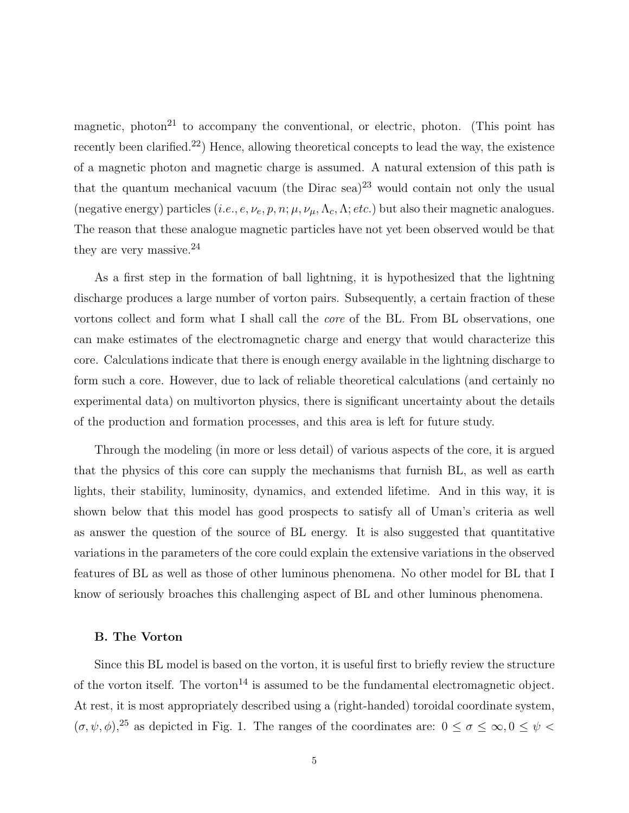magnetic, photon<sup>21</sup> to accompany the conventional, or electric, photon. (This point has recently been clarified.<sup>22</sup>) Hence, allowing theoretical concepts to lead the way, the existence of a magnetic photon and magnetic charge is assumed. A natural extension of this path is that the quantum mechanical vacuum (the Dirac sea)<sup>23</sup> would contain not only the usual (negative energy) particles (*i.e., e, v<sub>e</sub>, p, n*;  $\mu$ ,  $\nu_{\mu}$ ,  $\Lambda_c$ ,  $\Lambda$ ; *etc.*) but also their magnetic analogues. The reason that these analogue magnetic particles have not yet been observed would be that they are very massive.<sup>24</sup>

As a first step in the formation of ball lightning, it is hypothesized that the lightning discharge produces a large number of vorton pairs. Subsequently, a certain fraction of these vortons collect and form what I shall call the core of the BL. From BL observations, one can make estimates of the electromagnetic charge and energy that would characterize this core. Calculations indicate that there is enough energy available in the lightning discharge to form such a core. However, due to lack of reliable theoretical calculations (and certainly no experimental data) on multivorton physics, there is significant uncertainty about the details of the production and formation processes, and this area is left for future study.

Through the modeling (in more or less detail) of various aspects of the core, it is argued that the physics of this core can supply the mechanisms that furnish BL, as well as earth lights, their stability, luminosity, dynamics, and extended lifetime. And in this way, it is shown below that this model has good prospects to satisfy all of Uman's criteria as well as answer the question of the source of BL energy. It is also suggested that quantitative variations in the parameters of the core could explain the extensive variations in the observed features of BL as well as those of other luminous phenomena. No other model for BL that I know of seriously broaches this challenging aspect of BL and other luminous phenomena.

#### **B. The Vorton**

Since this BL model is based on the vorton, it is useful first to briefly review the structure of the vorton itself. The vorton<sup>14</sup> is assumed to be the fundamental electromagnetic object. At rest, it is most appropriately described using a (right-handed) toroidal coordinate system,  $(\sigma, \psi, \phi)$ <sup>25</sup> as depicted in Fig. 1. The ranges of the coordinates are:  $0 \le \sigma \le \infty$ ,  $0 \le \psi$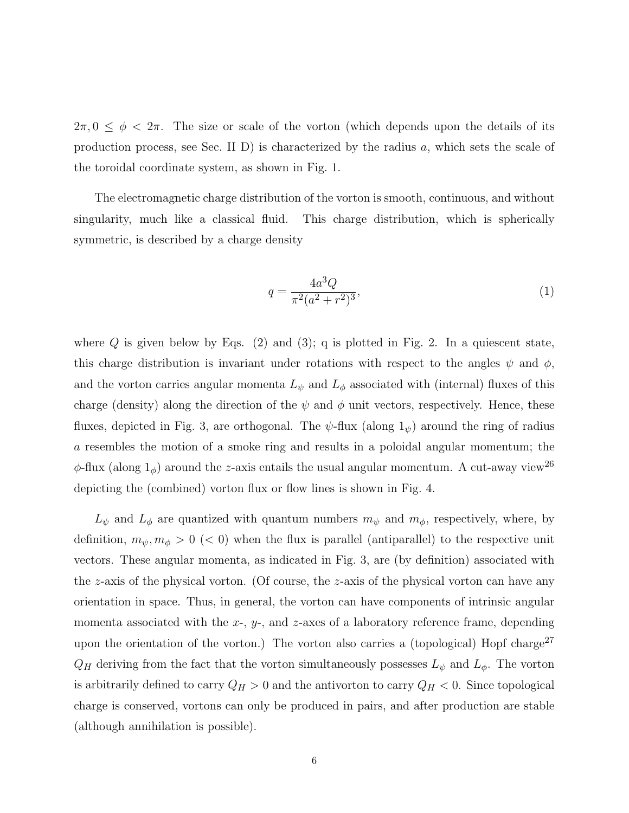$2\pi$ ,  $0 \leq \phi < 2\pi$ . The size or scale of the vorton (which depends upon the details of its production process, see Sec. II D) is characterized by the radius *a*, which sets the scale of the toroidal coordinate system, as shown in Fig. 1.

The electromagnetic charge distribution of the vorton is smooth, continuous, and without singularity, much like a classical fluid. This charge distribution, which is spherically symmetric, is described by a charge density

$$
q = \frac{4a^3Q}{\pi^2(a^2+r^2)^3},\tag{1}
$$

where  $Q$  is given below by Eqs.  $(2)$  and  $(3)$ ; q is plotted in Fig. 2. In a quiescent state, this charge distribution is invariant under rotations with respect to the angles  $\psi$  and  $\phi$ , and the vorton carries angular momenta  $L_{\psi}$  and  $L_{\phi}$  associated with (internal) fluxes of this charge (density) along the direction of the  $\psi$  and  $\phi$  unit vectors, respectively. Hence, these fluxes, depicted in Fig. 3, are orthogonal. The  $\psi$ -flux (along  $1_{\psi}$ ) around the ring of radius *a* resembles the motion of a smoke ring and results in a poloidal angular momentum; the  $\phi$ -flux (along  $1_\phi$ ) around the *z*-axis entails the usual angular momentum. A cut-away view<sup>26</sup> depicting the (combined) vorton flux or flow lines is shown in Fig. 4.

 $L_{\psi}$  and  $L_{\phi}$  are quantized with quantum numbers  $m_{\psi}$  and  $m_{\phi}$ , respectively, where, by definition,  $m_{\psi}, m_{\phi} > 0 \ll 0$ ) when the flux is parallel (antiparallel) to the respective unit vectors. These angular momenta, as indicated in Fig. 3, are (by definition) associated with the *z*-axis of the physical vorton. (Of course, the *z*-axis of the physical vorton can have any orientation in space. Thus, in general, the vorton can have components of intrinsic angular momenta associated with the *x*-, *y*-, and *z*-axes of a laboratory reference frame, depending upon the orientation of the vorton.) The vorton also carries a (topological) Hopf charge<sup>27</sup>  $Q_H$  deriving from the fact that the vorton simultaneously possesses  $L_{\psi}$  and  $L_{\phi}$ . The vorton is arbitrarily defined to carry  $Q_H > 0$  and the antivorton to carry  $Q_H < 0$ . Since topological charge is conserved, vortons can only be produced in pairs, and after production are stable (although annihilation is possible).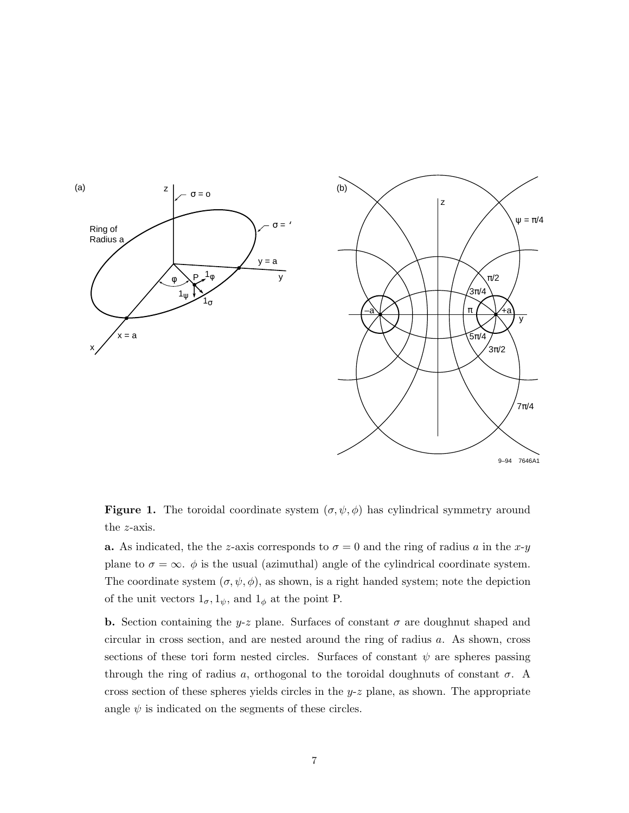

**Figure 1.** The toroidal coordinate system  $(\sigma, \psi, \phi)$  has cylindrical symmetry around the *z*-axis.

**a.** As indicated, the the *z*-axis corresponds to  $\sigma = 0$  and the ring of radius *a* in the *x*-*y* plane to  $\sigma = \infty$ .  $\phi$  is the usual (azimuthal) angle of the cylindrical coordinate system. The coordinate system  $(\sigma, \psi, \phi)$ , as shown, is a right handed system; note the depiction of the unit vectors  $1_{\sigma}$ ,  $1_{\psi}$ , and  $1_{\phi}$  at the point P.

**b.** Section containing the *y-z* plane. Surfaces of constant  $\sigma$  are doughnut shaped and circular in cross section, and are nested around the ring of radius *a*. As shown, cross sections of these tori form nested circles. Surfaces of constant  $\psi$  are spheres passing through the ring of radius *a*, orthogonal to the toroidal doughnuts of constant  $\sigma$ . A cross section of these spheres yields circles in the  $y-z$  plane, as shown. The appropriate angle  $\psi$  is indicated on the segments of these circles.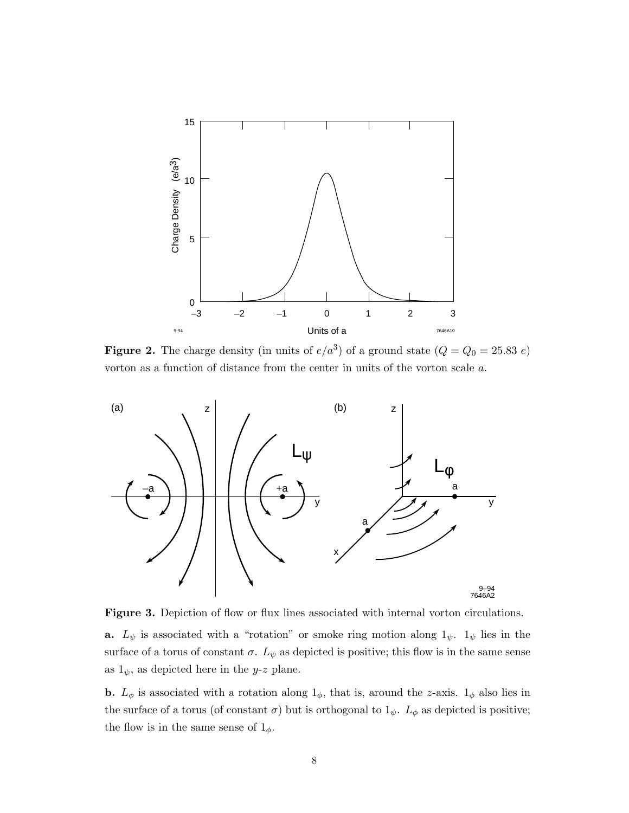

**Figure 2.** The charge density (in units of  $e/a^3$ ) of a ground state  $(Q = Q_0 = 25.83 e)$ vorton as a function of distance from the center in units of the vorton scale *a*.



Figure 3. Depiction of flow or flux lines associated with internal vorton circulations. **a.**  $L_{\psi}$  is associated with a "rotation" or smoke ring motion along  $1_{\psi}$ .  $1_{\psi}$  lies in the surface of a torus of constant  $\sigma$ .  $L_{\psi}$  as depicted is positive; this flow is in the same sense as  $1_{\psi}$ , as depicted here in the *y*-*z* plane.

**b.**  $L_{\phi}$  is associated with a rotation along  $1_{\phi}$ , that is, around the *z*-axis.  $1_{\phi}$  also lies in the surface of a torus (of constant  $\sigma$ ) but is orthogonal to  $1_{\psi}$ .  $L_{\phi}$  as depicted is positive; the flow is in the same sense of  $1_{\phi}$ .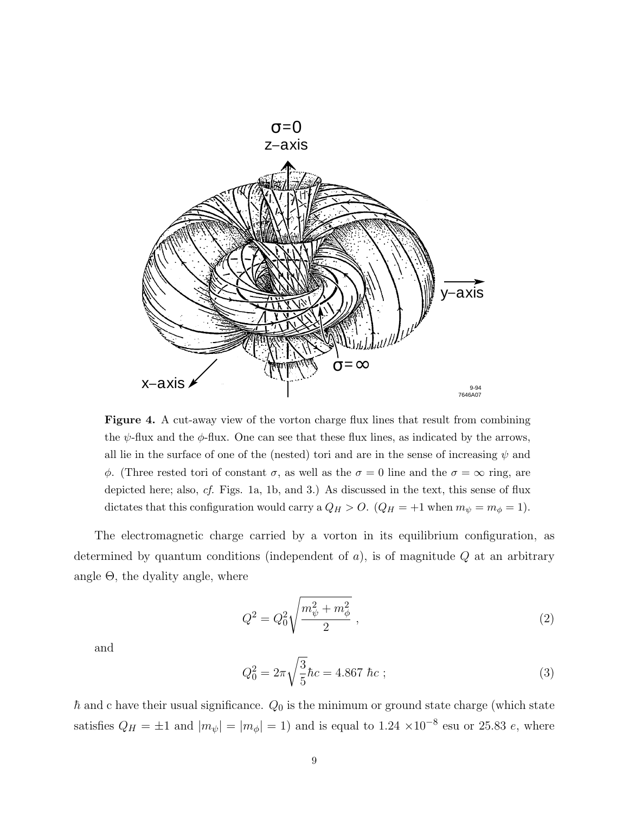

**Figure 4.** A cut-away view of the vorton charge flux lines that result from combining the  $\psi$ -flux and the  $\phi$ -flux. One can see that these flux lines, as indicated by the arrows, all lie in the surface of one of the (nested) tori and are in the sense of increasing  $\psi$  and *φ*. (Three rested tori of constant *σ*, as well as the *σ* = 0 line and the *σ* = ∞ ring, are depicted here; also, cf. Figs. 1a, 1b, and 3.) As discussed in the text, this sense of flux dictates that this configuration would carry a  $Q_H > 0$ .  $(Q_H = +1$  when  $m_{\psi} = m_{\phi} = 1$ .

The electromagnetic charge carried by a vorton in its equilibrium configuration, as determined by quantum conditions (independent of *a*), is of magnitude *Q* at an arbitrary angle  $\Theta$ , the dyality angle, where

$$
Q^2 = Q_0^2 \sqrt{\frac{m_{\psi}^2 + m_{\phi}^2}{2}} \,, \tag{2}
$$

and

$$
Q_0^2 = 2\pi \sqrt{\frac{3}{5}}\hbar c = 4.867 \hbar c ; \qquad (3)
$$

 $\hbar$  and c have their usual significance.  $Q_0$  is the minimum or ground state charge (which state satisfies  $Q_H = \pm 1$  and  $|m_{\psi}| = |m_{\phi}| = 1$ ) and is equal to 1.24 ×10<sup>-8</sup> esu or 25.83 *e*, where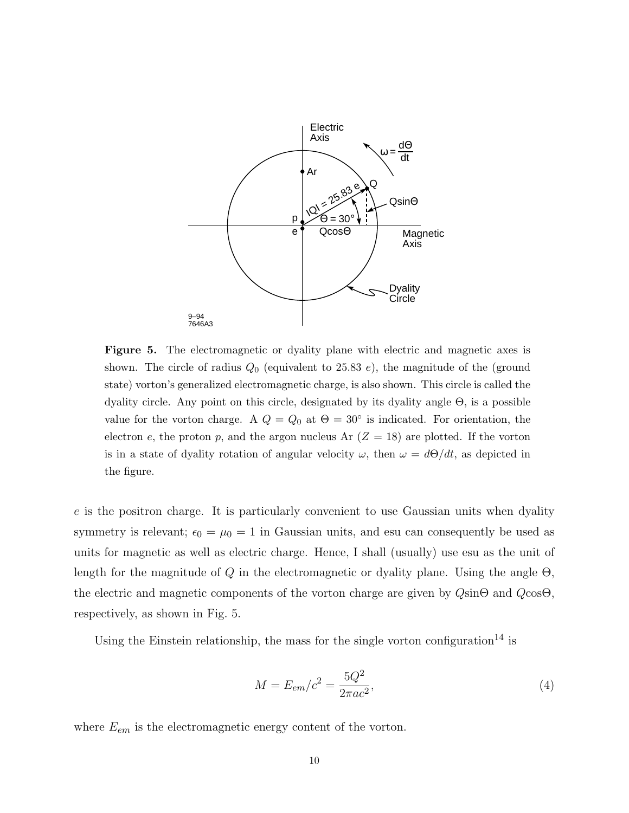

**Figure 5.** The electromagnetic or dyality plane with electric and magnetic axes is shown. The circle of radius *Q*<sup>0</sup> (equivalent to 25.83 *e*), the magnitude of the (ground state) vorton's generalized electromagnetic charge, is also shown. This circle is called the dyality circle. Any point on this circle, designated by its dyality angle Θ, is a possible value for the vorton charge. A  $Q = Q_0$  at  $\Theta = 30^\circ$  is indicated. For orientation, the electron  $e$ , the proton  $p$ , and the argon nucleus Ar  $(Z = 18)$  are plotted. If the vorton is in a state of dyality rotation of angular velocity  $\omega$ , then  $\omega = d\Theta/dt$ , as depicted in the figure.

*e* is the positron charge. It is particularly convenient to use Gaussian units when dyality symmetry is relevant;  $\epsilon_0 = \mu_0 = 1$  in Gaussian units, and esu can consequently be used as units for magnetic as well as electric charge. Hence, I shall (usually) use esu as the unit of length for the magnitude of *Q* in the electromagnetic or dyality plane. Using the angle Θ, the electric and magnetic components of the vorton charge are given by *Q*sinΘ and *Q*cosΘ, respectively, as shown in Fig. 5.

Using the Einstein relationship, the mass for the single vorton configuration<sup>14</sup> is

$$
M = E_{em}/c^2 = \frac{5Q^2}{2\pi ac^2},
$$
\n(4)

where  $E_{em}$  is the electromagnetic energy content of the vorton.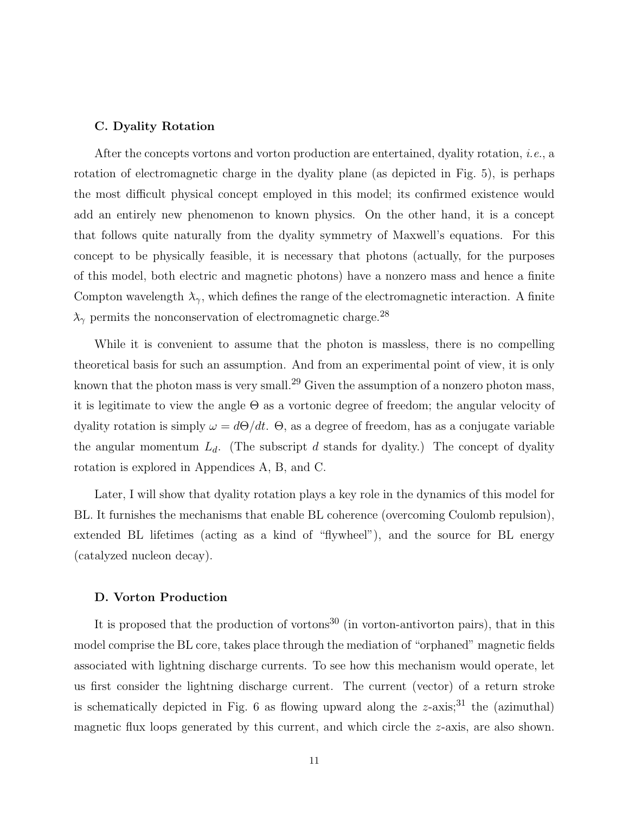#### **C. Dyality Rotation**

After the concepts vortons and vorton production are entertained, dyality rotation, i.e., a rotation of electromagnetic charge in the dyality plane (as depicted in Fig. 5), is perhaps the most difficult physical concept employed in this model; its confirmed existence would add an entirely new phenomenon to known physics. On the other hand, it is a concept that follows quite naturally from the dyality symmetry of Maxwell's equations. For this concept to be physically feasible, it is necessary that photons (actually, for the purposes of this model, both electric and magnetic photons) have a nonzero mass and hence a finite Compton wavelength  $\lambda_{\gamma}$ , which defines the range of the electromagnetic interaction. A finite  $\lambda_{\gamma}$  permits the nonconservation of electromagnetic charge.<sup>28</sup>

While it is convenient to assume that the photon is massless, there is no compelling theoretical basis for such an assumption. And from an experimental point of view, it is only known that the photon mass is very small.<sup>29</sup> Given the assumption of a nonzero photon mass, it is legitimate to view the angle  $\Theta$  as a vortonic degree of freedom; the angular velocity of dyality rotation is simply  $\omega = d\Theta/dt$ .  $\Theta$ , as a degree of freedom, has as a conjugate variable the angular momentum  $L_d$ . (The subscript *d* stands for dyality.) The concept of dyality rotation is explored in Appendices A, B, and C.

Later, I will show that dyality rotation plays a key role in the dynamics of this model for BL. It furnishes the mechanisms that enable BL coherence (overcoming Coulomb repulsion), extended BL lifetimes (acting as a kind of "flywheel"), and the source for BL energy (catalyzed nucleon decay).

#### **D. Vorton Production**

It is proposed that the production of vortons<sup>30</sup> (in vorton-antivorton pairs), that in this model comprise the BL core, takes place through the mediation of "orphaned" magnetic fields associated with lightning discharge currents. To see how this mechanism would operate, let us first consider the lightning discharge current. The current (vector) of a return stroke is schematically depicted in Fig. 6 as flowing upward along the  $z$ -axis;<sup>31</sup> the (azimuthal) magnetic flux loops generated by this current, and which circle the *z*-axis, are also shown.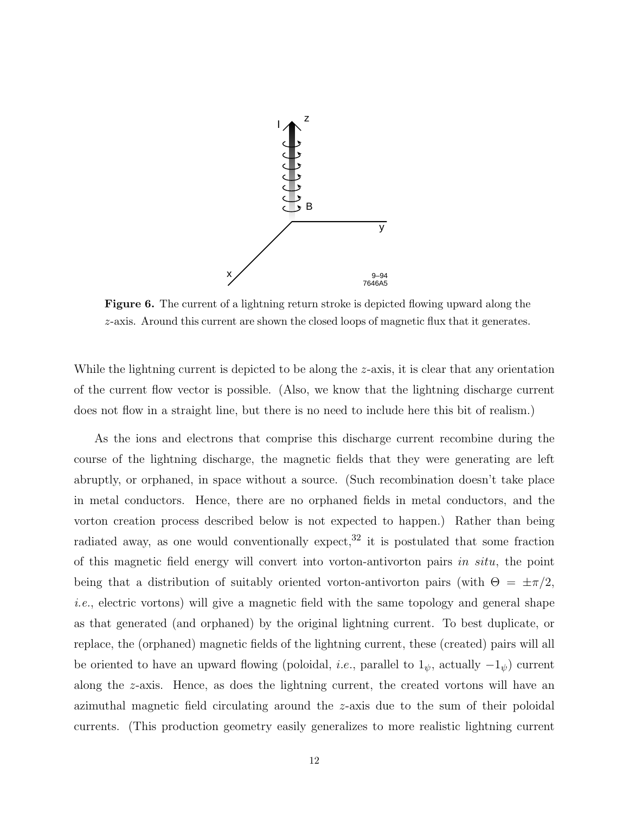

**Figure 6.** The current of a lightning return stroke is depicted flowing upward along the *z*-axis. Around this current are shown the closed loops of magnetic flux that it generates.

While the lightning current is depicted to be along the *z*-axis, it is clear that any orientation of the current flow vector is possible. (Also, we know that the lightning discharge current does not flow in a straight line, but there is no need to include here this bit of realism.)

As the ions and electrons that comprise this discharge current recombine during the course of the lightning discharge, the magnetic fields that they were generating are left abruptly, or orphaned, in space without a source. (Such recombination doesn't take place in metal conductors. Hence, there are no orphaned fields in metal conductors, and the vorton creation process described below is not expected to happen.) Rather than being radiated away, as one would conventionally expect,<sup>32</sup> it is postulated that some fraction of this magnetic field energy will convert into vorton-antivorton pairs *in situ*, the point being that a distribution of suitably oriented vorton-antivorton pairs (with  $\Theta = \pm \pi/2$ , i.e., electric vortons) will give a magnetic field with the same topology and general shape as that generated (and orphaned) by the original lightning current. To best duplicate, or replace, the (orphaned) magnetic fields of the lightning current, these (created) pairs will all be oriented to have an upward flowing (poloidal, *i.e.*, parallel to  $1_{\psi}$ , actually  $-1_{\psi}$ ) current along the *z*-axis. Hence, as does the lightning current, the created vortons will have an azimuthal magnetic field circulating around the *z*-axis due to the sum of their poloidal currents. (This production geometry easily generalizes to more realistic lightning current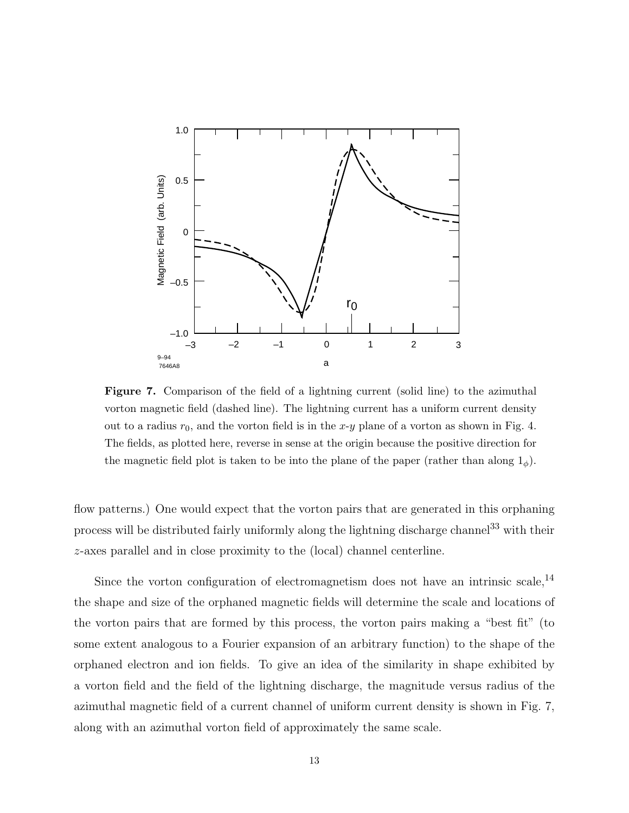

**Figure 7.** Comparison of the field of a lightning current (solid line) to the azimuthal vorton magnetic field (dashed line). The lightning current has a uniform current density out to a radius  $r_0$ , and the vorton field is in the  $x-y$  plane of a vorton as shown in Fig. 4. The fields, as plotted here, reverse in sense at the origin because the positive direction for the magnetic field plot is taken to be into the plane of the paper (rather than along  $1_{\phi}$ ).

flow patterns.) One would expect that the vorton pairs that are generated in this orphaning process will be distributed fairly uniformly along the lightning discharge channel<sup>33</sup> with their *z*-axes parallel and in close proximity to the (local) channel centerline.

Since the vorton configuration of electromagnetism does not have an intrinsic scale,  $^{14}$ the shape and size of the orphaned magnetic fields will determine the scale and locations of the vorton pairs that are formed by this process, the vorton pairs making a "best fit" (to some extent analogous to a Fourier expansion of an arbitrary function) to the shape of the orphaned electron and ion fields. To give an idea of the similarity in shape exhibited by a vorton field and the field of the lightning discharge, the magnitude versus radius of the azimuthal magnetic field of a current channel of uniform current density is shown in Fig. 7, along with an azimuthal vorton field of approximately the same scale.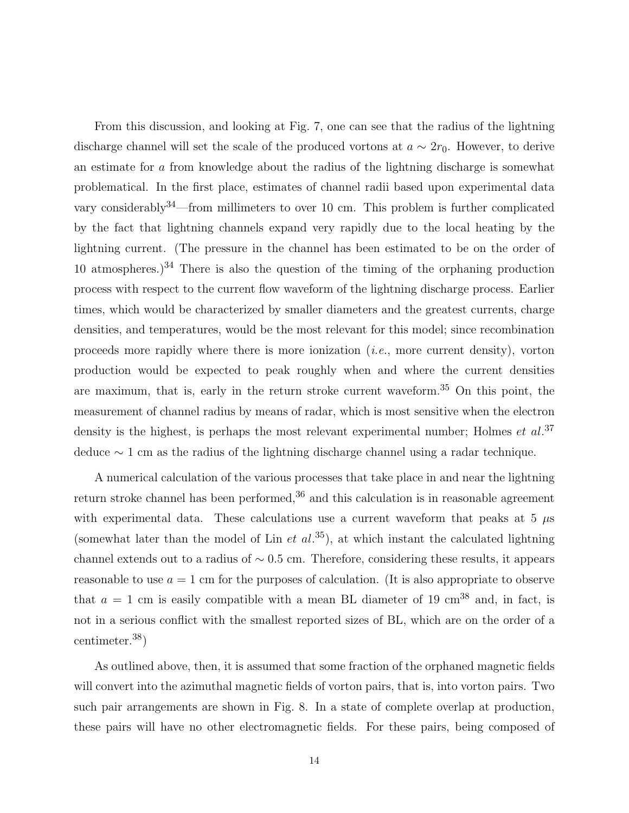From this discussion, and looking at Fig. 7, one can see that the radius of the lightning discharge channel will set the scale of the produced vortons at  $a \sim 2r_0$ . However, to derive an estimate for *a* from knowledge about the radius of the lightning discharge is somewhat problematical. In the first place, estimates of channel radii based upon experimental data vary considerably  $34$ —from millimeters to over 10 cm. This problem is further complicated by the fact that lightning channels expand very rapidly due to the local heating by the lightning current. (The pressure in the channel has been estimated to be on the order of 10 atmospheres.)<sup>34</sup> There is also the question of the timing of the orphaning production process with respect to the current flow waveform of the lightning discharge process. Earlier times, which would be characterized by smaller diameters and the greatest currents, charge densities, and temperatures, would be the most relevant for this model; since recombination proceeds more rapidly where there is more ionization  $(i.e.,$  more current density), vorton production would be expected to peak roughly when and where the current densities are maximum, that is, early in the return stroke current waveform.<sup>35</sup> On this point, the measurement of channel radius by means of radar, which is most sensitive when the electron density is the highest, is perhaps the most relevant experimental number; Holmes *et al.*<sup>37</sup> deduce ∼ 1 cm as the radius of the lightning discharge channel using a radar technique.

A numerical calculation of the various processes that take place in and near the lightning return stroke channel has been performed,  $36$  and this calculation is in reasonable agreement with experimental data. These calculations use a current waveform that peaks at  $5 \mu s$ (somewhat later than the model of Lin  $et al.^{35}$ ), at which instant the calculated lightning channel extends out to a radius of ∼ 0*.*5 cm. Therefore, considering these results, it appears reasonable to use  $a = 1$  cm for the purposes of calculation. (It is also appropriate to observe that  $a = 1$  cm is easily compatible with a mean BL diameter of 19 cm<sup>38</sup> and, in fact, is not in a serious conflict with the smallest reported sizes of BL, which are on the order of a centimeter.38)

As outlined above, then, it is assumed that some fraction of the orphaned magnetic fields will convert into the azimuthal magnetic fields of vorton pairs, that is, into vorton pairs. Two such pair arrangements are shown in Fig. 8. In a state of complete overlap at production, these pairs will have no other electromagnetic fields. For these pairs, being composed of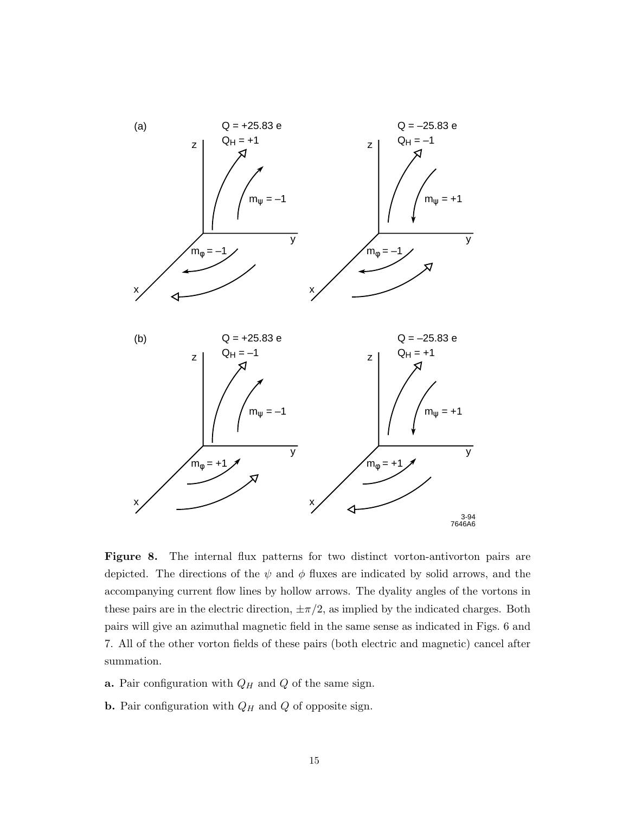

**Figure 8.** The internal flux patterns for two distinct vorton-antivorton pairs are depicted. The directions of the  $\psi$  and  $\phi$  fluxes are indicated by solid arrows, and the accompanying current flow lines by hollow arrows. The dyality angles of the vortons in these pairs are in the electric direction,  $\pm \pi/2$ , as implied by the indicated charges. Both pairs will give an azimuthal magnetic field in the same sense as indicated in Figs. 6 and 7. All of the other vorton fields of these pairs (both electric and magnetic) cancel after summation.

- **a.** Pair configuration with  $Q_H$  and  $Q$  of the same sign.
- **b.** Pair configuration with *Q<sup>H</sup>* and *Q* of opposite sign.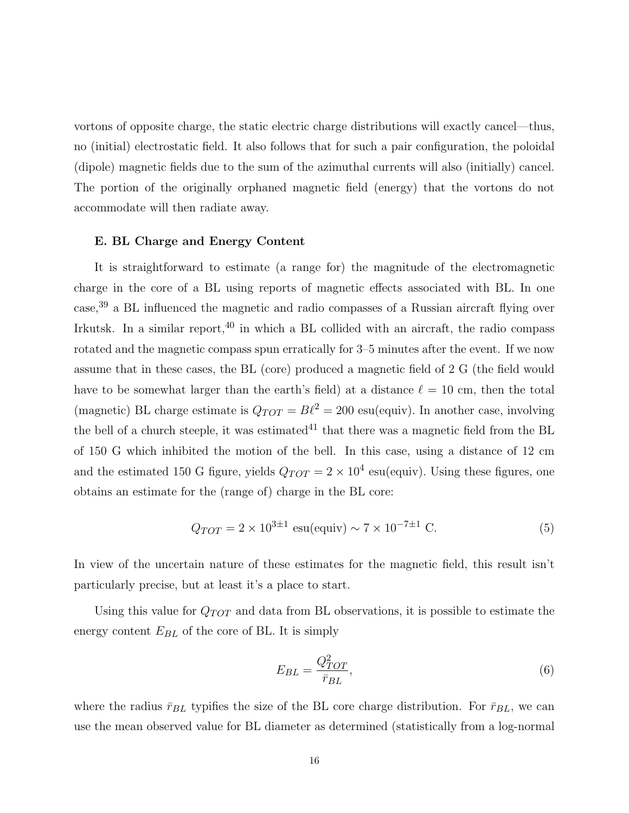vortons of opposite charge, the static electric charge distributions will exactly cancel—thus, no (initial) electrostatic field. It also follows that for such a pair configuration, the poloidal (dipole) magnetic fields due to the sum of the azimuthal currents will also (initially) cancel. The portion of the originally orphaned magnetic field (energy) that the vortons do not accommodate will then radiate away.

#### **E. BL Charge and Energy Content**

It is straightforward to estimate (a range for) the magnitude of the electromagnetic charge in the core of a BL using reports of magnetic effects associated with BL. In one case,<sup>39</sup> a BL influenced the magnetic and radio compasses of a Russian aircraft flying over Irkutsk. In a similar report, $40$  in which a BL collided with an aircraft, the radio compass rotated and the magnetic compass spun erratically for 3–5 minutes after the event. If we now assume that in these cases, the BL (core) produced a magnetic field of 2 G (the field would have to be somewhat larger than the earth's field) at a distance  $\ell = 10$  cm, then the total (magnetic) BL charge estimate is  $Q_{TOT} = B\ell^2 = 200$  esu(equiv). In another case, involving the bell of a church steeple, it was estimated<sup>41</sup> that there was a magnetic field from the BL of 150 G which inhibited the motion of the bell. In this case, using a distance of 12 cm and the estimated 150 G figure, yields  $Q_{TOT} = 2 \times 10^4$  esu(equiv). Using these figures, one obtains an estimate for the (range of) charge in the BL core:

$$
Q_{TOT} = 2 \times 10^{3 \pm 1} \text{ esu}(\text{equiv}) \sim 7 \times 10^{-7 \pm 1} \text{ C.}
$$
 (5)

In view of the uncertain nature of these estimates for the magnetic field, this result isn't particularly precise, but at least it's a place to start.

Using this value for *Q*TOT and data from BL observations, it is possible to estimate the energy content  $E_{BL}$  of the core of BL. It is simply

$$
E_{BL} = \frac{Q_{TOT}^2}{\bar{r}_{BL}},\tag{6}
$$

where the radius  $\bar{r}_{BL}$  typifies the size of the BL core charge distribution. For  $\bar{r}_{BL}$ , we can use the mean observed value for BL diameter as determined (statistically from a log-normal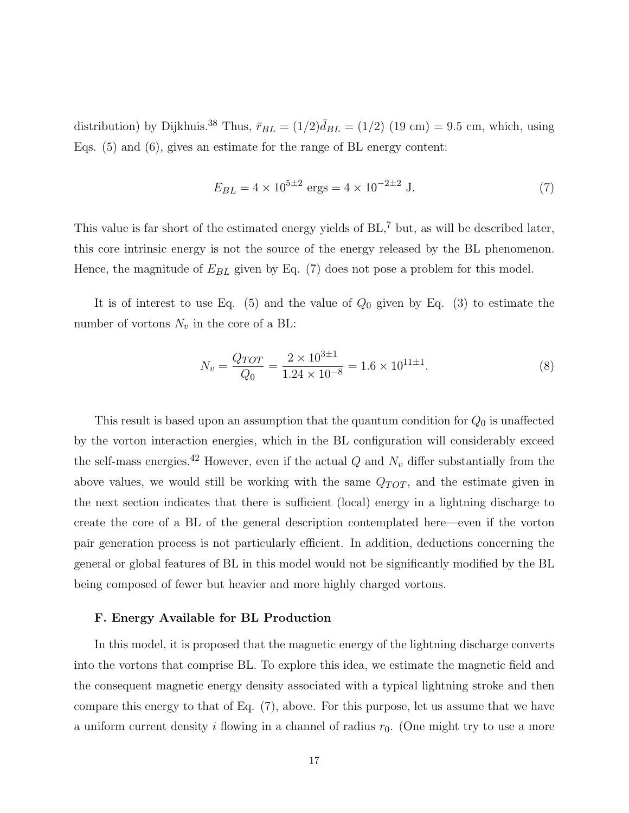distribution) by Dijkhuis.<sup>38</sup> Thus,  $\bar{r}_{BL} = (1/2)\bar{d}_{BL} = (1/2)$  (19 cm) = 9.5 cm, which, using Eqs. (5) and (6), gives an estimate for the range of BL energy content:

$$
E_{BL} = 4 \times 10^{5 \pm 2} \text{ ergs} = 4 \times 10^{-2 \pm 2} \text{ J.}
$$
 (7)

This value is far short of the estimated energy yields of  $BL$ ,  $\frac{7}{7}$  but, as will be described later, this core intrinsic energy is not the source of the energy released by the BL phenomenon. Hence, the magnitude of  $E_{BL}$  given by Eq. (7) does not pose a problem for this model.

It is of interest to use Eq. (5) and the value of *Q*<sup>0</sup> given by Eq. (3) to estimate the number of vortons  $N_v$  in the core of a BL:

$$
N_v = \frac{Q_{TOT}}{Q_0} = \frac{2 \times 10^{3 \pm 1}}{1.24 \times 10^{-8}} = 1.6 \times 10^{11 \pm 1}.
$$
 (8)

This result is based upon an assumption that the quantum condition for *Q*<sup>0</sup> is unaffected by the vorton interaction energies, which in the BL configuration will considerably exceed the self-mass energies.<sup>42</sup> However, even if the actual  $Q$  and  $N_v$  differ substantially from the above values, we would still be working with the same  $Q_{TOT}$ , and the estimate given in the next section indicates that there is sufficient (local) energy in a lightning discharge to create the core of a BL of the general description contemplated here—even if the vorton pair generation process is not particularly efficient. In addition, deductions concerning the general or global features of BL in this model would not be significantly modified by the BL being composed of fewer but heavier and more highly charged vortons.

#### **F. Energy Available for BL Production**

In this model, it is proposed that the magnetic energy of the lightning discharge converts into the vortons that comprise BL. To explore this idea, we estimate the magnetic field and the consequent magnetic energy density associated with a typical lightning stroke and then compare this energy to that of Eq. (7), above. For this purpose, let us assume that we have a uniform current density  $i$  flowing in a channel of radius  $r_0$ . (One might try to use a more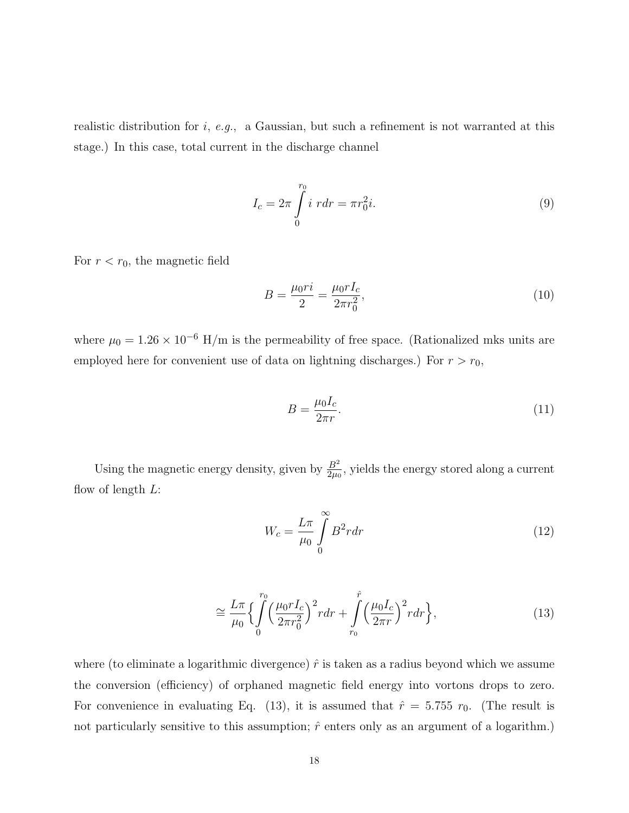realistic distribution for *i*, e.g., a Gaussian, but such a refinement is not warranted at this stage.) In this case, total current in the discharge channel

$$
I_c = 2\pi \int_0^{r_0} i \, r dr = \pi r_0^2 i. \tag{9}
$$

For  $r < r_0$ , the magnetic field

$$
B = \frac{\mu_0 r i}{2} = \frac{\mu_0 r I_c}{2\pi r_0^2},\tag{10}
$$

where  $\mu_0 = 1.26 \times 10^{-6}$  H/m is the permeability of free space. (Rationalized mks units are employed here for convenient use of data on lightning discharges.) For  $r>r_0$ ,

$$
B = \frac{\mu_0 I_c}{2\pi r}.\tag{11}
$$

Using the magnetic energy density, given by  $\frac{B^2}{2\mu_0}$ , yields the energy stored along a current flow of length *L*:

$$
W_c = \frac{L\pi}{\mu_0} \int_0^\infty B^2 r dr \tag{12}
$$

$$
\cong \frac{L\pi}{\mu_0} \left\{ \int_0^{r_0} \left(\frac{\mu_0 r I_c}{2\pi r_0^2}\right)^2 r dr + \int_{r_0}^{\hat{r}} \left(\frac{\mu_0 I_c}{2\pi r}\right)^2 r dr \right\},\tag{13}
$$

where (to eliminate a logarithmic divergence)  $\hat{r}$  is taken as a radius beyond which we assume the conversion (efficiency) of orphaned magnetic field energy into vortons drops to zero. For convenience in evaluating Eq. (13), it is assumed that  $\hat{r} = 5.755 r_0$ . (The result is not particularly sensitive to this assumption;  $\hat{r}$  enters only as an argument of a logarithm.)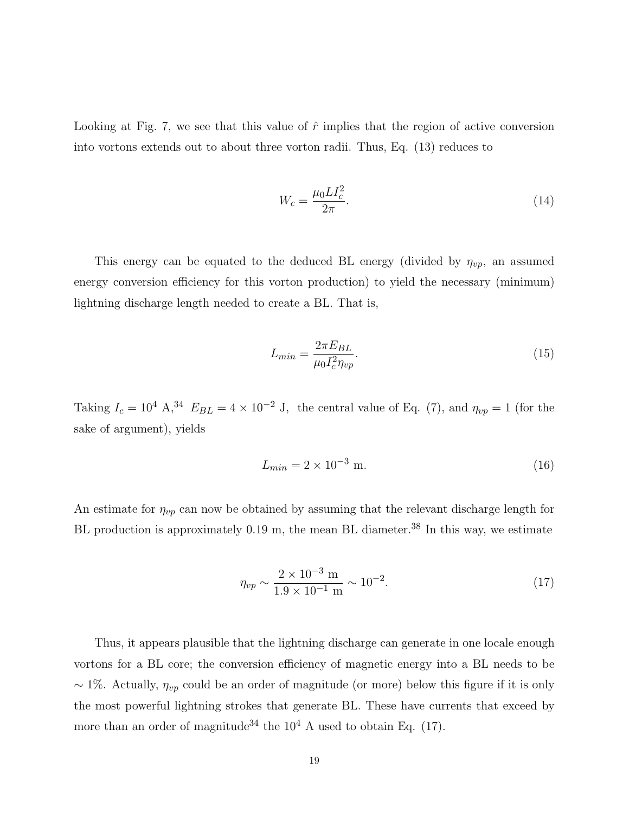Looking at Fig. 7, we see that this value of  $\hat{r}$  implies that the region of active conversion into vortons extends out to about three vorton radii. Thus, Eq. (13) reduces to

$$
W_c = \frac{\mu_0 L I_c^2}{2\pi}.
$$
\n(14)

This energy can be equated to the deduced BL energy (divided by  $\eta_{vp}$ , an assumed energy conversion efficiency for this vorton production) to yield the necessary (minimum) lightning discharge length needed to create a BL. That is,

$$
L_{min} = \frac{2\pi E_{BL}}{\mu_0 I_c^2 \eta_{vp}}.\tag{15}
$$

Taking  $I_c = 10^4$  A,<sup>34</sup>  $E_{BL} = 4 \times 10^{-2}$  J, the central value of Eq. (7), and  $\eta_{vp} = 1$  (for the sake of argument), yields

$$
L_{min} = 2 \times 10^{-3} \text{ m.}
$$
 (16)

An estimate for  $\eta_{vp}$  can now be obtained by assuming that the relevant discharge length for BL production is approximately 0.19 m, the mean BL diameter.<sup>38</sup> In this way, we estimate

$$
\eta_{vp} \sim \frac{2 \times 10^{-3} \text{ m}}{1.9 \times 10^{-1} \text{ m}} \sim 10^{-2}.
$$
\n(17)

Thus, it appears plausible that the lightning discharge can generate in one locale enough vortons for a BL core; the conversion efficiency of magnetic energy into a BL needs to be ∼ 1%. Actually, *η*vp could be an order of magnitude (or more) below this figure if it is only the most powerful lightning strokes that generate BL. These have currents that exceed by more than an order of magnitude<sup>34</sup> the  $10^4$  A used to obtain Eq. (17).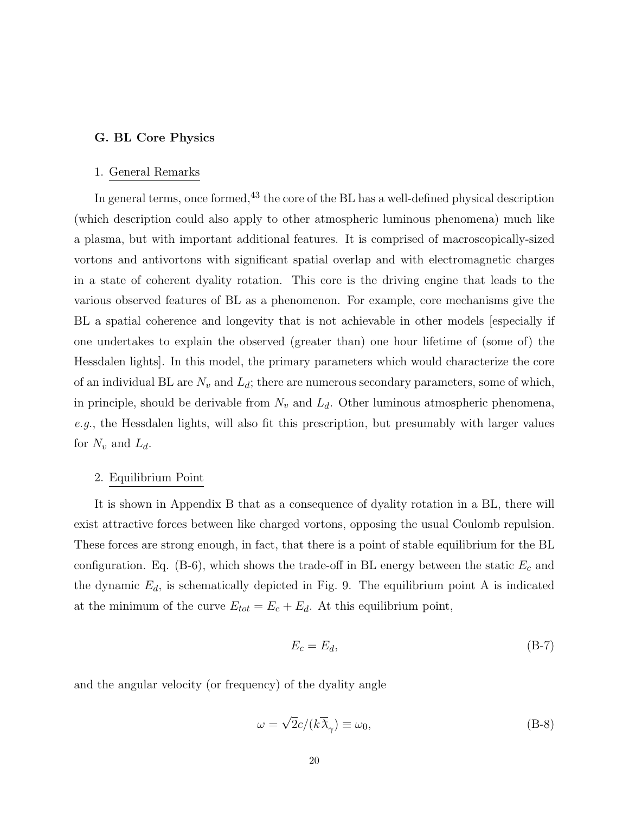#### **G. BL Core Physics**

#### 1. General Remarks

In general terms, once formed,  $43$  the core of the BL has a well-defined physical description (which description could also apply to other atmospheric luminous phenomena) much like a plasma, but with important additional features. It is comprised of macroscopically-sized vortons and antivortons with significant spatial overlap and with electromagnetic charges in a state of coherent dyality rotation. This core is the driving engine that leads to the various observed features of BL as a phenomenon. For example, core mechanisms give the BL a spatial coherence and longevity that is not achievable in other models [especially if one undertakes to explain the observed (greater than) one hour lifetime of (some of) the Hessdalen lights]. In this model, the primary parameters which would characterize the core of an individual BL are  $N_v$  and  $L_d$ ; there are numerous secondary parameters, some of which, in principle, should be derivable from  $N_v$  and  $L_d$ . Other luminous atmospheric phenomena, e.g., the Hessdalen lights, will also fit this prescription, but presumably with larger values for  $N_v$  and  $L_d$ .

# 2. Equilibrium Point

It is shown in Appendix B that as a consequence of dyality rotation in a BL, there will exist attractive forces between like charged vortons, opposing the usual Coulomb repulsion. These forces are strong enough, in fact, that there is a point of stable equilibrium for the BL configuration. Eq.  $(B-6)$ , which shows the trade-off in BL energy between the static  $E_c$  and the dynamic  $E_d$ , is schematically depicted in Fig. 9. The equilibrium point A is indicated at the minimum of the curve  $E_{tot} = E_c + E_d$ . At this equilibrium point,

$$
E_c = E_d,\tag{B-7}
$$

and the angular velocity (or frequency) of the dyality angle

$$
\omega = \sqrt{2}c/(k\overline{\lambda}_{\gamma}) \equiv \omega_0, \tag{B-8}
$$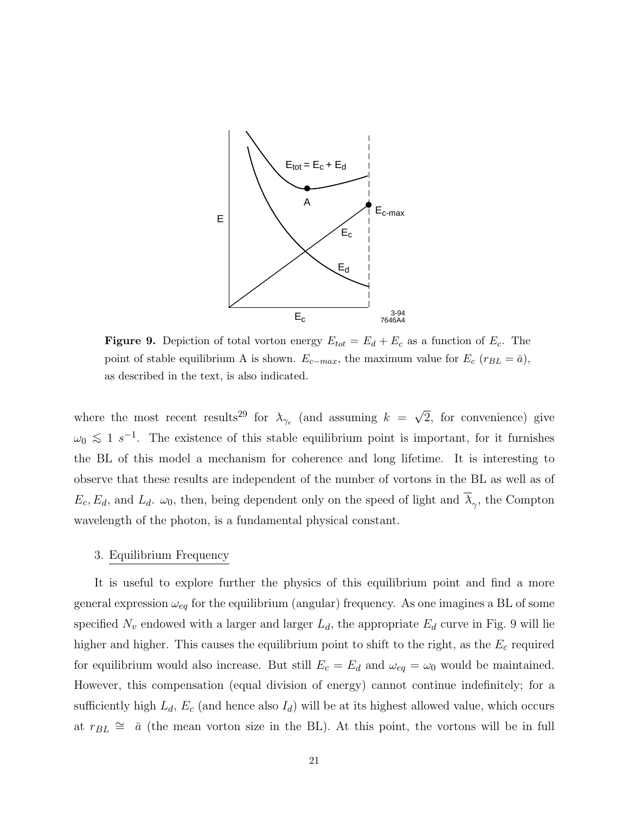

**Figure 9.** Depiction of total vorton energy  $E_{tot} = E_d + E_c$  as a function of  $E_c$ . The point of stable equilibrium A is shown.  $E_{c-max}$ , the maximum value for  $E_c$  ( $r_{BL} = \bar{a}$ ), as described in the text, is also indicated.

where the most recent results<sup>29</sup> for  $\lambda_{\gamma_e}$  (and assuming  $k = \sqrt{2}$ , for convenience) give  $\omega_0 \lesssim 1 \text{ s}^{-1}$ . The existence of this stable equilibrium point is important, for it furnishes the BL of this model a mechanism for coherence and long lifetime. It is interesting to observe that these results are independent of the number of vortons in the BL as well as of  $E_c, E_d$ , and  $L_d$ .  $\omega_0$ , then, being dependent only on the speed of light and  $\overline{\lambda}_{\gamma}$ , the Compton wavelength of the photon, is a fundamental physical constant.

#### 3. Equilibrium Frequency

It is useful to explore further the physics of this equilibrium point and find a more general expression  $\omega_{eq}$  for the equilibrium (angular) frequency. As one imagines a BL of some specified  $N_v$  endowed with a larger and larger  $L_d$ , the appropriate  $E_d$  curve in Fig. 9 will lie higher and higher. This causes the equilibrium point to shift to the right, as the  $E_c$  required for equilibrium would also increase. But still  $E_c = E_d$  and  $\omega_{eq} = \omega_0$  would be maintained. However, this compensation (equal division of energy) cannot continue indefinitely; for a sufficiently high  $L_d$ ,  $E_c$  (and hence also  $I_d$ ) will be at its highest allowed value, which occurs at  $r_{BL} \approx \bar{a}$  (the mean vorton size in the BL). At this point, the vortons will be in full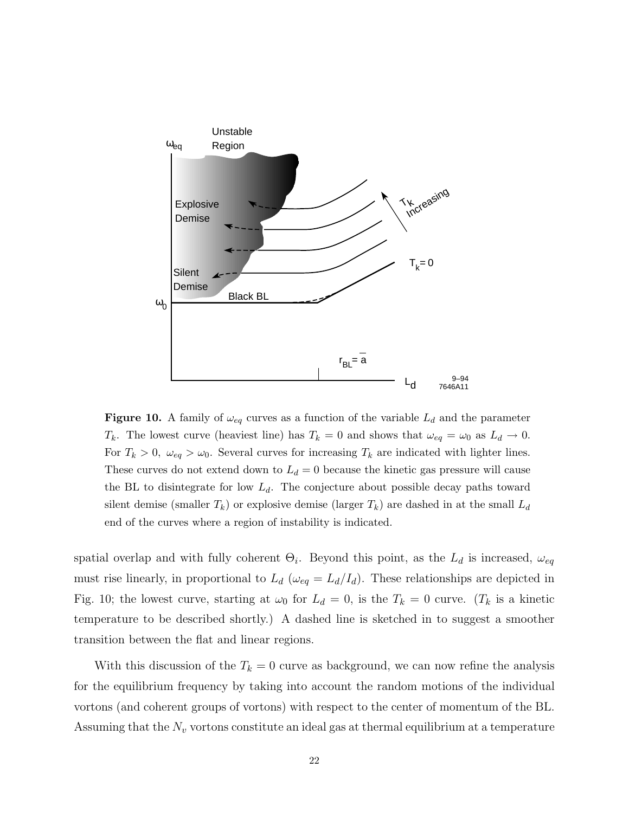

**Figure 10.** A family of  $\omega_{eq}$  curves as a function of the variable  $L_d$  and the parameter *T<sub>k</sub>*. The lowest curve (heaviest line) has  $T_k = 0$  and shows that  $\omega_{eq} = \omega_0$  as  $L_d \to 0$ . For  $T_k > 0$ ,  $\omega_{eq} > \omega_0$ . Several curves for increasing  $T_k$  are indicated with lighter lines. These curves do not extend down to  $L_d = 0$  because the kinetic gas pressure will cause the BL to disintegrate for low  $L_d$ . The conjecture about possible decay paths toward silent demise (smaller  $T_k$ ) or explosive demise (larger  $T_k$ ) are dashed in at the small  $L_d$ end of the curves where a region of instability is indicated.

spatial overlap and with fully coherent  $\Theta_i$ . Beyond this point, as the  $L_d$  is increased,  $\omega_{eq}$ must rise linearly, in proportional to  $L_d$  ( $\omega_{eq} = L_d/I_d$ ). These relationships are depicted in Fig. 10; the lowest curve, starting at  $\omega_0$  for  $L_d = 0$ , is the  $T_k = 0$  curve. ( $T_k$  is a kinetic temperature to be described shortly.) A dashed line is sketched in to suggest a smoother transition between the flat and linear regions.

With this discussion of the  $T_k = 0$  curve as background, we can now refine the analysis for the equilibrium frequency by taking into account the random motions of the individual vortons (and coherent groups of vortons) with respect to the center of momentum of the BL. Assuming that the  $N_v$  vortons constitute an ideal gas at thermal equilibrium at a temperature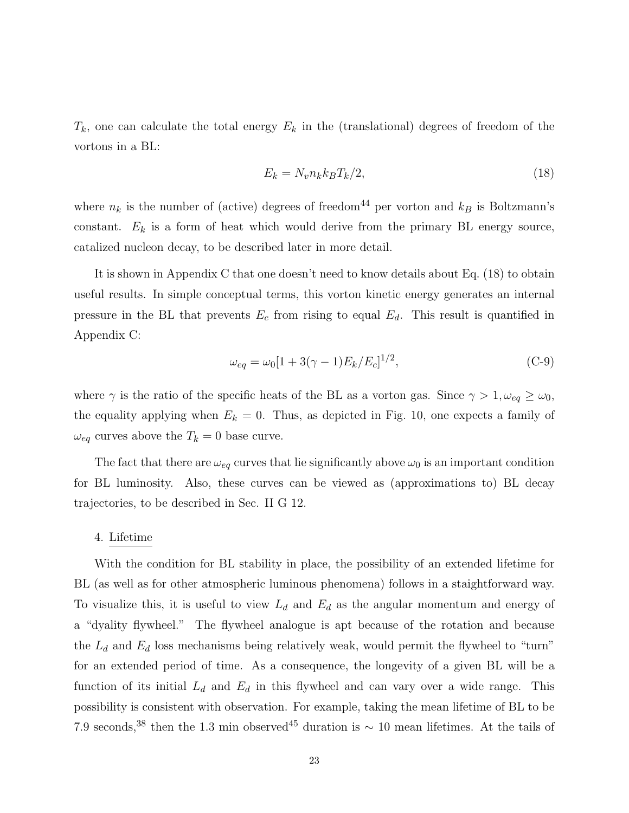$T_k$ , one can calculate the total energy  $E_k$  in the (translational) degrees of freedom of the vortons in a BL:

$$
E_k = N_v n_k k_B T_k / 2,\t\t(18)
$$

where  $n_k$  is the number of (active) degrees of freedom<sup>44</sup> per vorton and  $k_B$  is Boltzmann's constant.  $E_k$  is a form of heat which would derive from the primary BL energy source, catalized nucleon decay, to be described later in more detail.

It is shown in Appendix C that one doesn't need to know details about Eq. (18) to obtain useful results. In simple conceptual terms, this vorton kinetic energy generates an internal pressure in the BL that prevents  $E_c$  from rising to equal  $E_d$ . This result is quantified in Appendix C:

$$
\omega_{eq} = \omega_0 [1 + 3(\gamma - 1) E_k / E_c]^{1/2}, \tag{C-9}
$$

where  $\gamma$  is the ratio of the specific heats of the BL as a vorton gas. Since  $\gamma > 1, \omega_{eq} \geq \omega_0$ , the equality applying when  $E_k = 0$ . Thus, as depicted in Fig. 10, one expects a family of  $\omega_{eq}$  curves above the  $T_k = 0$  base curve.

The fact that there are  $\omega_{eq}$  curves that lie significantly above  $\omega_0$  is an important condition for BL luminosity. Also, these curves can be viewed as (approximations to) BL decay trajectories, to be described in Sec. II G 12.

### 4. Lifetime

With the condition for BL stability in place, the possibility of an extended lifetime for BL (as well as for other atmospheric luminous phenomena) follows in a staightforward way. To visualize this, it is useful to view  $L_d$  and  $E_d$  as the angular momentum and energy of a "dyality flywheel." The flywheel analogue is apt because of the rotation and because the  $L_d$  and  $E_d$  loss mechanisms being relatively weak, would permit the flywheel to "turn" for an extended period of time. As a consequence, the longevity of a given BL will be a function of its initial  $L_d$  and  $E_d$  in this flywheel and can vary over a wide range. This possibility is consistent with observation. For example, taking the mean lifetime of BL to be 7.9 seconds,<sup>38</sup> then the 1.3 min observed<sup>45</sup> duration is ~ 10 mean lifetimes. At the tails of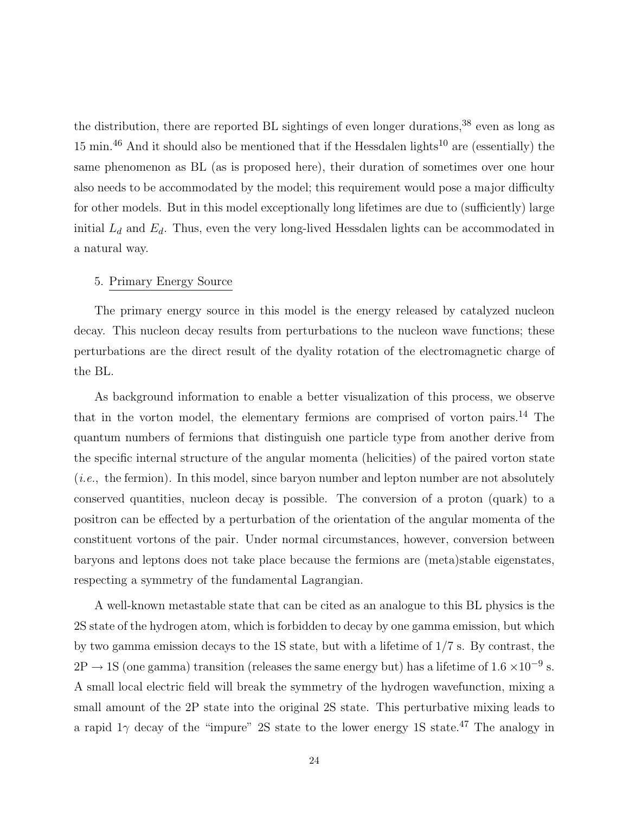the distribution, there are reported BL sightings of even longer durations,  $38$  even as long as 15 min.<sup>46</sup> And it should also be mentioned that if the Hessdalen lights<sup>10</sup> are (essentially) the same phenomenon as BL (as is proposed here), their duration of sometimes over one hour also needs to be accommodated by the model; this requirement would pose a major difficulty for other models. But in this model exceptionally long lifetimes are due to (sufficiently) large initial  $L_d$  and  $E_d$ . Thus, even the very long-lived Hessdalen lights can be accommodated in a natural way.

### 5. Primary Energy Source

The primary energy source in this model is the energy released by catalyzed nucleon decay. This nucleon decay results from perturbations to the nucleon wave functions; these perturbations are the direct result of the dyality rotation of the electromagnetic charge of the BL.

As background information to enable a better visualization of this process, we observe that in the vorton model, the elementary fermions are comprised of vorton pairs.<sup>14</sup> The quantum numbers of fermions that distinguish one particle type from another derive from the specific internal structure of the angular momenta (helicities) of the paired vorton state (i.e., the fermion). In this model, since baryon number and lepton number are not absolutely conserved quantities, nucleon decay is possible. The conversion of a proton (quark) to a positron can be effected by a perturbation of the orientation of the angular momenta of the constituent vortons of the pair. Under normal circumstances, however, conversion between baryons and leptons does not take place because the fermions are (meta)stable eigenstates, respecting a symmetry of the fundamental Lagrangian.

A well-known metastable state that can be cited as an analogue to this BL physics is the 2S state of the hydrogen atom, which is forbidden to decay by one gamma emission, but which by two gamma emission decays to the 1S state, but with a lifetime of 1/7 s. By contrast, the  $2P \rightarrow 1S$  (one gamma) transition (releases the same energy but) has a lifetime of  $1.6 \times 10^{-9}$  s. A small local electric field will break the symmetry of the hydrogen wavefunction, mixing a small amount of the 2P state into the original 2S state. This perturbative mixing leads to a rapid  $1\gamma$  decay of the "impure" 2S state to the lower energy 1S state.<sup>47</sup> The analogy in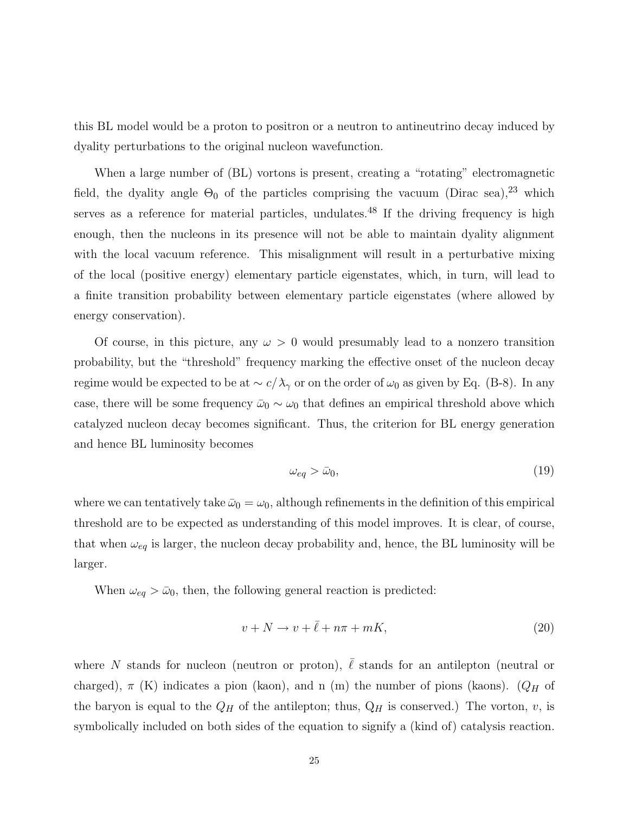this BL model would be a proton to positron or a neutron to antineutrino decay induced by dyality perturbations to the original nucleon wavefunction.

When a large number of  $(B<sub>L</sub>)$  vortons is present, creating a "rotating" electromagnetic field, the dyality angle  $\Theta_0$  of the particles comprising the vacuum (Dirac sea),<sup>23</sup> which serves as a reference for material particles, undulates.<sup>48</sup> If the driving frequency is high enough, then the nucleons in its presence will not be able to maintain dyality alignment with the local vacuum reference. This misalignment will result in a perturbative mixing of the local (positive energy) elementary particle eigenstates, which, in turn, will lead to a finite transition probability between elementary particle eigenstates (where allowed by energy conservation).

Of course, in this picture, any  $\omega > 0$  would presumably lead to a nonzero transition probability, but the "threshold" frequency marking the effective onset of the nucleon decay regime would be expected to be at  $\sim c/\lambda_{\gamma}$  or on the order of  $\omega_0$  as given by Eq. (B-8). In any case, there will be some frequency  $\bar{\omega}_0 \sim \omega_0$  that defines an empirical threshold above which catalyzed nucleon decay becomes significant. Thus, the criterion for BL energy generation and hence BL luminosity becomes

$$
\omega_{eq} > \bar{\omega}_0,\tag{19}
$$

where we can tentatively take  $\bar{\omega}_0 = \omega_0$ , although refinements in the definition of this empirical threshold are to be expected as understanding of this model improves. It is clear, of course, that when  $\omega_{eq}$  is larger, the nucleon decay probability and, hence, the BL luminosity will be larger.

When  $\omega_{eq} > \bar{\omega}_0$ , then, the following general reaction is predicted:

$$
v + N \to v + \bar{\ell} + n\pi + mK, \tag{20}
$$

where N stands for nucleon (neutron or proton),  $\overline{\ell}$  stands for an antilepton (neutral or charged),  $\pi$  (K) indicates a pion (kaon), and n (m) the number of pions (kaons). ( $Q_H$  of the baryon is equal to the  $Q_H$  of the antilepton; thus,  $Q_H$  is conserved.) The vorton, *v*, is symbolically included on both sides of the equation to signify a (kind of) catalysis reaction.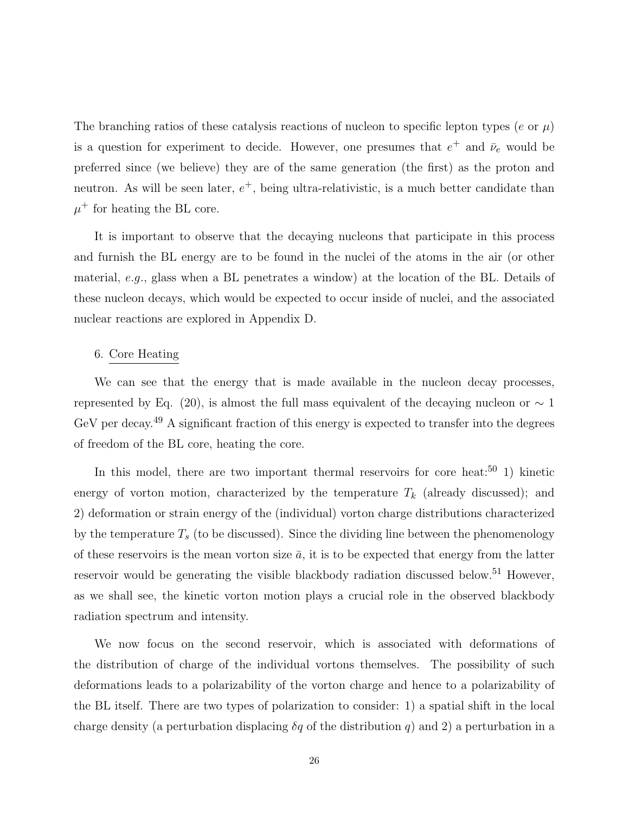The branching ratios of these catalysis reactions of nucleon to specific lepton types ( $e$  or  $\mu$ ) is a question for experiment to decide. However, one presumes that  $e^+$  and  $\bar{\nu}_e$  would be preferred since (we believe) they are of the same generation (the first) as the proton and neutron. As will be seen later,  $e^+$ , being ultra-relativistic, is a much better candidate than  $\mu^+$  for heating the BL core.

It is important to observe that the decaying nucleons that participate in this process and furnish the BL energy are to be found in the nuclei of the atoms in the air (or other material, *e.g.,* glass when a BL penetrates a window) at the location of the BL. Details of these nucleon decays, which would be expected to occur inside of nuclei, and the associated nuclear reactions are explored in Appendix D.

#### 6. Core Heating

We can see that the energy that is made available in the nucleon decay processes, represented by Eq. (20), is almost the full mass equivalent of the decaying nucleon or  $\sim 1$ GeV per decay.<sup>49</sup> A significant fraction of this energy is expected to transfer into the degrees of freedom of the BL core, heating the core.

In this model, there are two important thermal reservoirs for core heat:<sup>50</sup> 1) kinetic energy of vorton motion, characterized by the temperature  $T_k$  (already discussed); and 2) deformation or strain energy of the (individual) vorton charge distributions characterized by the temperature *T*<sup>s</sup> (to be discussed). Since the dividing line between the phenomenology of these reservoirs is the mean vorton size  $\bar{a}$ , it is to be expected that energy from the latter reservoir would be generating the visible blackbody radiation discussed below.<sup>51</sup> However, as we shall see, the kinetic vorton motion plays a crucial role in the observed blackbody radiation spectrum and intensity.

We now focus on the second reservoir, which is associated with deformations of the distribution of charge of the individual vortons themselves. The possibility of such deformations leads to a polarizability of the vorton charge and hence to a polarizability of the BL itself. There are two types of polarization to consider: 1) a spatial shift in the local charge density (a perturbation displacing  $\delta q$  of the distribution q) and 2) a perturbation in a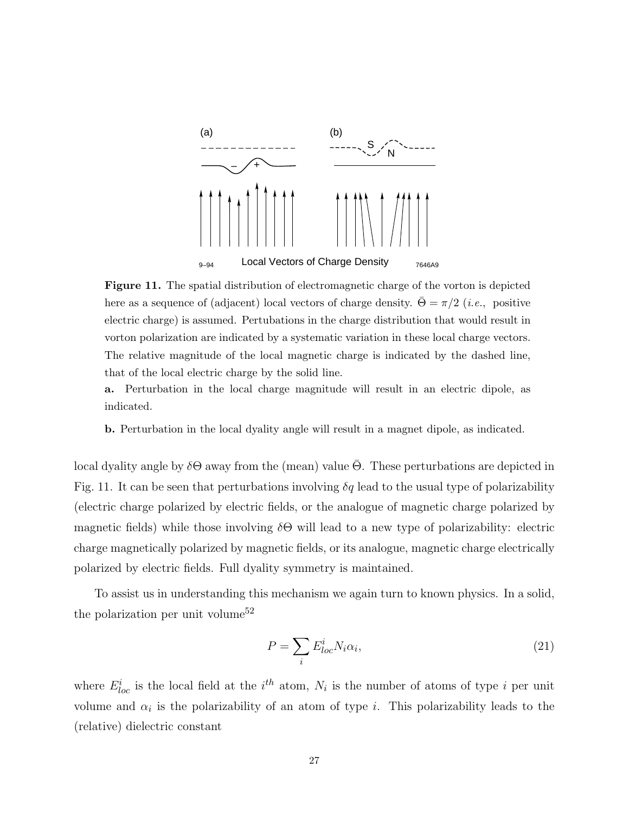

**Figure 11.** The spatial distribution of electromagnetic charge of the vorton is depicted here as a sequence of (adjacent) local vectors of charge density.  $\Theta = \pi/2$  (*i.e.*, positive electric charge) is assumed. Pertubations in the charge distribution that would result in vorton polarization are indicated by a systematic variation in these local charge vectors. The relative magnitude of the local magnetic charge is indicated by the dashed line, that of the local electric charge by the solid line.

**a.** Perturbation in the local charge magnitude will result in an electric dipole, as indicated.

**b.** Perturbation in the local dyality angle will result in a magnet dipole, as indicated.

local dyality angle by  $\delta\Theta$  away from the (mean) value  $\Theta$ . These perturbations are depicted in Fig. 11. It can be seen that perturbations involving  $\delta q$  lead to the usual type of polarizability (electric charge polarized by electric fields, or the analogue of magnetic charge polarized by magnetic fields) while those involving *δ*Θ will lead to a new type of polarizability: electric charge magnetically polarized by magnetic fields, or its analogue, magnetic charge electrically polarized by electric fields. Full dyality symmetry is maintained.

To assist us in understanding this mechanism we again turn to known physics. In a solid, the polarization per unit volume<sup>52</sup>

$$
P = \sum_{i} E^{i}_{loc} N_i \alpha_i,
$$
\n(21)

where  $E_{loc}^i$  is the local field at the  $i^{th}$  atom,  $N_i$  is the number of atoms of type *i* per unit volume and  $\alpha_i$  is the polarizability of an atom of type *i*. This polarizability leads to the (relative) dielectric constant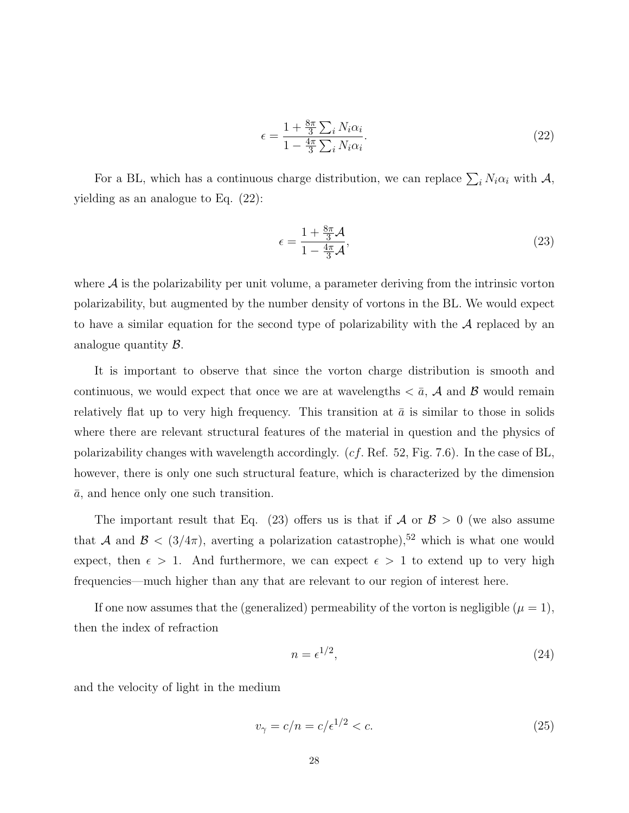$$
\epsilon = \frac{1 + \frac{8\pi}{3} \sum_{i} N_i \alpha_i}{1 - \frac{4\pi}{3} \sum_{i} N_i \alpha_i}.
$$
\n(22)

For a BL, which has a continuous charge distribution, we can replace  $\sum_i N_i \alpha_i$  with  $\mathcal{A}$ , yielding as an analogue to Eq. (22):

$$
\epsilon = \frac{1 + \frac{8\pi}{3}\mathcal{A}}{1 - \frac{4\pi}{3}\mathcal{A}},\tag{23}
$$

where  $\mathcal A$  is the polarizability per unit volume, a parameter deriving from the intrinsic vorton polarizability, but augmented by the number density of vortons in the BL. We would expect to have a similar equation for the second type of polarizability with the A replaced by an analogue quantity B.

It is important to observe that since the vorton charge distribution is smooth and continuous, we would expect that once we are at wavelengths  $\langle \bar{a}, \mathcal{A} \rangle$  and  $\hat{B}$  would remain relatively flat up to very high frequency. This transition at  $\bar{a}$  is similar to those in solids where there are relevant structural features of the material in question and the physics of polarizability changes with wavelength accordingly. (*cf.* Ref. 52, Fig. 7.6). In the case of BL, however, there is only one such structural feature, which is characterized by the dimension  $\bar{a}$ , and hence only one such transition.

The important result that Eq. (23) offers us is that if  $A$  or  $B > 0$  (we also assume that A and  $\mathcal{B} < (3/4\pi)$ , averting a polarization catastrophe),<sup>52</sup> which is what one would expect, then  $\epsilon > 1$ . And furthermore, we can expect  $\epsilon > 1$  to extend up to very high frequencies—much higher than any that are relevant to our region of interest here.

If one now assumes that the (generalized) permeability of the vorton is negligible  $(\mu = 1)$ , then the index of refraction

$$
n = \epsilon^{1/2},\tag{24}
$$

and the velocity of light in the medium

$$
v_{\gamma} = c/n = c/\epsilon^{1/2} < c. \tag{25}
$$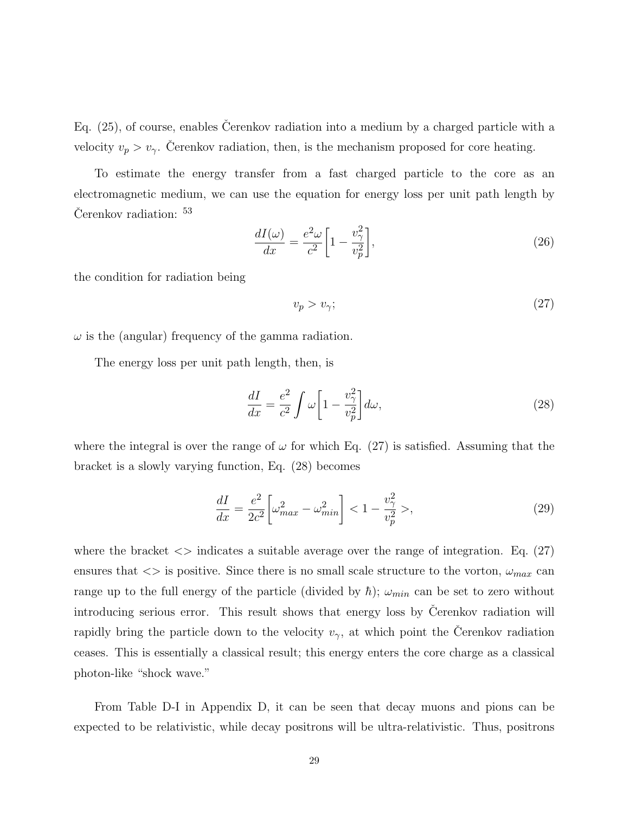Eq.  $(25)$ , of course, enables Cerenkov radiation into a medium by a charged particle with a velocity  $v_p > v_\gamma$ . Čerenkov radiation, then, is the mechanism proposed for core heating.

To estimate the energy transfer from a fast charged particle to the core as an electromagnetic medium, we can use the equation for energy loss per unit path length by  $Cerenkov$  radiation:  $53$ 

$$
\frac{dI(\omega)}{dx} = \frac{e^2 \omega}{c^2} \left[ 1 - \frac{v_\gamma^2}{v_p^2} \right],\tag{26}
$$

the condition for radiation being

$$
v_p > v_\gamma;\tag{27}
$$

 $\omega$  is the (angular) frequency of the gamma radiation.

The energy loss per unit path length, then, is

$$
\frac{dI}{dx} = \frac{e^2}{c^2} \int \omega \left[ 1 - \frac{v_\gamma^2}{v_p^2} \right] d\omega, \tag{28}
$$

where the integral is over the range of  $\omega$  for which Eq. (27) is satisfied. Assuming that the bracket is a slowly varying function, Eq. (28) becomes

$$
\frac{dI}{dx} = \frac{e^2}{2c^2} \left[ \omega_{max}^2 - \omega_{min}^2 \right] < 1 - \frac{v_\gamma^2}{v_p^2} >,\tag{29}
$$

where the bracket  $\langle \rangle$  indicates a suitable average over the range of integration. Eq. (27) ensures that  $\langle \rangle$  is positive. Since there is no small scale structure to the vorton,  $\omega_{max}$  can range up to the full energy of the particle (divided by  $\hbar$ );  $\omega_{min}$  can be set to zero without introducing serious error. This result shows that energy loss by Čerenkov radiation will rapidly bring the particle down to the velocity  $v<sub>\gamma</sub>$ , at which point the Cerenkov radiation ceases. This is essentially a classical result; this energy enters the core charge as a classical photon-like "shock wave."

From Table D-I in Appendix D, it can be seen that decay muons and pions can be expected to be relativistic, while decay positrons will be ultra-relativistic. Thus, positrons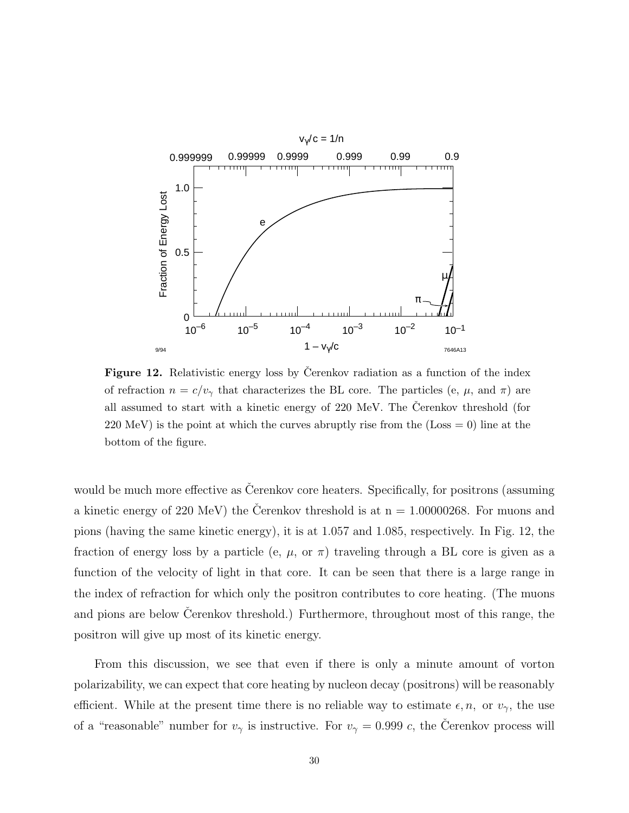

**Figure 12.** Relativistic energy loss by Cerenkov radiation as a function of the index of refraction  $n = c/v_\gamma$  that characterizes the BL core. The particles (e,  $\mu$ , and  $\pi$ ) are all assumed to start with a kinetic energy of  $220 \text{ MeV}$ . The Cerenkov threshold (for  $220 \text{ MeV}$  is the point at which the curves abruptly rise from the (Loss  $= 0$ ) line at the bottom of the figure.

would be much more effective as Cerenkov core heaters. Specifically, for positrons (assuming a kinetic energy of 220 MeV) the Cerenkov threshold is at  $n = 1.00000268$ . For muons and pions (having the same kinetic energy), it is at 1.057 and 1.085, respectively. In Fig. 12, the fraction of energy loss by a particle (e,  $\mu$ , or  $\pi$ ) traveling through a BL core is given as a function of the velocity of light in that core. It can be seen that there is a large range in the index of refraction for which only the positron contributes to core heating. (The muons and pions are below Cerenkov threshold.) Furthermore, throughout most of this range, the positron will give up most of its kinetic energy.

From this discussion, we see that even if there is only a minute amount of vorton polarizability, we can expect that core heating by nucleon decay (positrons) will be reasonably efficient. While at the present time there is no reliable way to estimate  $\epsilon, n$ , or  $v_{\gamma}$ , the use of a "reasonable" number for  $v<sub>\gamma</sub>$  is instructive. For  $v<sub>\gamma</sub> = 0.999 c$ , the Cerenkov process will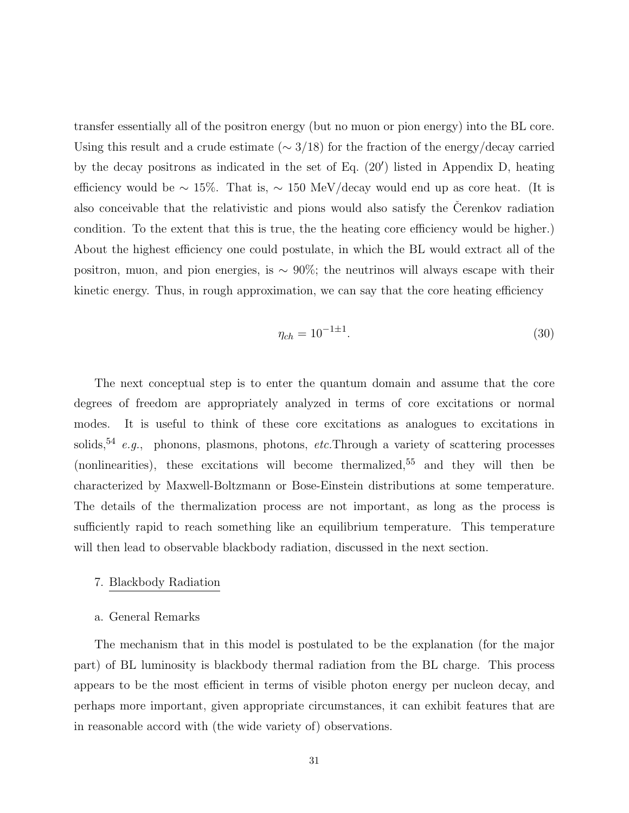transfer essentially all of the positron energy (but no muon or pion energy) into the BL core. Using this result and a crude estimate (∼ 3*/*18) for the fraction of the energy/decay carried by the decay positrons as indicated in the set of Eq.  $(20')$  listed in Appendix D, heating efficiency would be  $\sim 15\%$ . That is,  $\sim 150 \text{ MeV}/\text{decay}$  would end up as core heat. (It is also conceivable that the relativistic and pions would also satisfy the Cerenkov radiation condition. To the extent that this is true, the the heating core efficiency would be higher.) About the highest efficiency one could postulate, in which the BL would extract all of the positron, muon, and pion energies, is  $\sim 90\%$ ; the neutrinos will always escape with their kinetic energy. Thus, in rough approximation, we can say that the core heating efficiency

$$
\eta_{ch} = 10^{-1 \pm 1}.\tag{30}
$$

The next conceptual step is to enter the quantum domain and assume that the core degrees of freedom are appropriately analyzed in terms of core excitations or normal modes. It is useful to think of these core excitations as analogues to excitations in solids,<sup>54</sup> e.g., phonons, plasmons, photons, etc. Through a variety of scattering processes (nonlinearities), these excitations will become thermalized,  $55$  and they will then be characterized by Maxwell-Boltzmann or Bose-Einstein distributions at some temperature. The details of the thermalization process are not important, as long as the process is sufficiently rapid to reach something like an equilibrium temperature. This temperature will then lead to observable blackbody radiation, discussed in the next section.

# 7. Blackbody Radiation

#### a. General Remarks

The mechanism that in this model is postulated to be the explanation (for the major part) of BL luminosity is blackbody thermal radiation from the BL charge. This process appears to be the most efficient in terms of visible photon energy per nucleon decay, and perhaps more important, given appropriate circumstances, it can exhibit features that are in reasonable accord with (the wide variety of) observations.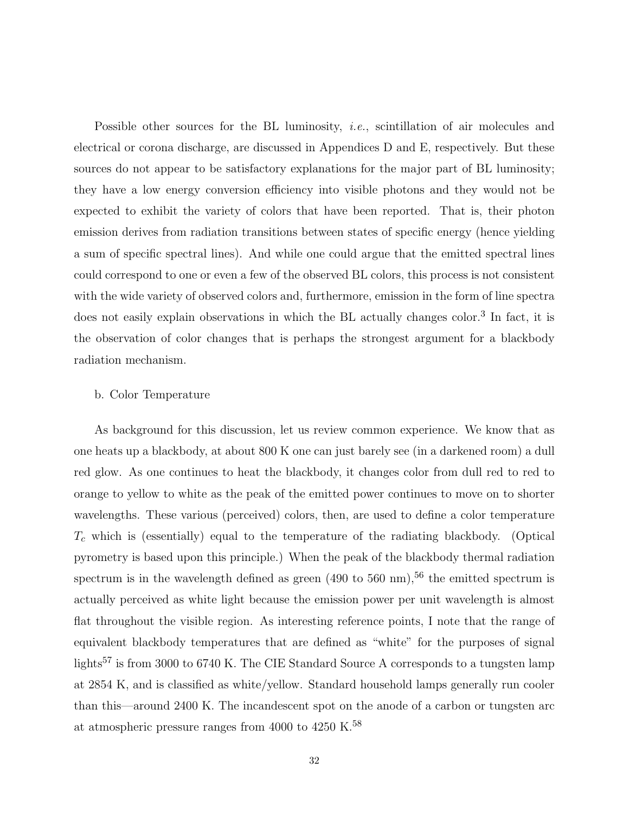Possible other sources for the BL luminosity, *i.e.*, scintillation of air molecules and electrical or corona discharge, are discussed in Appendices D and E, respectively. But these sources do not appear to be satisfactory explanations for the major part of BL luminosity; they have a low energy conversion efficiency into visible photons and they would not be expected to exhibit the variety of colors that have been reported. That is, their photon emission derives from radiation transitions between states of specific energy (hence yielding a sum of specific spectral lines). And while one could argue that the emitted spectral lines could correspond to one or even a few of the observed BL colors, this process is not consistent with the wide variety of observed colors and, furthermore, emission in the form of line spectra does not easily explain observations in which the BL actually changes color.<sup>3</sup> In fact, it is the observation of color changes that is perhaps the strongest argument for a blackbody radiation mechanism.

#### b. Color Temperature

As background for this discussion, let us review common experience. We know that as one heats up a blackbody, at about 800 K one can just barely see (in a darkened room) a dull red glow. As one continues to heat the blackbody, it changes color from dull red to red to orange to yellow to white as the peak of the emitted power continues to move on to shorter wavelengths. These various (perceived) colors, then, are used to define a color temperature *T*<sup>c</sup> which is (essentially) equal to the temperature of the radiating blackbody. (Optical pyrometry is based upon this principle.) When the peak of the blackbody thermal radiation spectrum is in the wavelength defined as green  $(490 \text{ to } 560 \text{ nm})$ ,<sup>56</sup> the emitted spectrum is actually perceived as white light because the emission power per unit wavelength is almost flat throughout the visible region. As interesting reference points, I note that the range of equivalent blackbody temperatures that are defined as "white" for the purposes of signal lights<sup>57</sup> is from 3000 to 6740 K. The CIE Standard Source A corresponds to a tungsten lamp at 2854 K, and is classified as white/yellow. Standard household lamps generally run cooler than this—around 2400 K. The incandescent spot on the anode of a carbon or tungsten arc at atmospheric pressure ranges from 4000 to 4250 K.<sup>58</sup>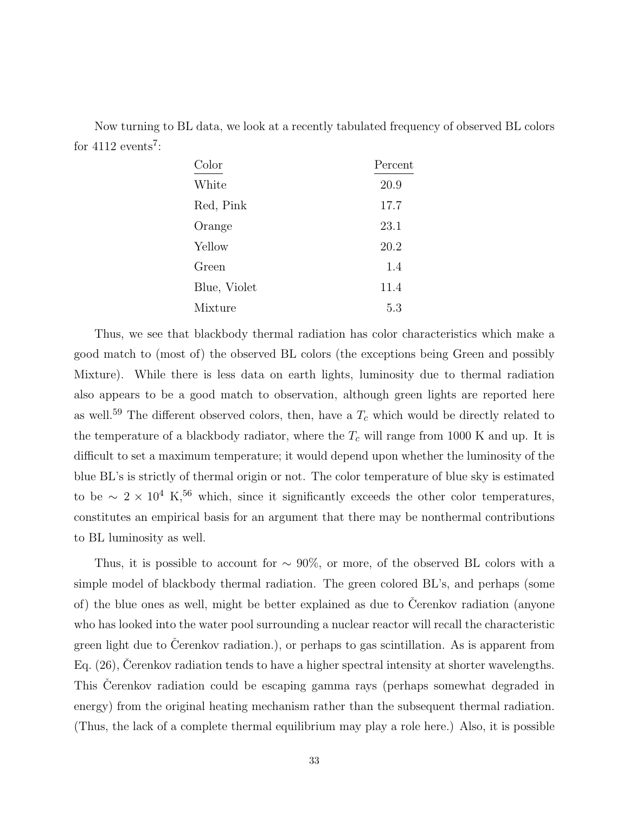Now turning to BL data, we look at a recently tabulated frequency of observed BL colors for  $4112$  events<sup>7</sup>:

| Color        | Percent |
|--------------|---------|
| White        | 20.9    |
| Red, Pink    | 17.7    |
| Orange       | 23.1    |
| Yellow       | 20.2    |
| Green        | 1.4     |
| Blue, Violet | 11.4    |
| Mixture      | 5.3     |

Thus, we see that blackbody thermal radiation has color characteristics which make a good match to (most of) the observed BL colors (the exceptions being Green and possibly Mixture). While there is less data on earth lights, luminosity due to thermal radiation also appears to be a good match to observation, although green lights are reported here as well.<sup>59</sup> The different observed colors, then, have a  $T_c$  which would be directly related to the temperature of a blackbody radiator, where the  $T_c$  will range from 1000 K and up. It is difficult to set a maximum temperature; it would depend upon whether the luminosity of the blue BL's is strictly of thermal origin or not. The color temperature of blue sky is estimated to be  $\sim 2 \times 10^4$  K,<sup>56</sup> which, since it significantly exceeds the other color temperatures, constitutes an empirical basis for an argument that there may be nonthermal contributions to BL luminosity as well.

Thus, it is possible to account for  $\sim 90\%$ , or more, of the observed BL colors with a simple model of blackbody thermal radiation. The green colored BL's, and perhaps (some of) the blue ones as well, might be better explained as due to Cerenkov radiation (anyone who has looked into the water pool surrounding a nuclear reactor will recall the characteristic green light due to Cerenkov radiation.), or perhaps to gas scintillation. As is apparent from Eq.  $(26)$ , Cerenkov radiation tends to have a higher spectral intensity at shorter wavelengths. This Cerenkov radiation could be escaping gamma rays (perhaps somewhat degraded in energy) from the original heating mechanism rather than the subsequent thermal radiation. (Thus, the lack of a complete thermal equilibrium may play a role here.) Also, it is possible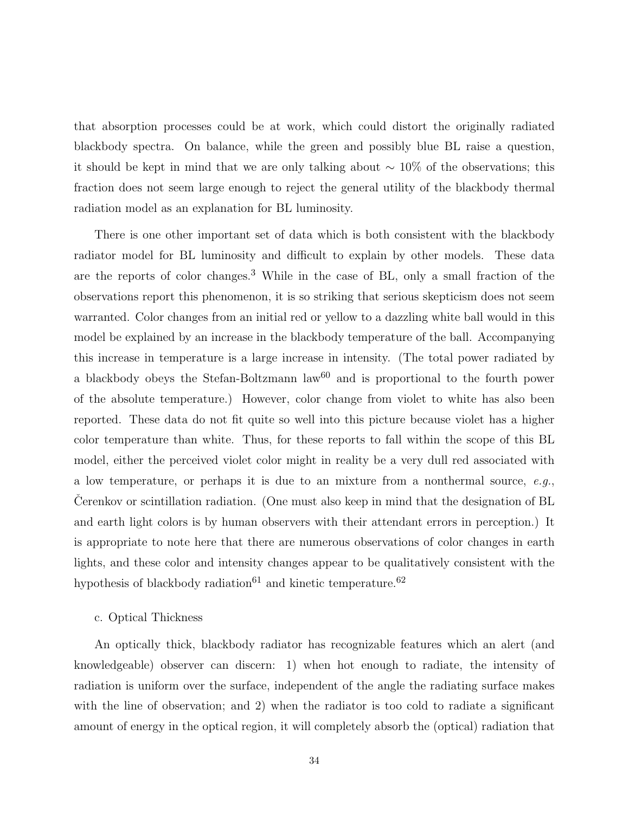that absorption processes could be at work, which could distort the originally radiated blackbody spectra. On balance, while the green and possibly blue BL raise a question, it should be kept in mind that we are only talking about  $\sim 10\%$  of the observations; this fraction does not seem large enough to reject the general utility of the blackbody thermal radiation model as an explanation for BL luminosity.

There is one other important set of data which is both consistent with the blackbody radiator model for BL luminosity and difficult to explain by other models. These data are the reports of color changes.<sup>3</sup> While in the case of BL, only a small fraction of the observations report this phenomenon, it is so striking that serious skepticism does not seem warranted. Color changes from an initial red or yellow to a dazzling white ball would in this model be explained by an increase in the blackbody temperature of the ball. Accompanying this increase in temperature is a large increase in intensity. (The total power radiated by a blackbody obeys the Stefan-Boltzmann law $60$  and is proportional to the fourth power of the absolute temperature.) However, color change from violet to white has also been reported. These data do not fit quite so well into this picture because violet has a higher color temperature than white. Thus, for these reports to fall within the scope of this BL model, either the perceived violet color might in reality be a very dull red associated with a low temperature, or perhaps it is due to an mixture from a nonthermal source, e.g., Cerenkov or scintillation radiation. (One must also keep in mind that the designation of BL and earth light colors is by human observers with their attendant errors in perception.) It is appropriate to note here that there are numerous observations of color changes in earth lights, and these color and intensity changes appear to be qualitatively consistent with the hypothesis of blackbody radiation<sup>61</sup> and kinetic temperature.<sup>62</sup>

#### c. Optical Thickness

An optically thick, blackbody radiator has recognizable features which an alert (and knowledgeable) observer can discern: 1) when hot enough to radiate, the intensity of radiation is uniform over the surface, independent of the angle the radiating surface makes with the line of observation; and 2) when the radiator is too cold to radiate a significant amount of energy in the optical region, it will completely absorb the (optical) radiation that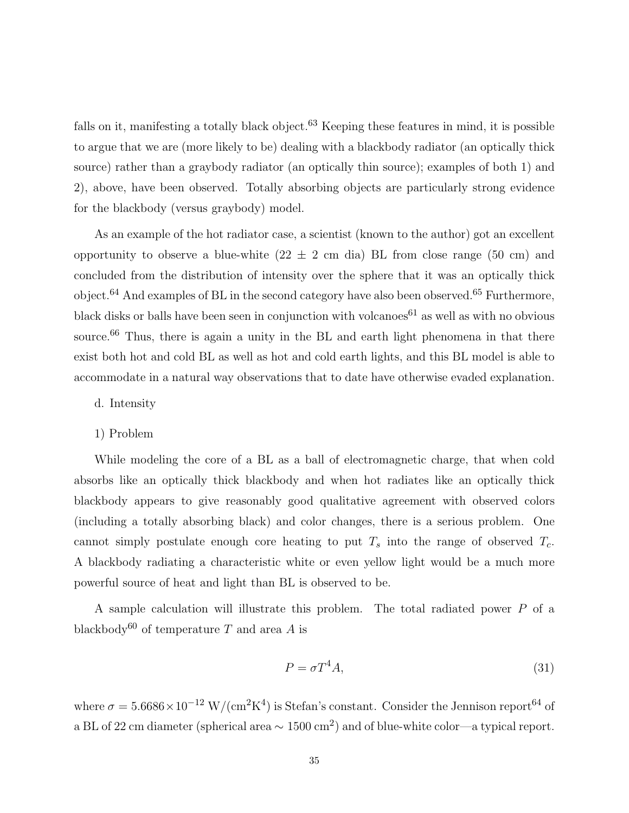falls on it, manifesting a totally black object.<sup>63</sup> Keeping these features in mind, it is possible to argue that we are (more likely to be) dealing with a blackbody radiator (an optically thick source) rather than a graybody radiator (an optically thin source); examples of both 1) and 2), above, have been observed. Totally absorbing objects are particularly strong evidence for the blackbody (versus graybody) model.

As an example of the hot radiator case, a scientist (known to the author) got an excellent opportunity to observe a blue-white  $(22 \pm 2 \text{ cm } \text{dia})$  BL from close range  $(50 \text{ cm})$  and concluded from the distribution of intensity over the sphere that it was an optically thick object.<sup>64</sup> And examples of BL in the second category have also been observed.<sup>65</sup> Furthermore, black disks or balls have been seen in conjunction with volcanoes<sup>61</sup> as well as with no obvious source.<sup>66</sup> Thus, there is again a unity in the BL and earth light phenomena in that there exist both hot and cold BL as well as hot and cold earth lights, and this BL model is able to accommodate in a natural way observations that to date have otherwise evaded explanation.

- d. Intensity
- 1) Problem

While modeling the core of a BL as a ball of electromagnetic charge, that when cold absorbs like an optically thick blackbody and when hot radiates like an optically thick blackbody appears to give reasonably good qualitative agreement with observed colors (including a totally absorbing black) and color changes, there is a serious problem. One cannot simply postulate enough core heating to put  $T_s$  into the range of observed  $T_c$ . A blackbody radiating a characteristic white or even yellow light would be a much more powerful source of heat and light than BL is observed to be.

A sample calculation will illustrate this problem. The total radiated power *P* of a blackbody<sup>60</sup> of temperature *T* and area *A* is

$$
P = \sigma T^4 A,\tag{31}
$$

where  $\sigma = 5.6686 \times 10^{-12}$  W/(cm<sup>2</sup>K<sup>4</sup>) is Stefan's constant. Consider the Jennison report<sup>64</sup> of a BL of 22 cm diameter (spherical area <sup>∼</sup> 1500 cm2) and of blue-white color—a typical report.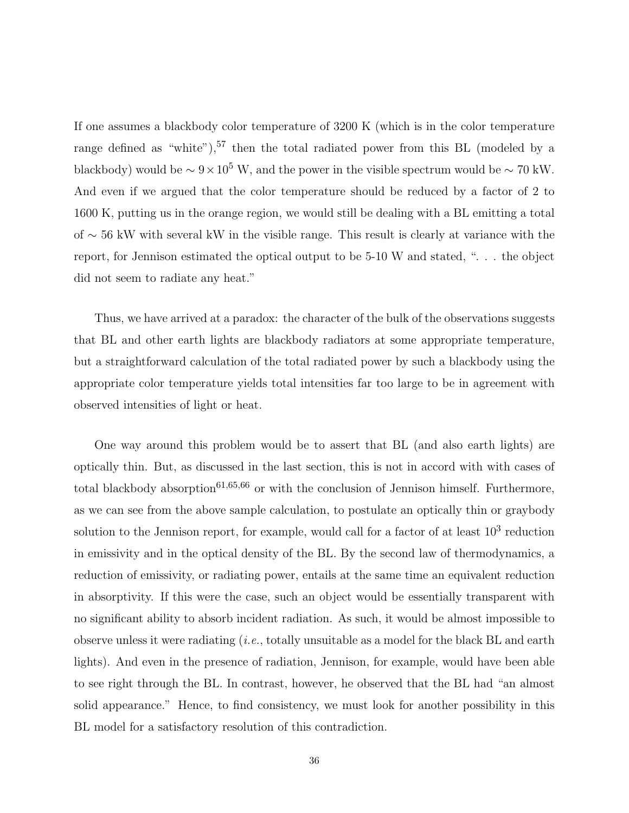If one assumes a blackbody color temperature of 3200 K (which is in the color temperature range defined as "white"),  $57$  then the total radiated power from this BL (modeled by a blackbody) would be  $\sim 9 \times 10^5$  W, and the power in the visible spectrum would be  $\sim 70$  kW. And even if we argued that the color temperature should be reduced by a factor of 2 to 1600 K, putting us in the orange region, we would still be dealing with a BL emitting a total of ∼ 56 kW with several kW in the visible range. This result is clearly at variance with the report, for Jennison estimated the optical output to be 5-10 W and stated, ". . . the object did not seem to radiate any heat."

Thus, we have arrived at a paradox: the character of the bulk of the observations suggests that BL and other earth lights are blackbody radiators at some appropriate temperature, but a straightforward calculation of the total radiated power by such a blackbody using the appropriate color temperature yields total intensities far too large to be in agreement with observed intensities of light or heat.

One way around this problem would be to assert that BL (and also earth lights) are optically thin. But, as discussed in the last section, this is not in accord with with cases of total blackbody absorption<sup>61,65,66</sup> or with the conclusion of Jennison himself. Furthermore, as we can see from the above sample calculation, to postulate an optically thin or graybody solution to the Jennison report, for example, would call for a factor of at least  $10^3$  reduction in emissivity and in the optical density of the BL. By the second law of thermodynamics, a reduction of emissivity, or radiating power, entails at the same time an equivalent reduction in absorptivity. If this were the case, such an object would be essentially transparent with no significant ability to absorb incident radiation. As such, it would be almost impossible to observe unless it were radiating  $(i.e.,$  totally unsuitable as a model for the black BL and earth lights). And even in the presence of radiation, Jennison, for example, would have been able to see right through the BL. In contrast, however, he observed that the BL had "an almost solid appearance." Hence, to find consistency, we must look for another possibility in this BL model for a satisfactory resolution of this contradiction.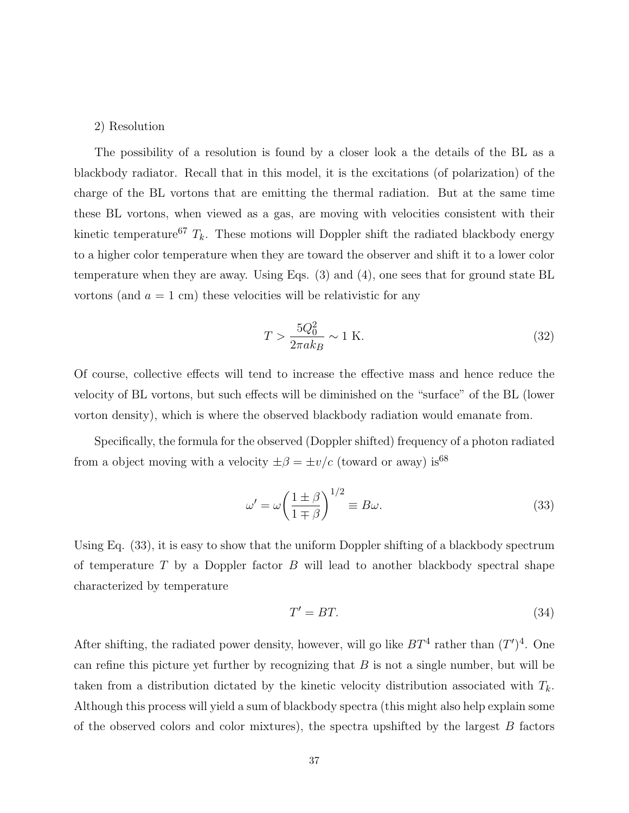### 2) Resolution

The possibility of a resolution is found by a closer look a the details of the BL as a blackbody radiator. Recall that in this model, it is the excitations (of polarization) of the charge of the BL vortons that are emitting the thermal radiation. But at the same time these BL vortons, when viewed as a gas, are moving with velocities consistent with their kinetic temperature<sup>67</sup>  $T_k$ . These motions will Doppler shift the radiated blackbody energy to a higher color temperature when they are toward the observer and shift it to a lower color temperature when they are away. Using Eqs. (3) and (4), one sees that for ground state BL vortons (and  $a = 1$  cm) these velocities will be relativistic for any

$$
T > \frac{5Q_0^2}{2\pi ak_B} \sim 1 \text{ K.}
$$
\n
$$
(32)
$$

Of course, collective effects will tend to increase the effective mass and hence reduce the velocity of BL vortons, but such effects will be diminished on the "surface" of the BL (lower vorton density), which is where the observed blackbody radiation would emanate from.

Specifically, the formula for the observed (Doppler shifted) frequency of a photon radiated from a object moving with a velocity  $\pm \beta = \pm v/c$  (toward or away) is<sup>68</sup>

$$
\omega' = \omega \left(\frac{1 \pm \beta}{1 \mp \beta}\right)^{1/2} \equiv B\omega.
$$
\n(33)

Using Eq. (33), it is easy to show that the uniform Doppler shifting of a blackbody spectrum of temperature *T* by a Doppler factor *B* will lead to another blackbody spectral shape characterized by temperature

$$
T' = BT.
$$
\n<sup>(34)</sup>

After shifting, the radiated power density, however, will go like  $BT^4$  rather than  $(T')^4$ . One can refine this picture yet further by recognizing that *B* is not a single number, but will be taken from a distribution dictated by the kinetic velocity distribution associated with  $T_k$ . Although this process will yield a sum of blackbody spectra (this might also help explain some of the observed colors and color mixtures), the spectra upshifted by the largest *B* factors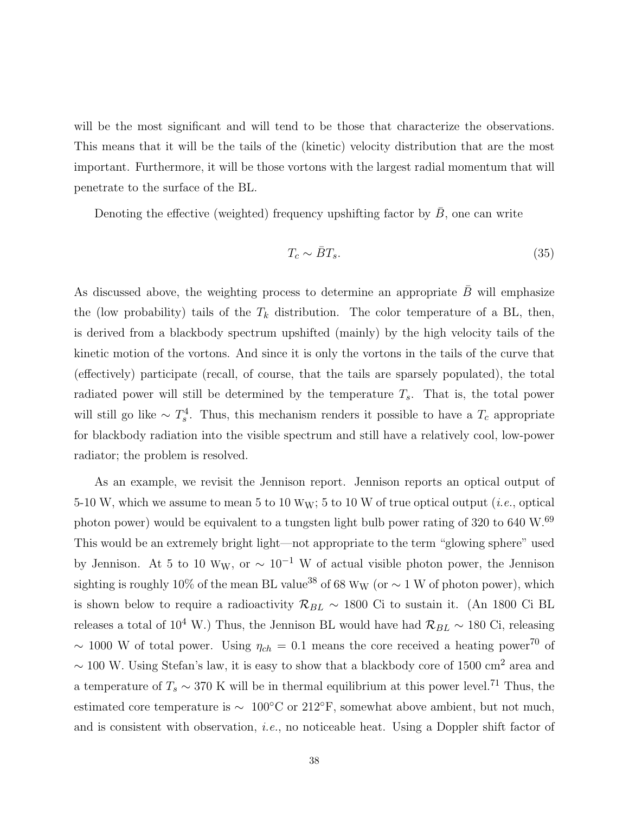will be the most significant and will tend to be those that characterize the observations. This means that it will be the tails of the (kinetic) velocity distribution that are the most important. Furthermore, it will be those vortons with the largest radial momentum that will penetrate to the surface of the BL.

Denoting the effective (weighted) frequency upshifting factor by  $\overline{B}$ , one can write

$$
T_c \sim \bar{B}T_s. \tag{35}
$$

As discussed above, the weighting process to determine an appropriate  $\bar{B}$  will emphasize the (low probability) tails of the  $T_k$  distribution. The color temperature of a BL, then, is derived from a blackbody spectrum upshifted (mainly) by the high velocity tails of the kinetic motion of the vortons. And since it is only the vortons in the tails of the curve that (effectively) participate (recall, of course, that the tails are sparsely populated), the total radiated power will still be determined by the temperature *T*s. That is, the total power will still go like  $\sim T_s^4$ . Thus, this mechanism renders it possible to have a  $T_c$  appropriate for blackbody radiation into the visible spectrum and still have a relatively cool, low-power radiator; the problem is resolved.

As an example, we revisit the Jennison report. Jennison reports an optical output of 5-10 W, which we assume to mean 5 to 10 W<sub>W</sub>; 5 to 10 W of true optical output (*i.e.*, optical photon power) would be equivalent to a tungsten light bulb power rating of 320 to 640 W.<sup>69</sup> This would be an extremely bright light—not appropriate to the term "glowing sphere" used by Jennison. At 5 to 10 W<sub>W</sub>, or  $\sim 10^{-1}$  W of actual visible photon power, the Jennison sighting is roughly 10% of the mean BL value<sup>38</sup> of 68 W<sub>W</sub> (or  $\sim$  1 W of photon power), which is shown below to require a radioactivity  $\mathcal{R}_{BL} \sim 1800$  Ci to sustain it. (An 1800 Ci BL releases a total of 10<sup>4</sup> W.) Thus, the Jennison BL would have had  $\mathcal{R}_{BL} \sim 180$  Ci, releasing ~ 1000 W of total power. Using  $\eta_{ch} = 0.1$  means the core received a heating power<sup>70</sup> of  $\sim 100$  W. Using Stefan's law, it is easy to show that a blackbody core of 1500 cm<sup>2</sup> area and a temperature of  $T_s \sim 370$  K will be in thermal equilibrium at this power level.<sup>71</sup> Thus, the estimated core temperature is  $\sim 100^{\circ}$ C or 212°F, somewhat above ambient, but not much, and is consistent with observation, i.e., no noticeable heat. Using a Doppler shift factor of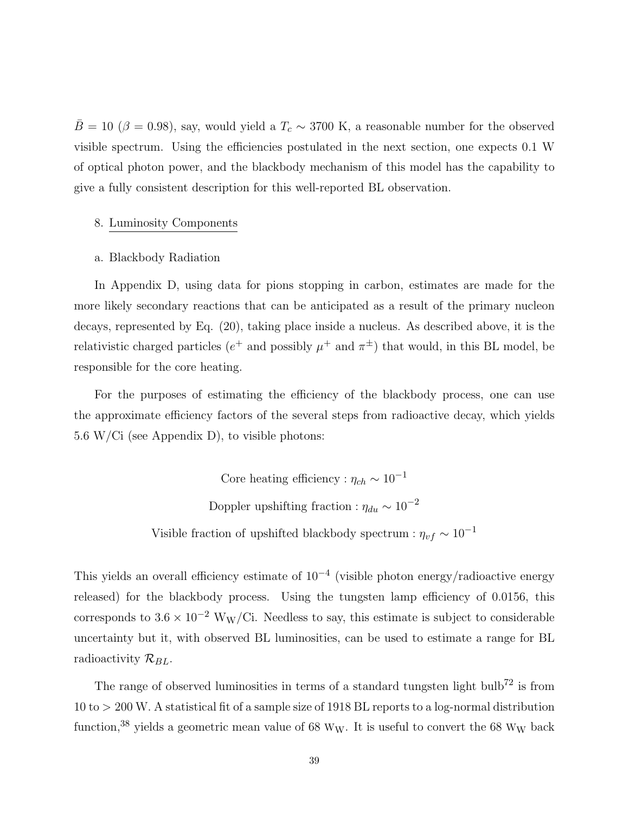$\bar{B} = 10$  ( $\beta = 0.98$ ), say, would yield a  $T_c \sim 3700$  K, a reasonable number for the observed visible spectrum. Using the efficiencies postulated in the next section, one expects 0.1 W of optical photon power, and the blackbody mechanism of this model has the capability to give a fully consistent description for this well-reported BL observation.

### 8. Luminosity Components

### a. Blackbody Radiation

In Appendix D, using data for pions stopping in carbon, estimates are made for the more likely secondary reactions that can be anticipated as a result of the primary nucleon decays, represented by Eq. (20), taking place inside a nucleus. As described above, it is the relativistic charged particles ( $e^+$  and possibly  $\mu^+$  and  $\pi^{\pm}$ ) that would, in this BL model, be responsible for the core heating.

For the purposes of estimating the efficiency of the blackbody process, one can use the approximate efficiency factors of the several steps from radioactive decay, which yields 5.6 W/Ci (see Appendix D), to visible photons:

> Core heating efficiency :  $\eta_{ch} \sim 10^{-1}$ Doppler upshifting fraction :  $\eta_{du} \sim 10^{-2}$ Visible fraction of upshifted blackbody spectrum :  $\eta_{vf} \sim 10^{-1}$

This yields an overall efficiency estimate of  $10^{-4}$  (visible photon energy/radioactive energy released) for the blackbody process. Using the tungsten lamp efficiency of 0.0156, this corresponds to  $3.6 \times 10^{-2}$  W<sub>W</sub>/Ci. Needless to say, this estimate is subject to considerable uncertainty but it, with observed BL luminosities, can be used to estimate a range for BL radioactivity  $\mathcal{R}_{BL}$ .

The range of observed luminosities in terms of a standard tungsten light bulb<sup>72</sup> is from 10 to *>* 200 W. A statistical fit of a sample size of 1918 BL reports to a log-normal distribution function,  $38$  yields a geometric mean value of 68 W<sub>W</sub>. It is useful to convert the 68 W<sub>W</sub> back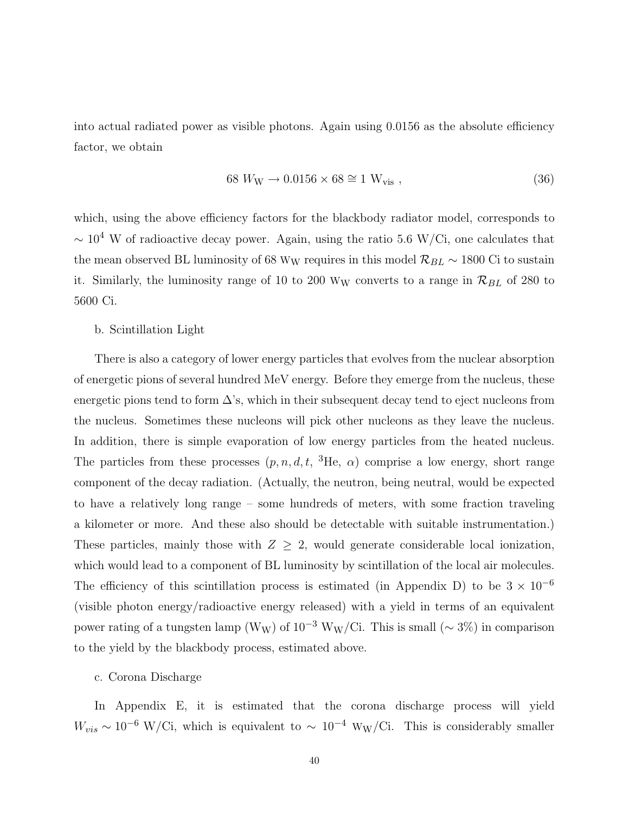into actual radiated power as visible photons. Again using 0.0156 as the absolute efficiency factor, we obtain

$$
68 WW \rightarrow 0.0156 \times 68 \cong 1 Wvis , \qquad (36)
$$

which, using the above efficiency factors for the blackbody radiator model, corresponds to  $\sim 10^4$  W of radioactive decay power. Again, using the ratio 5.6 W/Ci, one calculates that the mean observed BL luminosity of 68 W<sub>W</sub> requires in this model  $\mathcal{R}_{BL}$  ∼ 1800 Ci to sustain it. Similarly, the luminosity range of 10 to 200 W<sub>W</sub> converts to a range in  $\mathcal{R}_{BL}$  of 280 to 5600 Ci.

b. Scintillation Light

There is also a category of lower energy particles that evolves from the nuclear absorption of energetic pions of several hundred MeV energy. Before they emerge from the nucleus, these energetic pions tend to form  $\Delta$ 's, which in their subsequent decay tend to eject nucleons from the nucleus. Sometimes these nucleons will pick other nucleons as they leave the nucleus. In addition, there is simple evaporation of low energy particles from the heated nucleus. The particles from these processes  $(p, n, d, t, \,^3\text{He}, \alpha)$  comprise a low energy, short range component of the decay radiation. (Actually, the neutron, being neutral, would be expected to have a relatively long range – some hundreds of meters, with some fraction traveling a kilometer or more. And these also should be detectable with suitable instrumentation.) These particles, mainly those with  $Z \geq 2$ , would generate considerable local ionization, which would lead to a component of BL luminosity by scintillation of the local air molecules. The efficiency of this scintillation process is estimated (in Appendix D) to be  $3 \times 10^{-6}$ (visible photon energy/radioactive energy released) with a yield in terms of an equivalent power rating of a tungsten lamp (W<sub>W</sub>) of  $10^{-3}$  W<sub>W</sub>/Ci. This is small (~ 3%) in comparison to the yield by the blackbody process, estimated above.

### c. Corona Discharge

In Appendix E, it is estimated that the corona discharge process will yield  $W_{vis} \sim 10^{-6}$  W/Ci, which is equivalent to  $\sim 10^{-4}$  W<sub>W</sub>/Ci. This is considerably smaller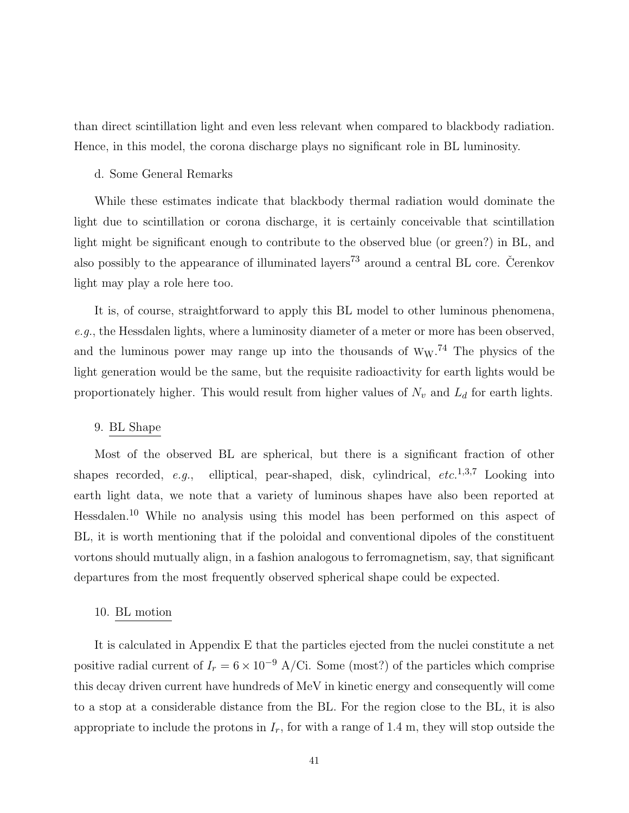than direct scintillation light and even less relevant when compared to blackbody radiation. Hence, in this model, the corona discharge plays no significant role in BL luminosity.

### d. Some General Remarks

While these estimates indicate that blackbody thermal radiation would dominate the light due to scintillation or corona discharge, it is certainly conceivable that scintillation light might be significant enough to contribute to the observed blue (or green?) in BL, and also possibly to the appearance of illuminated layers<sup>73</sup> around a central BL core. Čerenkov light may play a role here too.

It is, of course, straightforward to apply this BL model to other luminous phenomena, e.g., the Hessdalen lights, where a luminosity diameter of a meter or more has been observed, and the luminous power may range up into the thousands of  $W_W$ .<sup>74</sup> The physics of the light generation would be the same, but the requisite radioactivity for earth lights would be proportionately higher. This would result from higher values of  $N_v$  and  $L_d$  for earth lights.

### 9. BL Shape

Most of the observed BL are spherical, but there is a significant fraction of other shapes recorded, e.g., elliptical, pear-shaped, disk, cylindrical, *etc.*1,3,<sup>7</sup> Looking into earth light data, we note that a variety of luminous shapes have also been reported at Hessdalen.<sup>10</sup> While no analysis using this model has been performed on this aspect of BL, it is worth mentioning that if the poloidal and conventional dipoles of the constituent vortons should mutually align, in a fashion analogous to ferromagnetism, say, that significant departures from the most frequently observed spherical shape could be expected.

### 10. BL motion

It is calculated in Appendix E that the particles ejected from the nuclei constitute a net positive radial current of  $I_r = 6 \times 10^{-9}$  A/Ci. Some (most?) of the particles which comprise this decay driven current have hundreds of MeV in kinetic energy and consequently will come to a stop at a considerable distance from the BL. For the region close to the BL, it is also appropriate to include the protons in  $I_r$ , for with a range of 1.4 m, they will stop outside the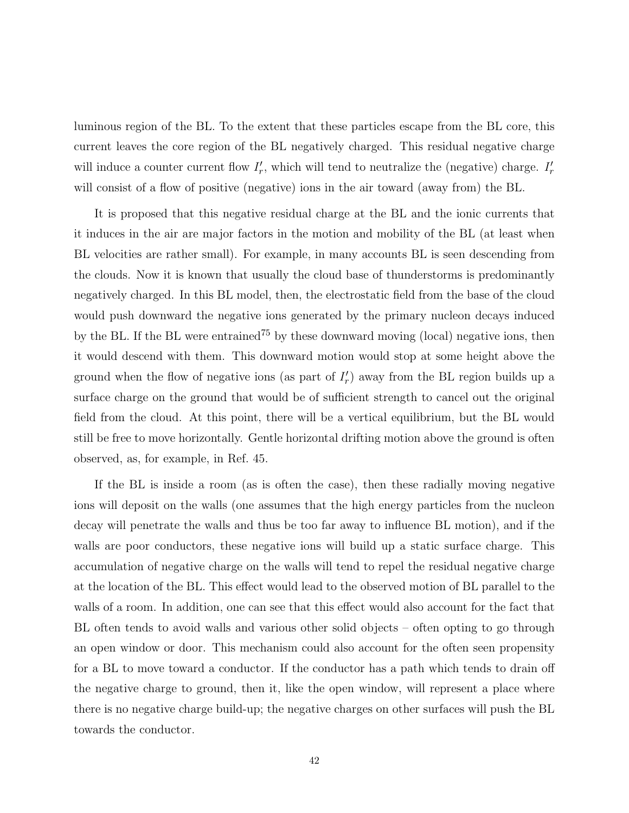luminous region of the BL. To the extent that these particles escape from the BL core, this current leaves the core region of the BL negatively charged. This residual negative charge will induce a counter current flow  $I'_r$ , which will tend to neutralize the (negative) charge.  $I'_r$ will consist of a flow of positive (negative) ions in the air toward (away from) the BL.

It is proposed that this negative residual charge at the BL and the ionic currents that it induces in the air are major factors in the motion and mobility of the BL (at least when BL velocities are rather small). For example, in many accounts BL is seen descending from the clouds. Now it is known that usually the cloud base of thunderstorms is predominantly negatively charged. In this BL model, then, the electrostatic field from the base of the cloud would push downward the negative ions generated by the primary nucleon decays induced by the BL. If the BL were entrained<sup>75</sup> by these downward moving (local) negative ions, then it would descend with them. This downward motion would stop at some height above the ground when the flow of negative ions (as part of  $I'_r$ ) away from the BL region builds up a surface charge on the ground that would be of sufficient strength to cancel out the original field from the cloud. At this point, there will be a vertical equilibrium, but the BL would still be free to move horizontally. Gentle horizontal drifting motion above the ground is often observed, as, for example, in Ref. 45.

If the BL is inside a room (as is often the case), then these radially moving negative ions will deposit on the walls (one assumes that the high energy particles from the nucleon decay will penetrate the walls and thus be too far away to influence BL motion), and if the walls are poor conductors, these negative ions will build up a static surface charge. This accumulation of negative charge on the walls will tend to repel the residual negative charge at the location of the BL. This effect would lead to the observed motion of BL parallel to the walls of a room. In addition, one can see that this effect would also account for the fact that BL often tends to avoid walls and various other solid objects – often opting to go through an open window or door. This mechanism could also account for the often seen propensity for a BL to move toward a conductor. If the conductor has a path which tends to drain off the negative charge to ground, then it, like the open window, will represent a place where there is no negative charge build-up; the negative charges on other surfaces will push the BL towards the conductor.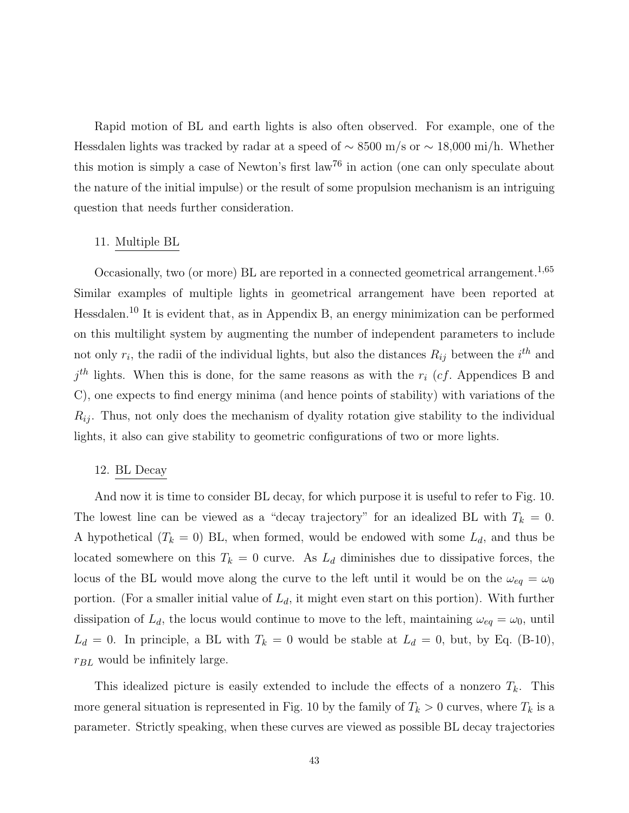Rapid motion of BL and earth lights is also often observed. For example, one of the Hessdalen lights was tracked by radar at a speed of ∼ 8500 m/s or ∼ 18,000 mi/h. Whether this motion is simply a case of Newton's first law<sup>76</sup> in action (one can only speculate about the nature of the initial impulse) or the result of some propulsion mechanism is an intriguing question that needs further consideration.

### 11. Multiple BL

Occasionally, two (or more) BL are reported in a connected geometrical arrangement.<sup>1,65</sup> Similar examples of multiple lights in geometrical arrangement have been reported at Hessdalen.<sup>10</sup> It is evident that, as in Appendix B, an energy minimization can be performed on this multilight system by augmenting the number of independent parameters to include not only  $r_i$ , the radii of the individual lights, but also the distances  $R_{ij}$  between the  $i^{th}$  and  $j<sup>th</sup>$  lights. When this is done, for the same reasons as with the  $r_i$  (*cf.* Appendices B and C), one expects to find energy minima (and hence points of stability) with variations of the  $R_{ij}$ . Thus, not only does the mechanism of dyality rotation give stability to the individual lights, it also can give stability to geometric configurations of two or more lights.

#### 12. BL Decay

And now it is time to consider BL decay, for which purpose it is useful to refer to Fig. 10. The lowest line can be viewed as a "decay trajectory" for an idealized BL with  $T_k = 0$ . A hypothetical  $(T_k = 0)$  BL, when formed, would be endowed with some  $L_d$ , and thus be located somewhere on this  $T_k = 0$  curve. As  $L_d$  diminishes due to dissipative forces, the locus of the BL would move along the curve to the left until it would be on the  $\omega_{eq} = \omega_0$ portion. (For a smaller initial value of  $L_d$ , it might even start on this portion). With further dissipation of  $L_d$ , the locus would continue to move to the left, maintaining  $\omega_{eq} = \omega_0$ , until  $L_d = 0$ . In principle, a BL with  $T_k = 0$  would be stable at  $L_d = 0$ , but, by Eq. (B-10),  $r_{BL}$  would be infinitely large.

This idealized picture is easily extended to include the effects of a nonzero  $T_k$ . This more general situation is represented in Fig. 10 by the family of  $T_k > 0$  curves, where  $T_k$  is a parameter. Strictly speaking, when these curves are viewed as possible BL decay trajectories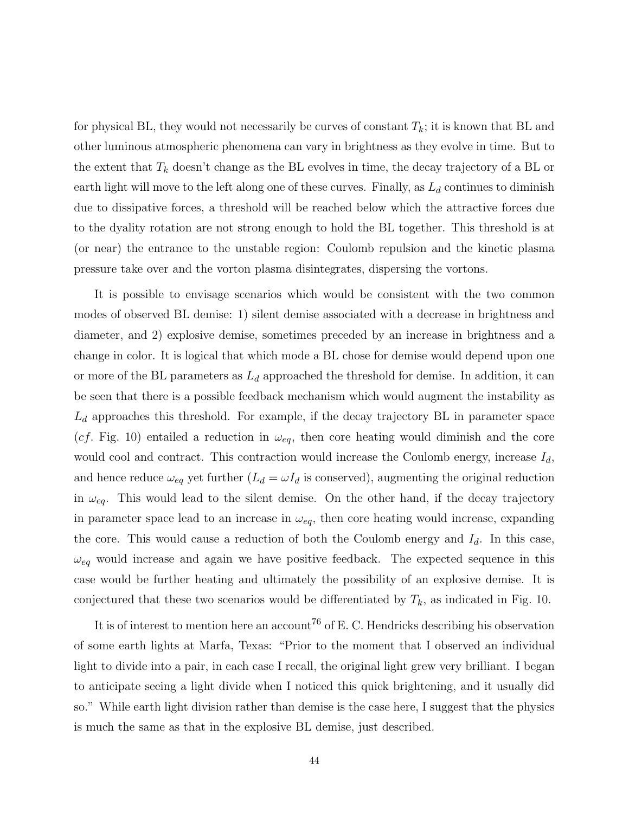for physical BL, they would not necessarily be curves of constant  $T_k$ ; it is known that BL and other luminous atmospheric phenomena can vary in brightness as they evolve in time. But to the extent that  $T_k$  doesn't change as the BL evolves in time, the decay trajectory of a BL or earth light will move to the left along one of these curves. Finally, as  $L_d$  continues to diminish due to dissipative forces, a threshold will be reached below which the attractive forces due to the dyality rotation are not strong enough to hold the BL together. This threshold is at (or near) the entrance to the unstable region: Coulomb repulsion and the kinetic plasma pressure take over and the vorton plasma disintegrates, dispersing the vortons.

It is possible to envisage scenarios which would be consistent with the two common modes of observed BL demise: 1) silent demise associated with a decrease in brightness and diameter, and 2) explosive demise, sometimes preceded by an increase in brightness and a change in color. It is logical that which mode a BL chose for demise would depend upon one or more of the BL parameters as  $L_d$  approached the threshold for demise. In addition, it can be seen that there is a possible feedback mechanism which would augment the instability as  $L_d$  approaches this threshold. For example, if the decay trajectory BL in parameter space (*cf.* Fig. 10) entailed a reduction in  $\omega_{eq}$ , then core heating would diminish and the core would cool and contract. This contraction would increase the Coulomb energy, increase  $I_d$ , and hence reduce  $\omega_{eq}$  yet further  $(L_d = \omega I_d$  is conserved), augmenting the original reduction in  $\omega_{eq}$ . This would lead to the silent demise. On the other hand, if the decay trajectory in parameter space lead to an increase in  $\omega_{eq}$ , then core heating would increase, expanding the core. This would cause a reduction of both the Coulomb energy and  $I_d$ . In this case,  $\omega_{eq}$  would increase and again we have positive feedback. The expected sequence in this case would be further heating and ultimately the possibility of an explosive demise. It is conjectured that these two scenarios would be differentiated by  $T_k$ , as indicated in Fig. 10.

It is of interest to mention here an account<sup>76</sup> of E. C. Hendricks describing his observation of some earth lights at Marfa, Texas: "Prior to the moment that I observed an individual light to divide into a pair, in each case I recall, the original light grew very brilliant. I began to anticipate seeing a light divide when I noticed this quick brightening, and it usually did so." While earth light division rather than demise is the case here, I suggest that the physics is much the same as that in the explosive BL demise, just described.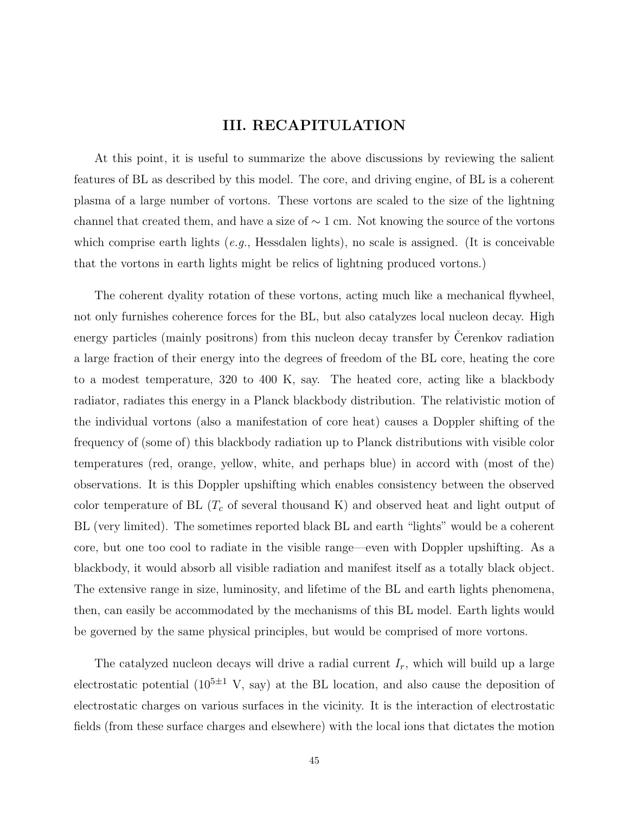# **III. RECAPITULATION**

At this point, it is useful to summarize the above discussions by reviewing the salient features of BL as described by this model. The core, and driving engine, of BL is a coherent plasma of a large number of vortons. These vortons are scaled to the size of the lightning channel that created them, and have a size of  $\sim 1$  cm. Not knowing the source of the vortons which comprise earth lights (e.g., Hessdalen lights), no scale is assigned. (It is conceivable that the vortons in earth lights might be relics of lightning produced vortons.)

The coherent dyality rotation of these vortons, acting much like a mechanical flywheel, not only furnishes coherence forces for the BL, but also catalyzes local nucleon decay. High energy particles (mainly positrons) from this nucleon decay transfer by Cerenkov radiation a large fraction of their energy into the degrees of freedom of the BL core, heating the core to a modest temperature, 320 to 400 K, say. The heated core, acting like a blackbody radiator, radiates this energy in a Planck blackbody distribution. The relativistic motion of the individual vortons (also a manifestation of core heat) causes a Doppler shifting of the frequency of (some of) this blackbody radiation up to Planck distributions with visible color temperatures (red, orange, yellow, white, and perhaps blue) in accord with (most of the) observations. It is this Doppler upshifting which enables consistency between the observed color temperature of BL  $(T_c$  of several thousand K) and observed heat and light output of BL (very limited). The sometimes reported black BL and earth "lights" would be a coherent core, but one too cool to radiate in the visible range—even with Doppler upshifting. As a blackbody, it would absorb all visible radiation and manifest itself as a totally black object. The extensive range in size, luminosity, and lifetime of the BL and earth lights phenomena, then, can easily be accommodated by the mechanisms of this BL model. Earth lights would be governed by the same physical principles, but would be comprised of more vortons.

The catalyzed nucleon decays will drive a radial current *I*r, which will build up a large electrostatic potential  $(10^{5\pm1} \text{ V}, \text{say})$  at the BL location, and also cause the deposition of electrostatic charges on various surfaces in the vicinity. It is the interaction of electrostatic fields (from these surface charges and elsewhere) with the local ions that dictates the motion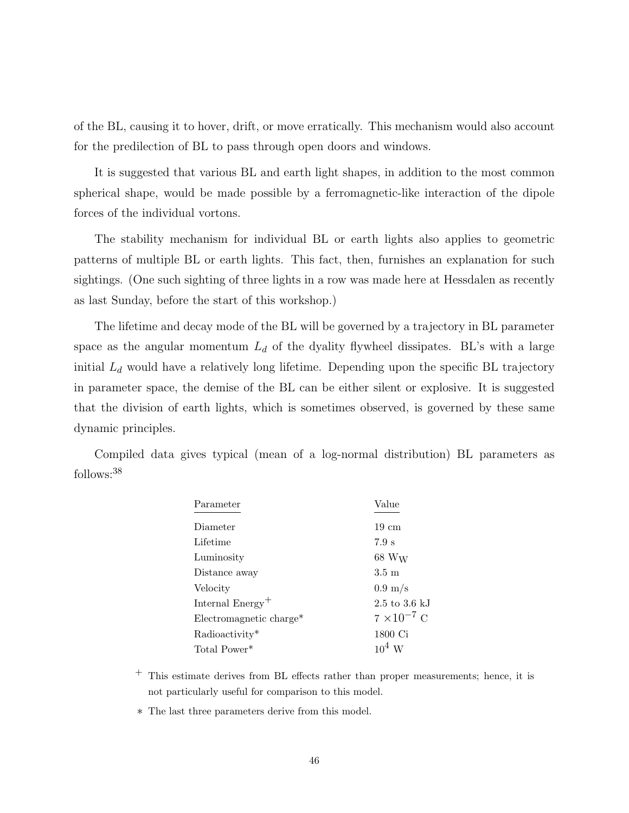of the BL, causing it to hover, drift, or move erratically. This mechanism would also account for the predilection of BL to pass through open doors and windows.

It is suggested that various BL and earth light shapes, in addition to the most common spherical shape, would be made possible by a ferromagnetic-like interaction of the dipole forces of the individual vortons.

The stability mechanism for individual BL or earth lights also applies to geometric patterns of multiple BL or earth lights. This fact, then, furnishes an explanation for such sightings. (One such sighting of three lights in a row was made here at Hessdalen as recently as last Sunday, before the start of this workshop.)

The lifetime and decay mode of the BL will be governed by a trajectory in BL parameter space as the angular momentum  $L_d$  of the dyality flywheel dissipates. BL's with a large initial  $L_d$  would have a relatively long lifetime. Depending upon the specific BL trajectory in parameter space, the demise of the BL can be either silent or explosive. It is suggested that the division of earth lights, which is sometimes observed, is governed by these same dynamic principles.

Compiled data gives typical (mean of a log-normal distribution) BL parameters as follows:<sup>38</sup>

| Parameter                    | Value                            |
|------------------------------|----------------------------------|
| Diameter                     | $19 \text{ cm}$                  |
| Lifetime                     | 7.9 s                            |
| Luminosity                   | $68\ \mathrm{W}_{\mathrm{W}}$    |
| Distance away                | $3.5 \text{ m}$                  |
| Velocity                     | $0.9 \text{ m/s}$                |
| Internal Energy <sup>+</sup> | $2.5 \text{ to } 3.6 \text{ kJ}$ |
| Electromagnetic charge*      | $7 \times 10^{-7}$ C             |
| Radioactivity*               | 1800 Ci                          |
| Total Power <sup>*</sup>     | $10^4$ W                         |

<sup>+</sup> This estimate derives from BL effects rather than proper measurements; hence, it is not particularly useful for comparison to this model.

∗ The last three parameters derive from this model.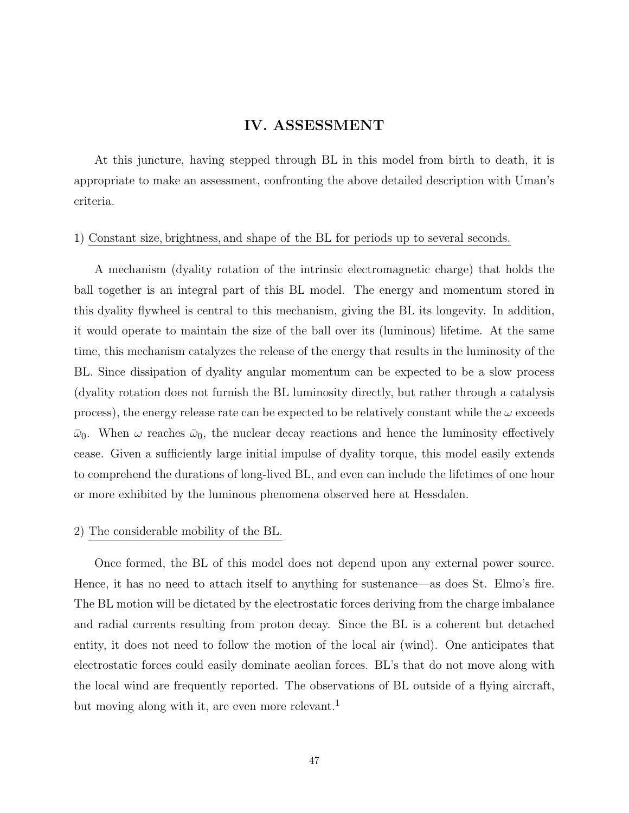# **IV. ASSESSMENT**

At this juncture, having stepped through BL in this model from birth to death, it is appropriate to make an assessment, confronting the above detailed description with Uman's criteria.

#### 1) Constant size*,* brightness*,* and shape of the BL for periods up to several seconds*.*

A mechanism (dyality rotation of the intrinsic electromagnetic charge) that holds the ball together is an integral part of this BL model. The energy and momentum stored in this dyality flywheel is central to this mechanism, giving the BL its longevity. In addition, it would operate to maintain the size of the ball over its (luminous) lifetime. At the same time, this mechanism catalyzes the release of the energy that results in the luminosity of the BL. Since dissipation of dyality angular momentum can be expected to be a slow process (dyality rotation does not furnish the BL luminosity directly, but rather through a catalysis process), the energy release rate can be expected to be relatively constant while the  $\omega$  exceeds  $\bar{\omega}_0$ . When  $\omega$  reaches  $\bar{\omega}_0$ , the nuclear decay reactions and hence the luminosity effectively cease. Given a sufficiently large initial impulse of dyality torque, this model easily extends to comprehend the durations of long-lived BL, and even can include the lifetimes of one hour or more exhibited by the luminous phenomena observed here at Hessdalen.

### 2) The considerable mobility of the BL.

Once formed, the BL of this model does not depend upon any external power source. Hence, it has no need to attach itself to anything for sustenance—as does St. Elmo's fire. The BL motion will be dictated by the electrostatic forces deriving from the charge imbalance and radial currents resulting from proton decay. Since the BL is a coherent but detached entity, it does not need to follow the motion of the local air (wind). One anticipates that electrostatic forces could easily dominate aeolian forces. BL's that do not move along with the local wind are frequently reported. The observations of BL outside of a flying aircraft, but moving along with it, are even more relevant.<sup>1</sup>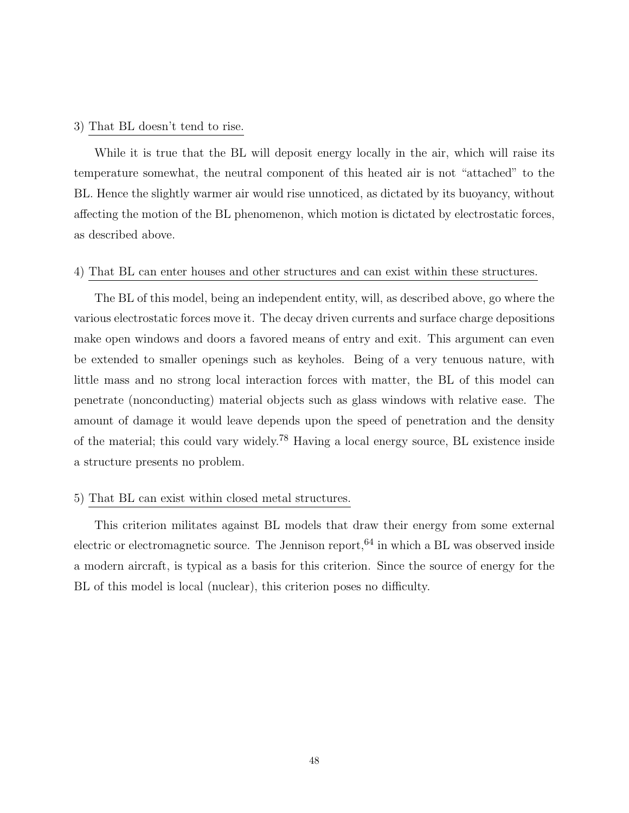#### 3) That BL doesn't tend to rise.

While it is true that the BL will deposit energy locally in the air, which will raise its temperature somewhat, the neutral component of this heated air is not "attached" to the BL. Hence the slightly warmer air would rise unnoticed, as dictated by its buoyancy, without affecting the motion of the BL phenomenon, which motion is dictated by electrostatic forces, as described above.

### 4) That BL can enter houses and other structures and can exist within these structures.

The BL of this model, being an independent entity, will, as described above, go where the various electrostatic forces move it. The decay driven currents and surface charge depositions make open windows and doors a favored means of entry and exit. This argument can even be extended to smaller openings such as keyholes. Being of a very tenuous nature, with little mass and no strong local interaction forces with matter, the BL of this model can penetrate (nonconducting) material objects such as glass windows with relative ease. The amount of damage it would leave depends upon the speed of penetration and the density of the material; this could vary widely.<sup>78</sup> Having a local energy source, BL existence inside a structure presents no problem.

### 5) That BL can exist within closed metal structures.

This criterion militates against BL models that draw their energy from some external electric or electromagnetic source. The Jennison report,  $64$  in which a BL was observed inside a modern aircraft, is typical as a basis for this criterion. Since the source of energy for the BL of this model is local (nuclear), this criterion poses no difficulty.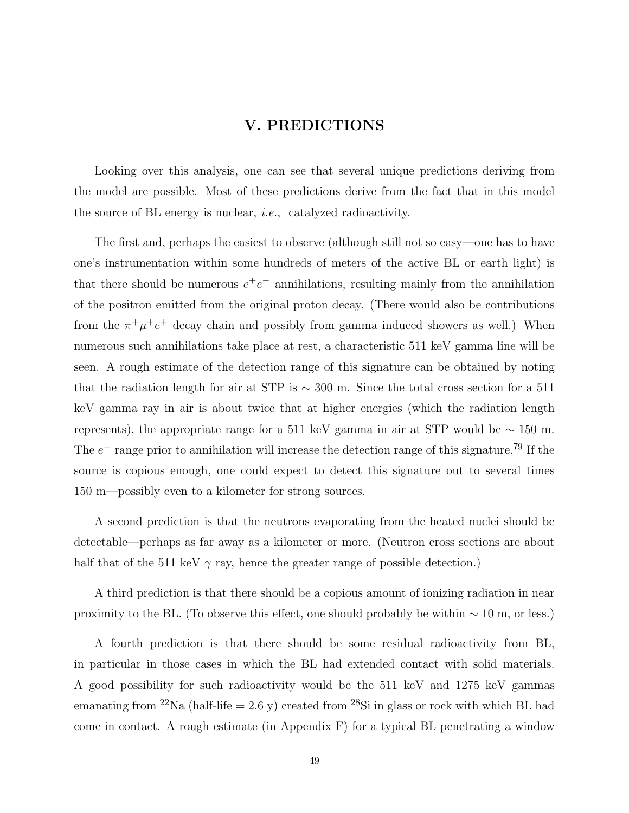## **V. PREDICTIONS**

Looking over this analysis, one can see that several unique predictions deriving from the model are possible. Most of these predictions derive from the fact that in this model the source of BL energy is nuclear, i.e., catalyzed radioactivity.

The first and, perhaps the easiest to observe (although still not so easy—one has to have one's instrumentation within some hundreds of meters of the active BL or earth light) is that there should be numerous  $e^+e^-$  annihilations, resulting mainly from the annihilation of the positron emitted from the original proton decay. (There would also be contributions from the  $\pi^+\mu^+e^+$  decay chain and possibly from gamma induced showers as well.) When numerous such annihilations take place at rest, a characteristic 511 keV gamma line will be seen. A rough estimate of the detection range of this signature can be obtained by noting that the radiation length for air at STP is ∼ 300 m. Since the total cross section for a 511 keV gamma ray in air is about twice that at higher energies (which the radiation length represents), the appropriate range for a 511 keV gamma in air at STP would be  $\sim 150$  m. The  $e^+$  range prior to annihilation will increase the detection range of this signature.<sup>79</sup> If the source is copious enough, one could expect to detect this signature out to several times 150 m—possibly even to a kilometer for strong sources.

A second prediction is that the neutrons evaporating from the heated nuclei should be detectable—perhaps as far away as a kilometer or more. (Neutron cross sections are about half that of the 511 keV  $\gamma$  ray, hence the greater range of possible detection.)

A third prediction is that there should be a copious amount of ionizing radiation in near proximity to the BL. (To observe this effect, one should probably be within  $\sim 10$  m, or less.)

A fourth prediction is that there should be some residual radioactivity from BL, in particular in those cases in which the BL had extended contact with solid materials. A good possibility for such radioactivity would be the 511 keV and 1275 keV gammas emanating from <sup>22</sup>Na (half-life = 2.6 y) created from <sup>28</sup>Si in glass or rock with which BL had come in contact. A rough estimate (in Appendix F) for a typical BL penetrating a window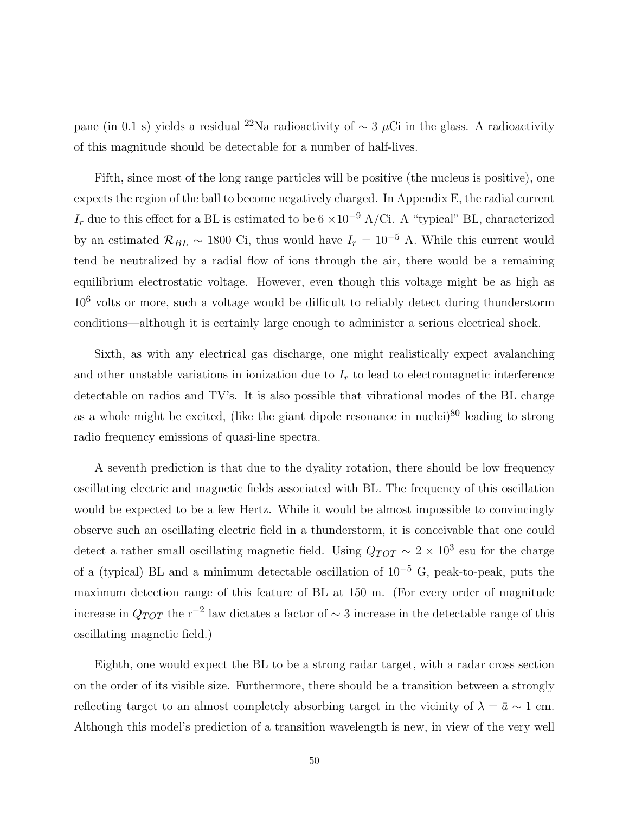pane (in 0.1 s) yields a residual <sup>22</sup>Na radioactivity of <sup>∼</sup> <sup>3</sup> *<sup>µ</sup>*Ci in the glass. A radioactivity of this magnitude should be detectable for a number of half-lives.

Fifth, since most of the long range particles will be positive (the nucleus is positive), one expects the region of the ball to become negatively charged. In Appendix E, the radial current  $I_r$  due to this effect for a BL is estimated to be 6 ×10<sup>-9</sup> A/Ci. A "typical" BL, characterized by an estimated  $\mathcal{R}_{BL} \sim 1800$  Ci, thus would have  $I_r = 10^{-5}$  A. While this current would tend be neutralized by a radial flow of ions through the air, there would be a remaining equilibrium electrostatic voltage. However, even though this voltage might be as high as  $10<sup>6</sup>$  volts or more, such a voltage would be difficult to reliably detect during thunderstorm conditions—although it is certainly large enough to administer a serious electrical shock.

Sixth, as with any electrical gas discharge, one might realistically expect avalanching and other unstable variations in ionization due to  $I_r$  to lead to electromagnetic interference detectable on radios and TV's. It is also possible that vibrational modes of the BL charge as a whole might be excited, (like the giant dipole resonance in nuclei) $80$  leading to strong radio frequency emissions of quasi-line spectra.

A seventh prediction is that due to the dyality rotation, there should be low frequency oscillating electric and magnetic fields associated with BL. The frequency of this oscillation would be expected to be a few Hertz. While it would be almost impossible to convincingly observe such an oscillating electric field in a thunderstorm, it is conceivable that one could detect a rather small oscillating magnetic field. Using  $Q_{TOT} \sim 2 \times 10^3$  esu for the charge of a (typical) BL and a minimum detectable oscillation of  $10^{-5}$  G, peak-to-peak, puts the maximum detection range of this feature of BL at 150 m. (For every order of magnitude increase in *QTOT* the r<sup>−2</sup> law dictates a factor of  $\sim$  3 increase in the detectable range of this oscillating magnetic field.)

Eighth, one would expect the BL to be a strong radar target, with a radar cross section on the order of its visible size. Furthermore, there should be a transition between a strongly reflecting target to an almost completely absorbing target in the vicinity of  $\lambda = \bar{a} \sim 1$  cm. Although this model's prediction of a transition wavelength is new, in view of the very well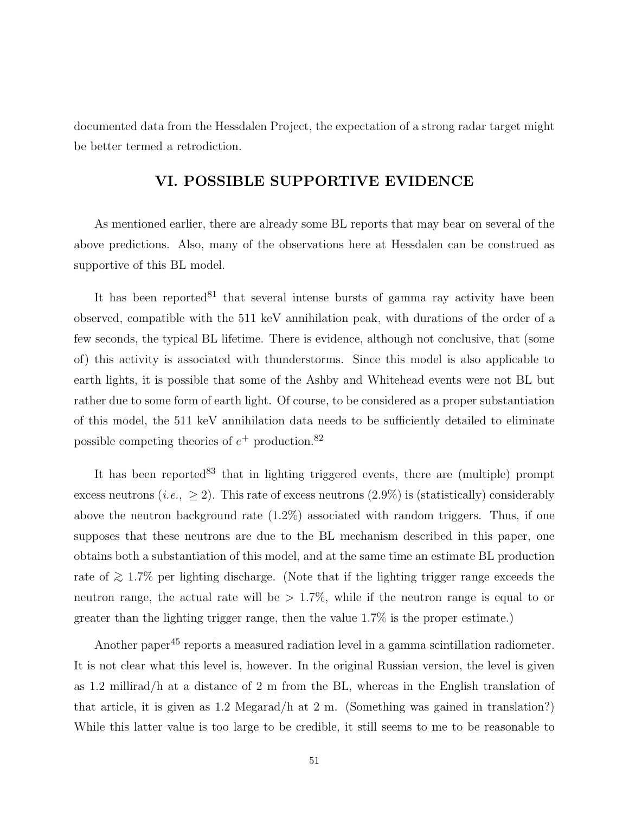documented data from the Hessdalen Project, the expectation of a strong radar target might be better termed a retrodiction.

### **VI. POSSIBLE SUPPORTIVE EVIDENCE**

As mentioned earlier, there are already some BL reports that may bear on several of the above predictions. Also, many of the observations here at Hessdalen can be construed as supportive of this BL model.

It has been reported  $81$  that several intense bursts of gamma ray activity have been observed, compatible with the 511 keV annihilation peak, with durations of the order of a few seconds, the typical BL lifetime. There is evidence, although not conclusive, that (some of) this activity is associated with thunderstorms. Since this model is also applicable to earth lights, it is possible that some of the Ashby and Whitehead events were not BL but rather due to some form of earth light. Of course, to be considered as a proper substantiation of this model, the 511 keV annihilation data needs to be sufficiently detailed to eliminate possible competing theories of *e*<sup>+</sup> production.<sup>82</sup>

It has been reported  $83$  that in lighting triggered events, there are (multiple) prompt excess neutrons (*i.e.*,  $\geq$  2). This rate of excess neutrons (2.9%) is (statistically) considerably above the neutron background rate (1.2%) associated with random triggers. Thus, if one supposes that these neutrons are due to the BL mechanism described in this paper, one obtains both a substantiation of this model, and at the same time an estimate BL production rate of  $≥ 1.7\%$  per lighting discharge. (Note that if the lighting trigger range exceeds the neutron range, the actual rate will be *>* 1.7%, while if the neutron range is equal to or greater than the lighting trigger range, then the value 1.7% is the proper estimate.)

Another paper<sup>45</sup> reports a measured radiation level in a gamma scintillation radiometer. It is not clear what this level is, however. In the original Russian version, the level is given as 1.2 millirad/h at a distance of 2 m from the BL, whereas in the English translation of that article, it is given as 1.2 Megarad/h at 2 m. (Something was gained in translation?) While this latter value is too large to be credible, it still seems to me to be reasonable to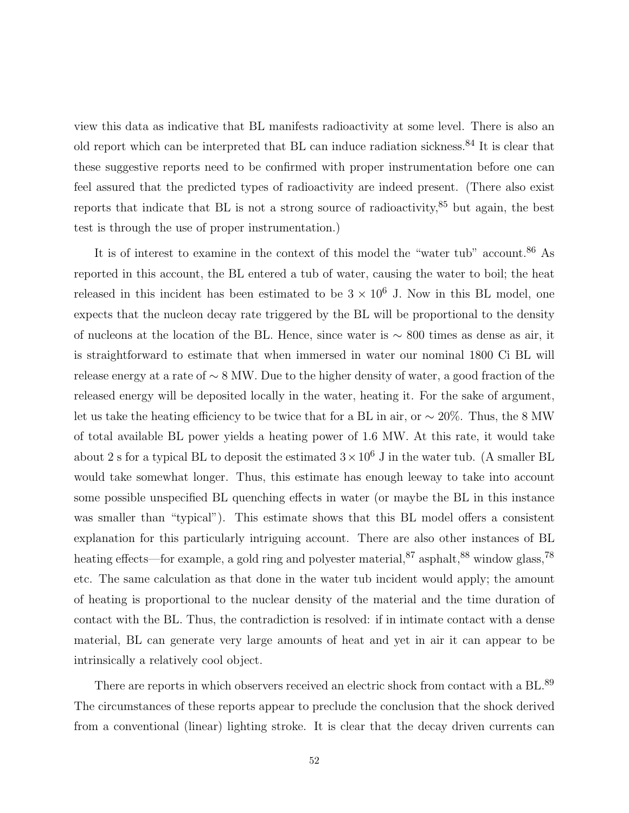view this data as indicative that BL manifests radioactivity at some level. There is also an old report which can be interpreted that BL can induce radiation sickness.<sup>84</sup> It is clear that these suggestive reports need to be confirmed with proper instrumentation before one can feel assured that the predicted types of radioactivity are indeed present. (There also exist reports that indicate that BL is not a strong source of radioactivity, $85$  but again, the best test is through the use of proper instrumentation.)

It is of interest to examine in the context of this model the "water tub" account.<sup>86</sup> As reported in this account, the BL entered a tub of water, causing the water to boil; the heat released in this incident has been estimated to be  $3 \times 10^6$  J. Now in this BL model, one expects that the nucleon decay rate triggered by the BL will be proportional to the density of nucleons at the location of the BL. Hence, since water is ∼ 800 times as dense as air, it is straightforward to estimate that when immersed in water our nominal 1800 Ci BL will release energy at a rate of ∼ 8 MW. Due to the higher density of water, a good fraction of the released energy will be deposited locally in the water, heating it. For the sake of argument, let us take the heating efficiency to be twice that for a BL in air, or ∼ 20%. Thus, the 8 MW of total available BL power yields a heating power of 1.6 MW. At this rate, it would take about 2 s for a typical BL to deposit the estimated  $3 \times 10^6$  J in the water tub. (A smaller BL would take somewhat longer. Thus, this estimate has enough leeway to take into account some possible unspecified BL quenching effects in water (or maybe the BL in this instance was smaller than "typical"). This estimate shows that this BL model offers a consistent explanation for this particularly intriguing account. There are also other instances of BL heating effects—for example, a gold ring and polyester material,  $87$  asphalt,  $88$  window glass,  $78$ etc. The same calculation as that done in the water tub incident would apply; the amount of heating is proportional to the nuclear density of the material and the time duration of contact with the BL. Thus, the contradiction is resolved: if in intimate contact with a dense material, BL can generate very large amounts of heat and yet in air it can appear to be intrinsically a relatively cool object.

There are reports in which observers received an electric shock from contact with a BL.<sup>89</sup> The circumstances of these reports appear to preclude the conclusion that the shock derived from a conventional (linear) lighting stroke. It is clear that the decay driven currents can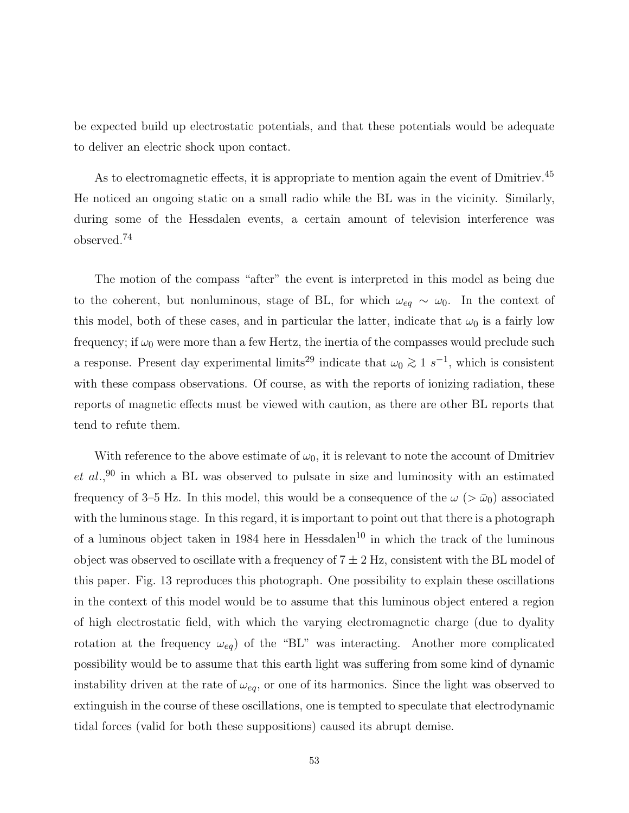be expected build up electrostatic potentials, and that these potentials would be adequate to deliver an electric shock upon contact.

As to electromagnetic effects, it is appropriate to mention again the event of Dmitriev.<sup>45</sup> He noticed an ongoing static on a small radio while the BL was in the vicinity. Similarly, during some of the Hessdalen events, a certain amount of television interference was observed.<sup>74</sup>

The motion of the compass "after" the event is interpreted in this model as being due to the coherent, but nonluminous, stage of BL, for which  $\omega_{eq} \sim \omega_0$ . In the context of this model, both of these cases, and in particular the latter, indicate that  $\omega_0$  is a fairly low frequency; if  $\omega_0$  were more than a few Hertz, the inertia of the compasses would preclude such a response. Present day experimental limits<sup>29</sup> indicate that  $\omega_0 \gtrsim 1 \ s^{-1}$ , which is consistent with these compass observations. Of course, as with the reports of ionizing radiation, these reports of magnetic effects must be viewed with caution, as there are other BL reports that tend to refute them.

With reference to the above estimate of  $\omega_0$ , it is relevant to note the account of Dmitriev *et al.,*<sup>90</sup> in which a BL was observed to pulsate in size and luminosity with an estimated frequency of 3–5 Hz. In this model, this would be a consequence of the  $\omega$  ( $>\bar{\omega}_0$ ) associated with the luminous stage. In this regard, it is important to point out that there is a photograph of a luminous object taken in 1984 here in  $Hessdalen<sup>10</sup>$  in which the track of the luminous object was observed to oscillate with a frequency of  $7 \pm 2$  Hz, consistent with the BL model of this paper. Fig. 13 reproduces this photograph. One possibility to explain these oscillations in the context of this model would be to assume that this luminous object entered a region of high electrostatic field, with which the varying electromagnetic charge (due to dyality rotation at the frequency  $\omega_{eq}$  of the "BL" was interacting. Another more complicated possibility would be to assume that this earth light was suffering from some kind of dynamic instability driven at the rate of  $\omega_{eq}$ , or one of its harmonics. Since the light was observed to extinguish in the course of these oscillations, one is tempted to speculate that electrodynamic tidal forces (valid for both these suppositions) caused its abrupt demise.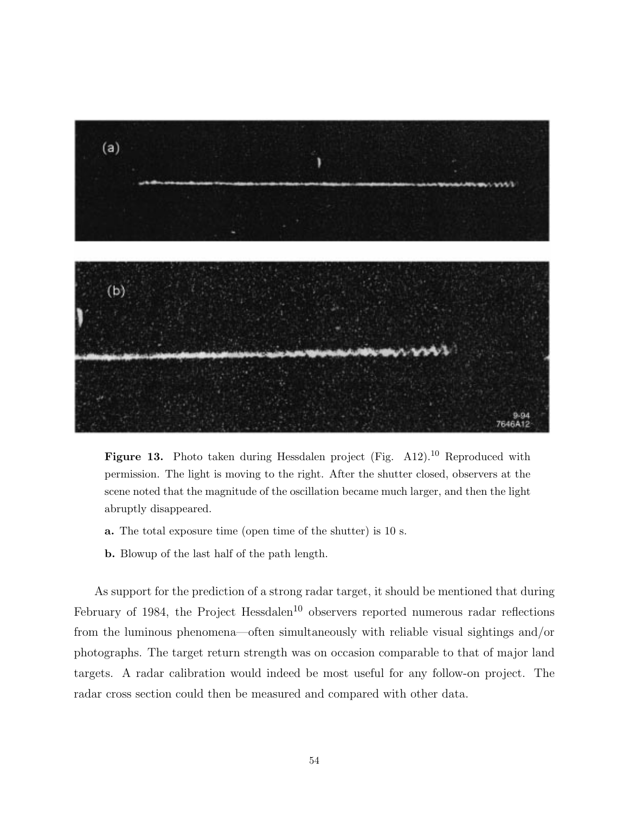

**Figure 13.** Photo taken during Hessdalen project (Fig. A12).<sup>10</sup> Reproduced with permission. The light is moving to the right. After the shutter closed, observers at the scene noted that the magnitude of the oscillation became much larger, and then the light abruptly disappeared.

- **a.** The total exposure time (open time of the shutter) is 10 s.
- **b.** Blowup of the last half of the path length.

As support for the prediction of a strong radar target, it should be mentioned that during February of 1984, the Project Hessdalen<sup>10</sup> observers reported numerous radar reflections from the luminous phenomena—often simultaneously with reliable visual sightings and/or photographs. The target return strength was on occasion comparable to that of major land targets. A radar calibration would indeed be most useful for any follow-on project. The radar cross section could then be measured and compared with other data.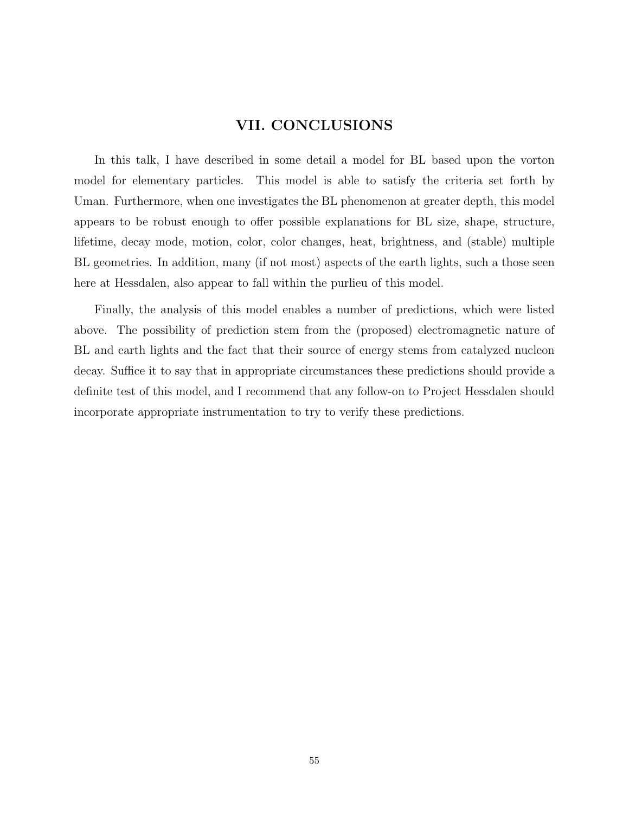# **VII. CONCLUSIONS**

In this talk, I have described in some detail a model for BL based upon the vorton model for elementary particles. This model is able to satisfy the criteria set forth by Uman. Furthermore, when one investigates the BL phenomenon at greater depth, this model appears to be robust enough to offer possible explanations for BL size, shape, structure, lifetime, decay mode, motion, color, color changes, heat, brightness, and (stable) multiple BL geometries. In addition, many (if not most) aspects of the earth lights, such a those seen here at Hessdalen, also appear to fall within the purlieu of this model.

Finally, the analysis of this model enables a number of predictions, which were listed above. The possibility of prediction stem from the (proposed) electromagnetic nature of BL and earth lights and the fact that their source of energy stems from catalyzed nucleon decay. Suffice it to say that in appropriate circumstances these predictions should provide a definite test of this model, and I recommend that any follow-on to Project Hessdalen should incorporate appropriate instrumentation to try to verify these predictions.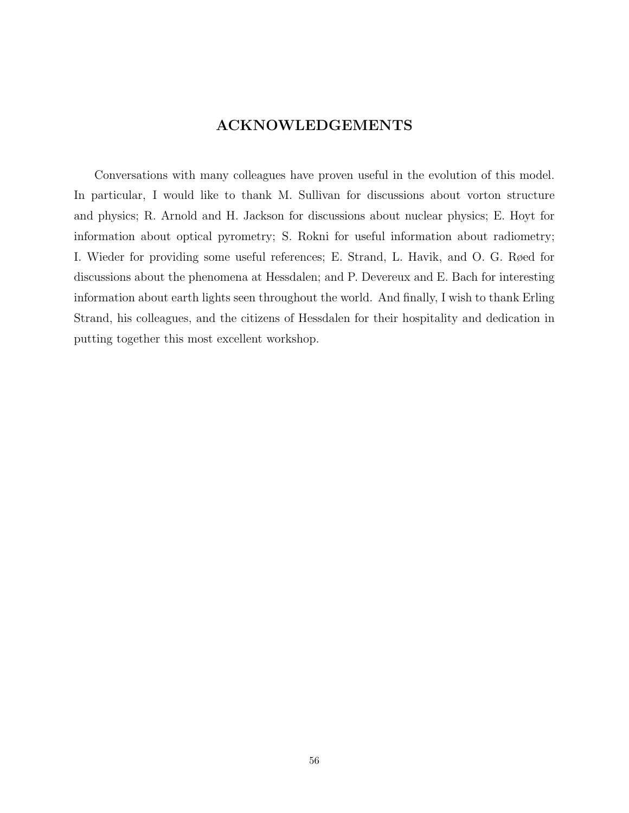# **ACKNOWLEDGEMENTS**

Conversations with many colleagues have proven useful in the evolution of this model. In particular, I would like to thank M. Sullivan for discussions about vorton structure and physics; R. Arnold and H. Jackson for discussions about nuclear physics; E. Hoyt for information about optical pyrometry; S. Rokni for useful information about radiometry; I. Wieder for providing some useful references; E. Strand, L. Havik, and O. G. Røed for discussions about the phenomena at Hessdalen; and P. Devereux and E. Bach for interesting information about earth lights seen throughout the world. And finally, I wish to thank Erling Strand, his colleagues, and the citizens of Hessdalen for their hospitality and dedication in putting together this most excellent workshop.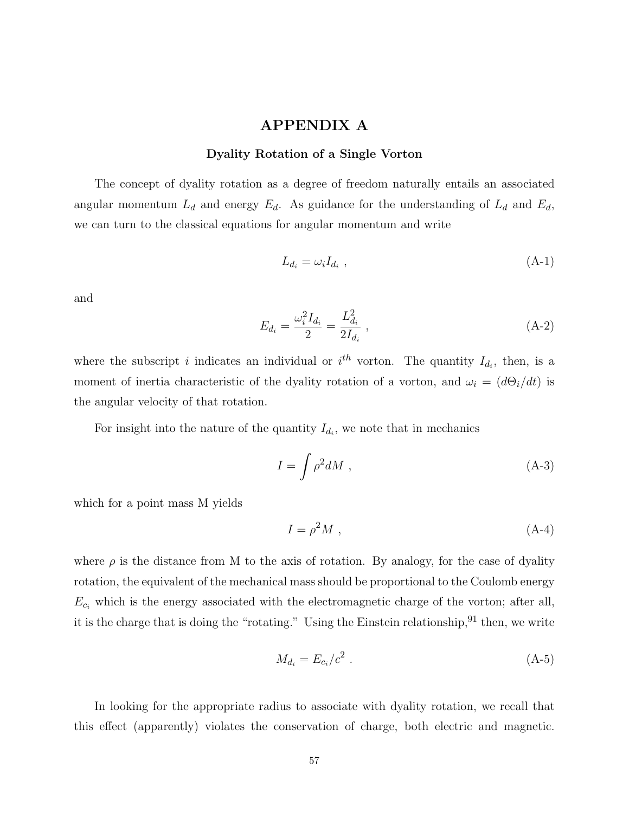### **APPENDIX A**

#### **Dyality Rotation of a Single Vorton**

The concept of dyality rotation as a degree of freedom naturally entails an associated angular momentum  $L_d$  and energy  $E_d$ . As guidance for the understanding of  $L_d$  and  $E_d$ , we can turn to the classical equations for angular momentum and write

$$
L_{d_i} = \omega_i I_{d_i} \tag{A-1}
$$

and

$$
E_{d_i} = \frac{\omega_i^2 I_{d_i}}{2} = \frac{L_{d_i}^2}{2I_{d_i}} , \qquad (A-2)
$$

where the subscript *i* indicates an individual or  $i<sup>th</sup>$  vorton. The quantity  $I_{d_i}$ , then, is a moment of inertia characteristic of the dyality rotation of a vorton, and  $\omega_i = (d\Theta_i/dt)$  is the angular velocity of that rotation.

For insight into the nature of the quantity  $I_{d_i}$ , we note that in mechanics

$$
I = \int \rho^2 dM , \qquad (A-3)
$$

which for a point mass M yields

$$
I = \rho^2 M \tag{A-4}
$$

where  $\rho$  is the distance from M to the axis of rotation. By analogy, for the case of dyality rotation, the equivalent of the mechanical mass should be proportional to the Coulomb energy  $E_{c_i}$  which is the energy associated with the electromagnetic charge of the vorton; after all, it is the charge that is doing the "rotating." Using the Einstein relationship,  $91$  then, we write

$$
M_{d_i} = E_{c_i}/c^2 \t\t( A-5)
$$

In looking for the appropriate radius to associate with dyality rotation, we recall that this effect (apparently) violates the conservation of charge, both electric and magnetic.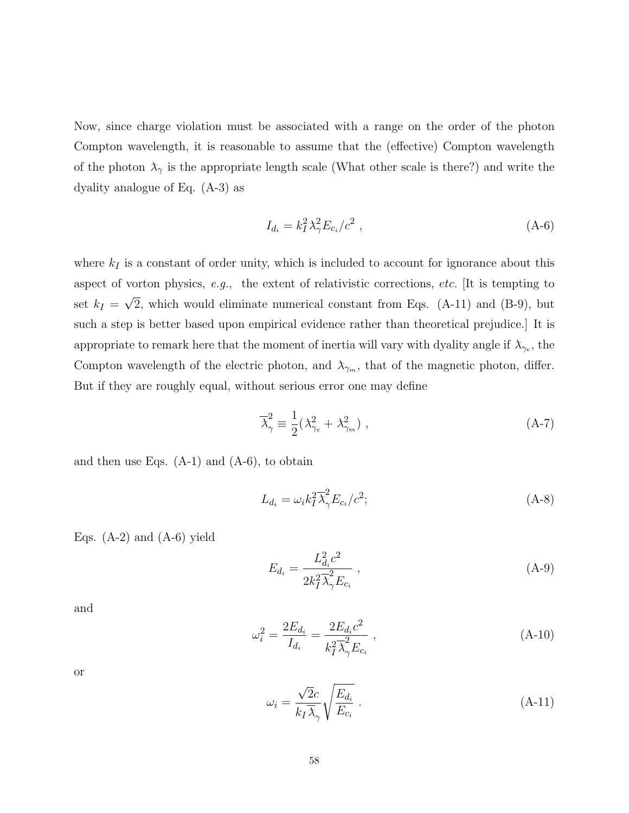Now, since charge violation must be associated with a range on the order of the photon Compton wavelength, it is reasonable to assume that the (effective) Compton wavelength of the photon  $\lambda_{\gamma}$  is the appropriate length scale (What other scale is there?) and write the dyality analogue of Eq. (A-3) as

$$
I_{d_i} = k_I^2 \lambda_\gamma^2 E_{c_i}/c^2 \,, \tag{A-6}
$$

where  $k_I$  is a constant of order unity, which is included to account for ignorance about this aspect of vorton physics, e.g., the extent of relativistic corrections, *etc.* [It is tempting to set  $k_I = \sqrt{2}$ , which would eliminate numerical constant from Eqs. (A-11) and (B-9), but such a step is better based upon empirical evidence rather than theoretical prejudice.] It is appropriate to remark here that the moment of inertia will vary with dyality angle if  $\lambda_{\gamma_e}$ , the Compton wavelength of the electric photon, and  $\lambda_{\gamma_m}$ , that of the magnetic photon, differ. But if they are roughly equal, without serious error one may define

$$
\overline{\lambda}_{\gamma}^{2} \equiv \frac{1}{2} (\lambda_{\gamma_e}^{2} + \lambda_{\gamma_m}^{2}), \qquad (A-7)
$$

and then use Eqs.  $(A-1)$  and  $(A-6)$ , to obtain

$$
L_{d_i} = \omega_i k_I^2 \overline{\lambda}_{\gamma}^2 E_{c_i}/c^2; \tag{A-8}
$$

Eqs.  $(A-2)$  and  $(A-6)$  yield

$$
E_{d_i} = \frac{L_{d_i}^2 c^2}{2k_I^2 \overline{\lambda}_{\gamma}^2 E_{c_i}} \,, \tag{A-9}
$$

and

$$
\omega_i^2 = \frac{2E_{d_i}}{I_{d_i}} = \frac{2E_{d_i}c^2}{k_I^2 \overline{\lambda}_{\gamma}^2 E_{c_i}},
$$
\n(A-10)

or

$$
\omega_i = \frac{\sqrt{2}c}{k_I \overline{\lambda}_{\gamma}} \sqrt{\frac{E_{d_i}}{E_{c_i}}}.
$$
\n(A-11)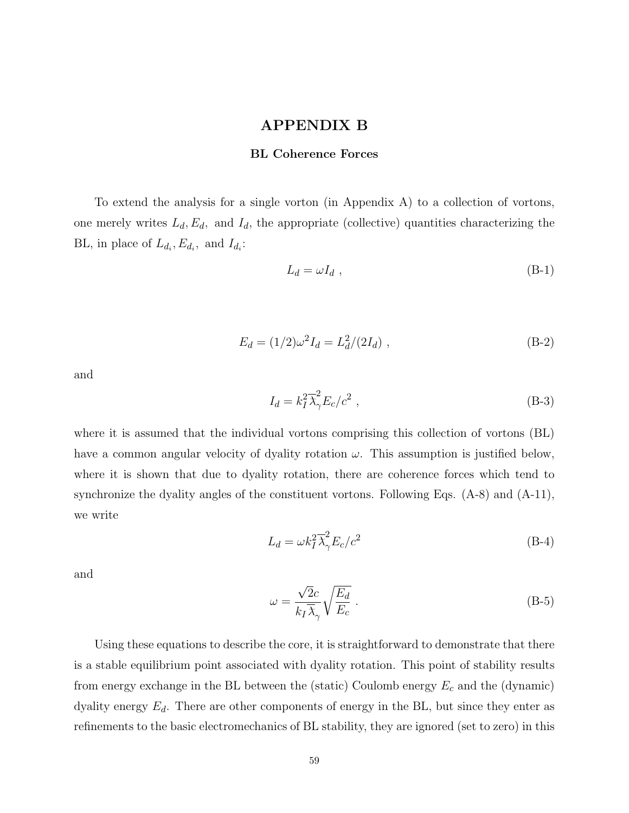### **APPENDIX B**

#### **BL Coherence Forces**

To extend the analysis for a single vorton (in Appendix A) to a collection of vortons, one merely writes  $L_d$ ,  $E_d$ , and  $I_d$ , the appropriate (collective) quantities characterizing the BL, in place of  $L_{d_i}, E_{d_i}$ , and  $I_{d_i}$ :

$$
L_d = \omega I_d \tag{B-1}
$$

$$
E_d = (1/2)\omega^2 I_d = L_d^2/(2I_d) \tag{B-2}
$$

and

$$
I_d = k_I^2 \overline{\lambda}_{\gamma}^2 E_c / c^2 , \qquad (B-3)
$$

where it is assumed that the individual vortons comprising this collection of vortons (BL) have a common angular velocity of dyality rotation *ω*. This assumption is justified below, where it is shown that due to dyality rotation, there are coherence forces which tend to synchronize the dyality angles of the constituent vortons. Following Eqs. (A-8) and (A-11), we write

$$
L_d = \omega k_I^2 \overline{\lambda}_{\gamma}^2 E_c / c^2
$$
 (B-4)

and

$$
\omega = \frac{\sqrt{2}c}{k_I \overline{\lambda}_{\gamma}} \sqrt{\frac{E_d}{E_c}} .
$$
\n(B-5)

Using these equations to describe the core, it is straightforward to demonstrate that there is a stable equilibrium point associated with dyality rotation. This point of stability results from energy exchange in the BL between the (static) Coulomb energy *E*<sup>c</sup> and the (dynamic) dyality energy  $E_d$ . There are other components of energy in the BL, but since they enter as refinements to the basic electromechanics of BL stability, they are ignored (set to zero) in this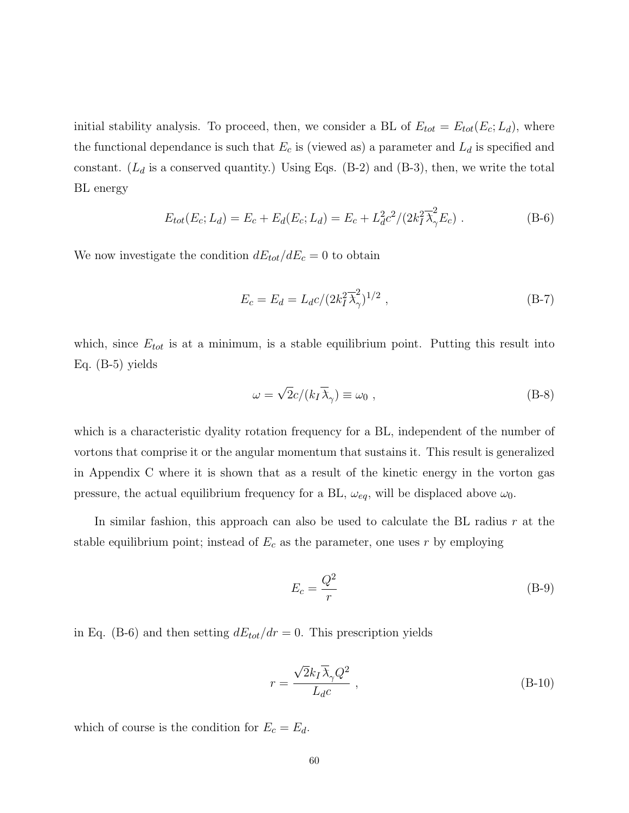initial stability analysis. To proceed, then, we consider a BL of  $E_{tot} = E_{tot}(E_c; L_d)$ , where the functional dependance is such that  $E_c$  is (viewed as) a parameter and  $L_d$  is specified and constant.  $(L_d$  is a conserved quantity.) Using Eqs.  $(B-2)$  and  $(B-3)$ , then, we write the total BL energy

$$
E_{tot}(E_c; L_d) = E_c + E_d(E_c; L_d) = E_c + L_d^2 c^2 / (2k_I^2 \overline{\lambda}_{\gamma}^2 E_c) \ . \tag{B-6}
$$

We now investigate the condition  $dE_{tot}/dE_c = 0$  to obtain

$$
E_c = E_d = L_d c / (2k_I^2 \overline{\lambda}_{\gamma}^2)^{1/2} , \qquad (B-7)
$$

which, since  $E_{tot}$  is at a minimum, is a stable equilibrium point. Putting this result into Eq. (B-5) yields

$$
\omega = \sqrt{2}c/(k_I \overline{\lambda}_{\gamma}) \equiv \omega_0 , \qquad (B-8)
$$

which is a characteristic dyality rotation frequency for a BL, independent of the number of vortons that comprise it or the angular momentum that sustains it. This result is generalized in Appendix C where it is shown that as a result of the kinetic energy in the vorton gas pressure, the actual equilibrium frequency for a BL,  $\omega_{eq}$ , will be displaced above  $\omega_0$ .

In similar fashion, this approach can also be used to calculate the BL radius *r* at the stable equilibrium point; instead of  $E_c$  as the parameter, one uses  $r$  by employing

$$
E_c = \frac{Q^2}{r} \tag{B-9}
$$

in Eq. (B-6) and then setting  $dE_{tot}/dr = 0$ . This prescription yields

$$
r = \frac{\sqrt{2}k_I \overline{\lambda}_{\gamma} Q^2}{L_d c} , \qquad (B-10)
$$

which of course is the condition for  $E_c = E_d$ .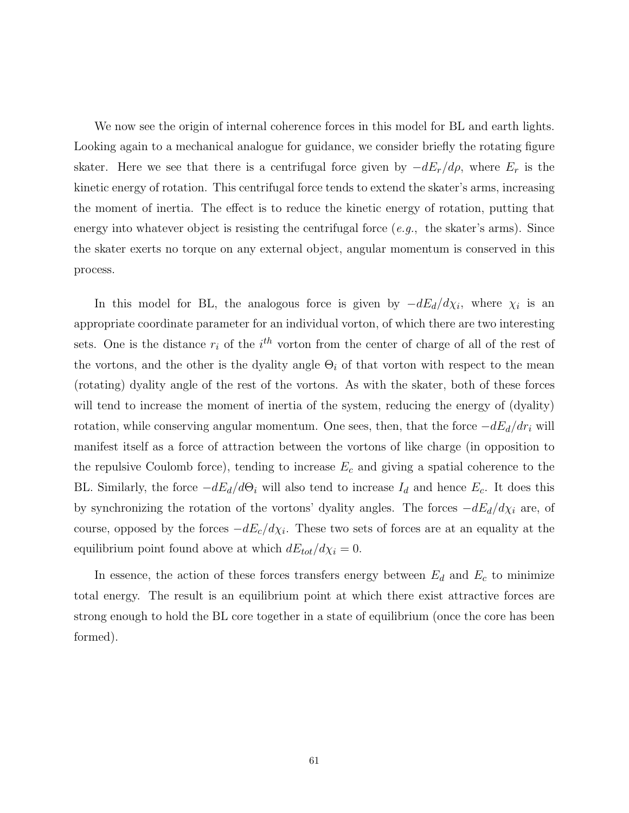We now see the origin of internal coherence forces in this model for BL and earth lights. Looking again to a mechanical analogue for guidance, we consider briefly the rotating figure skater. Here we see that there is a centrifugal force given by −*dE*r*/dρ*, where *E*<sup>r</sup> is the kinetic energy of rotation. This centrifugal force tends to extend the skater's arms, increasing the moment of inertia. The effect is to reduce the kinetic energy of rotation, putting that energy into whatever object is resisting the centrifugal force  $(e.g.,\)$  the skater's arms). Since the skater exerts no torque on any external object, angular momentum is conserved in this process.

In this model for BL, the analogous force is given by  $-dE_d/d\chi_i$ , where  $\chi_i$  is an appropriate coordinate parameter for an individual vorton, of which there are two interesting sets. One is the distance  $r_i$  of the  $i^{th}$  vorton from the center of charge of all of the rest of the vortons, and the other is the dyality angle  $\Theta_i$  of that vorton with respect to the mean (rotating) dyality angle of the rest of the vortons. As with the skater, both of these forces will tend to increase the moment of inertia of the system, reducing the energy of (dyality) rotation, while conserving angular momentum. One sees, then, that the force  $-dE_d/dr_i$  will manifest itself as a force of attraction between the vortons of like charge (in opposition to the repulsive Coulomb force), tending to increase  $E_c$  and giving a spatial coherence to the BL. Similarly, the force  $-dE_d/d\Theta_i$  will also tend to increase  $I_d$  and hence  $E_c$ . It does this by synchronizing the rotation of the vortons' dyality angles. The forces −*dE*d*/dχ*<sup>i</sup> are, of course, opposed by the forces  $-dE_c/d\chi_i$ . These two sets of forces are at an equality at the equilibrium point found above at which  $dE_{tot}/d\chi_i = 0$ .

In essence, the action of these forces transfers energy between  $E_d$  and  $E_c$  to minimize total energy. The result is an equilibrium point at which there exist attractive forces are strong enough to hold the BL core together in a state of equilibrium (once the core has been formed).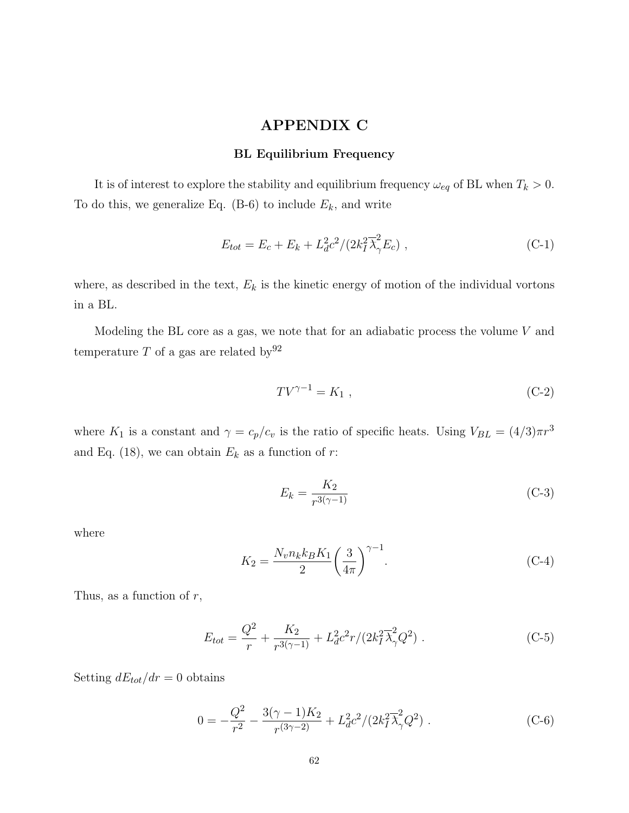# **APPENDIX C**

### **BL Equilibrium Frequency**

It is of interest to explore the stability and equilibrium frequency  $\omega_{eq}$  of BL when  $T_k > 0$ . To do this, we generalize Eq.  $(B-6)$  to include  $E_k$ , and write

$$
E_{tot} = E_c + E_k + L_d^2 c^2 / (2k_I^2 \overline{\lambda}_{\gamma}^2 E_c) ,
$$
 (C-1)

where, as described in the text,  $E_k$  is the kinetic energy of motion of the individual vortons in a BL.

Modeling the BL core as a gas, we note that for an adiabatic process the volume *V* and temperature  $T$  of a gas are related by  $92$ 

$$
TV^{\gamma - 1} = K_1 , \tag{C-2}
$$

where *K*<sub>1</sub> is a constant and  $\gamma = c_p/c_v$  is the ratio of specific heats. Using  $V_{BL} = (4/3)\pi r^3$ and Eq. (18), we can obtain  $E_k$  as a function of  $r$ :

$$
E_k = \frac{K_2}{r^{3(\gamma - 1)}}\tag{C-3}
$$

where

$$
K_2 = \frac{N_v n_k k_B K_1}{2} \left(\frac{3}{4\pi}\right)^{\gamma - 1}.
$$
 (C-4)

Thus, as a function of *r*,

$$
E_{tot} = \frac{Q^2}{r} + \frac{K_2}{r^{3(\gamma - 1)}} + L_d^2 c^2 r / (2k_I^2 \overline{\lambda}_{\gamma}^2 Q^2) \tag{C-5}
$$

Setting  $dE_{tot}/dr = 0$  obtains

$$
0 = -\frac{Q^2}{r^2} - \frac{3(\gamma - 1)K_2}{r^{(3\gamma - 2)}} + L_d^2 c^2 / (2k_I^2 \overline{\lambda}_{\gamma}^2 Q^2) . \tag{C-6}
$$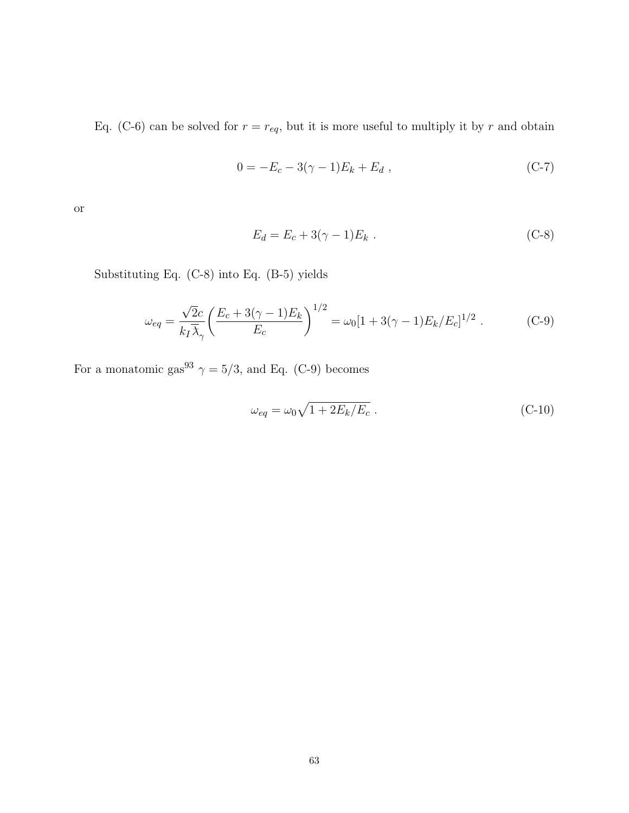Eq. (C-6) can be solved for  $r = r_{eq}$ , but it is more useful to multiply it by  $r$  and obtain

$$
0 = -E_c - 3(\gamma - 1)E_k + E_d , \qquad (C-7)
$$

or

$$
E_d = E_c + 3(\gamma - 1)E_k .
$$
 (C-8)

Substituting Eq. (C-8) into Eq. (B-5) yields

$$
\omega_{eq} = \frac{\sqrt{2}c}{k_I \overline{\lambda}_{\gamma}} \left( \frac{E_c + 3(\gamma - 1)E_k}{E_c} \right)^{1/2} = \omega_0 [1 + 3(\gamma - 1)E_k/E_c]^{1/2} . \tag{C-9}
$$

For a monatomic gas $^{93}$   $\gamma = 5/3,$  and Eq. (C-9) becomes

$$
\omega_{eq} = \omega_0 \sqrt{1 + 2E_k/E_c} \tag{C-10}
$$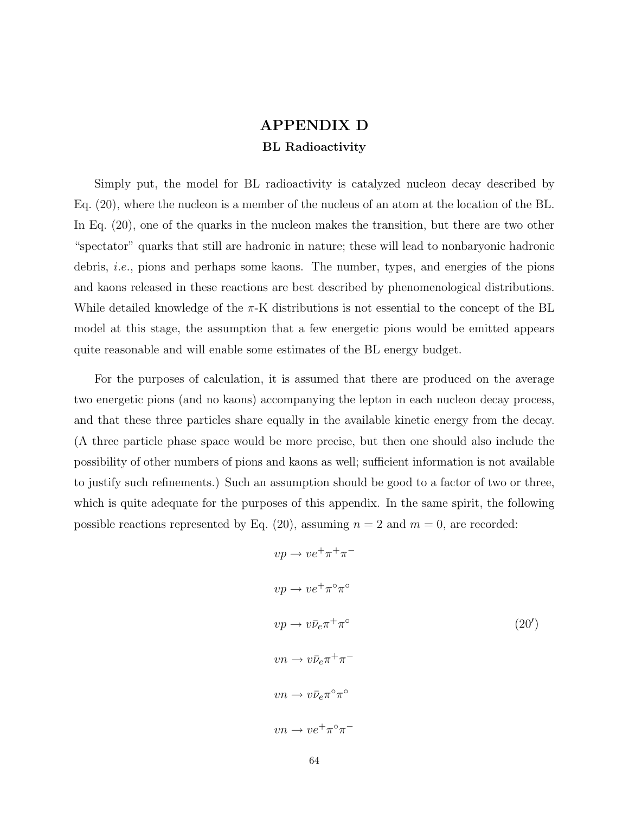# **APPENDIX D BL Radioactivity**

Simply put, the model for BL radioactivity is catalyzed nucleon decay described by Eq. (20), where the nucleon is a member of the nucleus of an atom at the location of the BL. In Eq. (20), one of the quarks in the nucleon makes the transition, but there are two other "spectator" quarks that still are hadronic in nature; these will lead to nonbaryonic hadronic debris, *i.e.,* pions and perhaps some kaons. The number, types, and energies of the pions and kaons released in these reactions are best described by phenomenological distributions. While detailed knowledge of the *π*-K distributions is not essential to the concept of the BL model at this stage, the assumption that a few energetic pions would be emitted appears quite reasonable and will enable some estimates of the BL energy budget.

For the purposes of calculation, it is assumed that there are produced on the average two energetic pions (and no kaons) accompanying the lepton in each nucleon decay process, and that these three particles share equally in the available kinetic energy from the decay. (A three particle phase space would be more precise, but then one should also include the possibility of other numbers of pions and kaons as well; sufficient information is not available to justify such refinements.) Such an assumption should be good to a factor of two or three, which is quite adequate for the purposes of this appendix. In the same spirit, the following possible reactions represented by Eq.  $(20)$ , assuming  $n = 2$  and  $m = 0$ , are recorded:

$$
vp \rightarrow ve^{+}\pi^{+}\pi^{-}
$$
  
\n
$$
vp \rightarrow ve^{+}\pi^{\circ}\pi^{\circ}
$$
  
\n
$$
vp \rightarrow v\bar{\nu}_{e}\pi^{+}\pi^{\circ}
$$
  
\n
$$
vn \rightarrow v\bar{\nu}_{e}\pi^{\circ}\pi^{\circ}
$$
  
\n
$$
vn \rightarrow v\bar{\nu}_{e}\pi^{\circ}\pi^{\circ}
$$
  
\n
$$
vn \rightarrow ve^{+}\pi^{\circ}\pi^{-}
$$
  
\n
$$
(20')
$$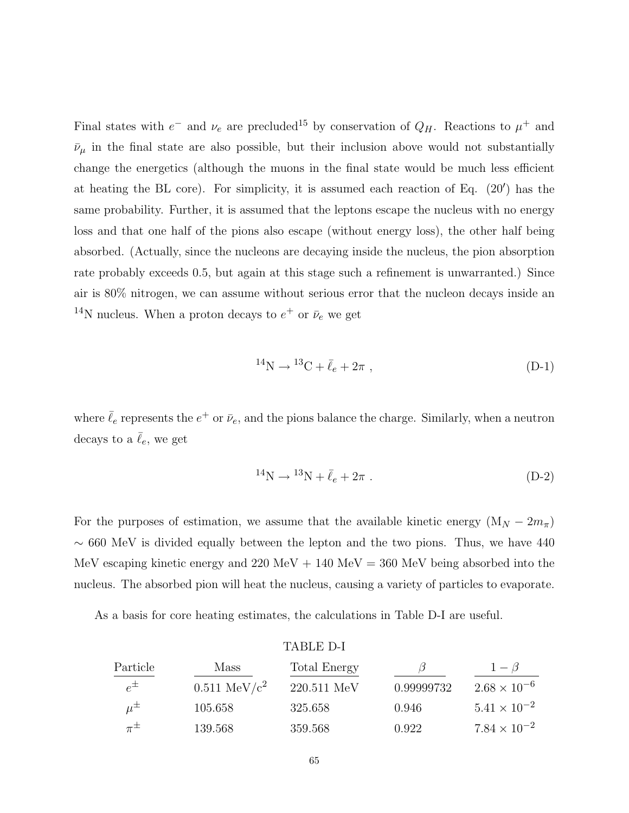Final states with  $e^-$  and  $\nu_e$  are precluded<sup>15</sup> by conservation of  $Q_H$ . Reactions to  $\mu^+$  and  $\bar{\nu}_{\mu}$  in the final state are also possible, but their inclusion above would not substantially change the energetics (although the muons in the final state would be much less efficient at heating the BL core). For simplicity, it is assumed each reaction of Eq.  $(20')$  has the same probability. Further, it is assumed that the leptons escape the nucleus with no energy loss and that one half of the pions also escape (without energy loss), the other half being absorbed. (Actually, since the nucleons are decaying inside the nucleus, the pion absorption rate probably exceeds 0.5, but again at this stage such a refinement is unwarranted.) Since air is 80% nitrogen, we can assume without serious error that the nucleon decays inside an <sup>14</sup>N nucleus. When a proton decays to  $e^+$  or  $\bar{\nu}_e$  we get

$$
^{14}\text{N} \to {}^{13}\text{C} + \bar{\ell}_e + 2\pi , \qquad (D-1)
$$

where  $\bar{\ell}_e$  represents the  $e^+$  or  $\bar{\nu}_e$ , and the pions balance the charge. Similarly, when a neutron decays to a  $\bar{\ell}_e$ , we get

$$
^{14}\text{N} \to {}^{13}\text{N} + \bar{\ell}_e + 2\pi \ . \tag{D-2}
$$

For the purposes of estimation, we assume that the available kinetic energy  $(M_N - 2m_\pi)$  $\sim$  660 MeV is divided equally between the lepton and the two pions. Thus, we have 440 MeV escaping kinetic energy and  $220 \text{ MeV} + 140 \text{ MeV} = 360 \text{ MeV}$  being absorbed into the nucleus. The absorbed pion will heat the nucleus, causing a variety of particles to evaporate.

As a basis for core heating estimates, the calculations in Table D-I are useful.

|             |                         | TABLE D-I    |            |                       |
|-------------|-------------------------|--------------|------------|-----------------------|
| Particle    | Mass                    | Total Energy |            | $1 - \beta$           |
| $e^{\pm}$   | $0.511 \text{ MeV}/c^2$ | 220.511 MeV  | 0.99999732 | $2.68 \times 10^{-6}$ |
| $\mu^{\pm}$ | 105.658                 | 325.658      | 0.946      | $5.41 \times 10^{-2}$ |
| $\pi^{\pm}$ | 139.568                 | 359.568      | 0.922      | $7.84 \times 10^{-2}$ |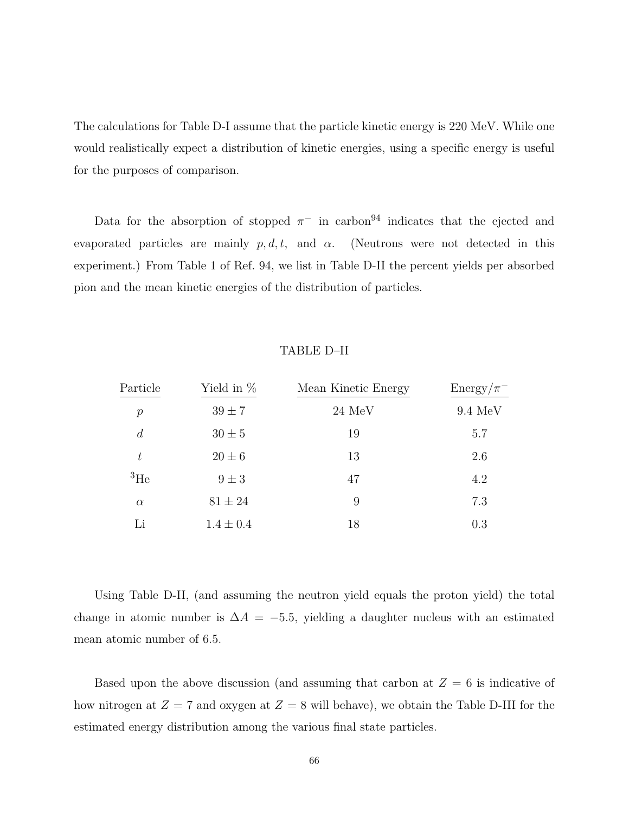The calculations for Table D-I assume that the particle kinetic energy is 220 MeV. While one would realistically expect a distribution of kinetic energies, using a specific energy is useful for the purposes of comparison.

Data for the absorption of stopped  $\pi^-$  in carbon<sup>94</sup> indicates that the ejected and evaporated particles are mainly  $p, d, t$ , and  $\alpha$ . (Neutrons were not detected in this experiment.) From Table 1 of Ref. 94, we list in Table D-II the percent yields per absorbed pion and the mean kinetic energies of the distribution of particles.

### TABLE D–II

| Particle       | Yield in $%$  | Mean Kinetic Energy | $Energy/\pi^-$    |
|----------------|---------------|---------------------|-------------------|
| $\mathcal{P}$  | $39 \pm 7$    | $24 \text{ MeV}$    | $9.4 \text{ MeV}$ |
| $\overline{d}$ | $30 \pm 5$    | 19                  | 5.7               |
| $t\,$          | $20 \pm 6$    | 13                  | 2.6               |
| ${}^{3}$ He    | $9 \pm 3$     | 47                  | 4.2               |
| $\alpha$       | $81 \pm 24$   | 9                   | 7.3               |
| Li             | $1.4 \pm 0.4$ | 18                  | 0.3               |

Using Table D-II, (and assuming the neutron yield equals the proton yield) the total change in atomic number is  $\Delta A = -5.5$ , yielding a daughter nucleus with an estimated mean atomic number of 6.5.

Based upon the above discussion (and assuming that carbon at  $Z = 6$  is indicative of how nitrogen at  $Z = 7$  and oxygen at  $Z = 8$  will behave), we obtain the Table D-III for the estimated energy distribution among the various final state particles.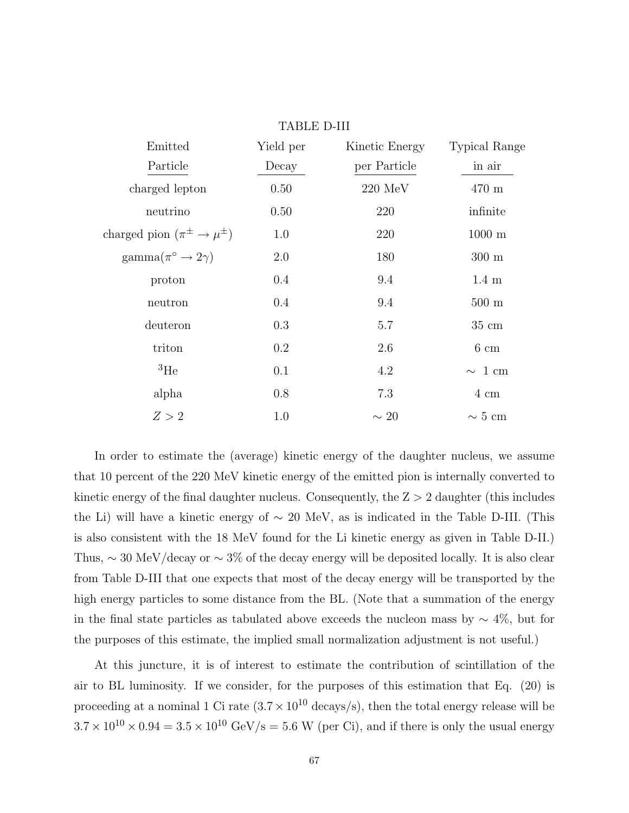| Emitted                                  | Yield per | Kinetic Energy    | <b>Typical Range</b> |
|------------------------------------------|-----------|-------------------|----------------------|
| Particle                                 | Decay     | per Particle      | in air               |
| charged lepton                           | 0.50      | $220 \text{ MeV}$ | 470 m                |
| neutrino                                 | 0.50      | 220               | infinite             |
| charged pion $(\pi^{\pm} \to \mu^{\pm})$ | 1.0       | 220               | $1000 \; \mathrm{m}$ |
| $\text{gamma}(\pi^{\circ} \to 2\gamma)$  | 2.0       | 180               | $300 \text{ m}$      |
| proton                                   | 0.4       | 9.4               | $1.4 \text{ m}$      |
| neutron                                  | 0.4       | 9.4               | $500 \text{ m}$      |
| deuteron                                 | 0.3       | 5.7               | $35 \text{ cm}$      |
| triton                                   | 0.2       | 2.6               | $6 \text{ cm}$       |
| ${}^{3}$ He                              | 0.1       | 4.2               | $\sim 1$ cm          |
| alpha                                    | 0.8       | 7.3               | $4 \text{ cm}$       |
| Z > 2                                    | 1.0       | $\sim 20$         | $\sim 5$ cm          |
|                                          |           |                   |                      |

TABLE D-III

In order to estimate the (average) kinetic energy of the daughter nucleus, we assume that 10 percent of the 220 MeV kinetic energy of the emitted pion is internally converted to kinetic energy of the final daughter nucleus. Consequently, the Z *>* 2 daughter (this includes the Li) will have a kinetic energy of ∼ 20 MeV, as is indicated in the Table D-III. (This is also consistent with the 18 MeV found for the Li kinetic energy as given in Table D-II.) Thus,  $\sim 30$  MeV/decay or  $\sim 3\%$  of the decay energy will be deposited locally. It is also clear from Table D-III that one expects that most of the decay energy will be transported by the high energy particles to some distance from the BL. (Note that a summation of the energy in the final state particles as tabulated above exceeds the nucleon mass by  $\sim 4\%$ , but for the purposes of this estimate, the implied small normalization adjustment is not useful.)

At this juncture, it is of interest to estimate the contribution of scintillation of the air to BL luminosity. If we consider, for the purposes of this estimation that Eq. (20) is proceeding at a nominal 1 Ci rate  $(3.7 \times 10^{10} \text{ decays/s})$ , then the total energy release will be  $3.7 \times 10^{10} \times 0.94 = 3.5 \times 10^{10}$  GeV/s = 5.6 W (per Ci), and if there is only the usual energy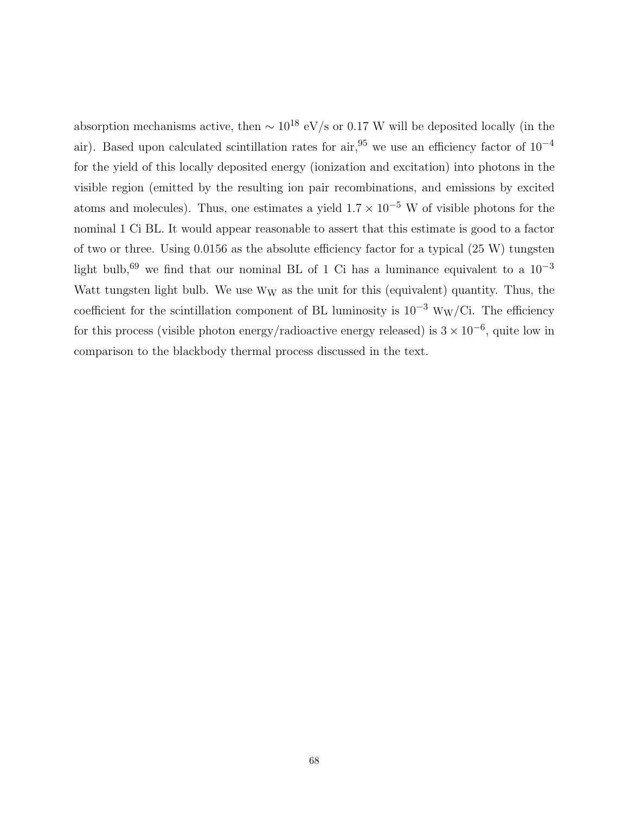absorption mechanisms active, then  $\sim 10^{18}$  eV/s or 0.17 W will be deposited locally (in the air). Based upon calculated scintillation rates for air,<sup>95</sup> we use an efficiency factor of  $10^{-4}$ for the yield of this locally deposited energy (ionization and excitation) into photons in the visible region (emitted by the resulting ion pair recombinations, and emissions by excited atoms and molecules). Thus, one estimates a yield  $1.7 \times 10^{-5}$  W of visible photons for the nominal 1 Ci BL. It would appear reasonable to assert that this estimate is good to a factor of two or three. Using 0.0156 as the absolute efficiency factor for a typical (25 W) tungsten light bulb,<sup>69</sup> we find that our nominal BL of 1 Ci has a luminance equivalent to a  $10^{-3}$ Watt tungsten light bulb. We use  $W_W$  as the unit for this (equivalent) quantity. Thus, the coefficient for the scintillation component of BL luminosity is  $10^{-3}$  W<sub>W</sub>/Ci. The efficiency for this process (visible photon energy/radioactive energy released) is  $3 \times 10^{-6}$ , quite low in comparison to the blackbody thermal process discussed in the text.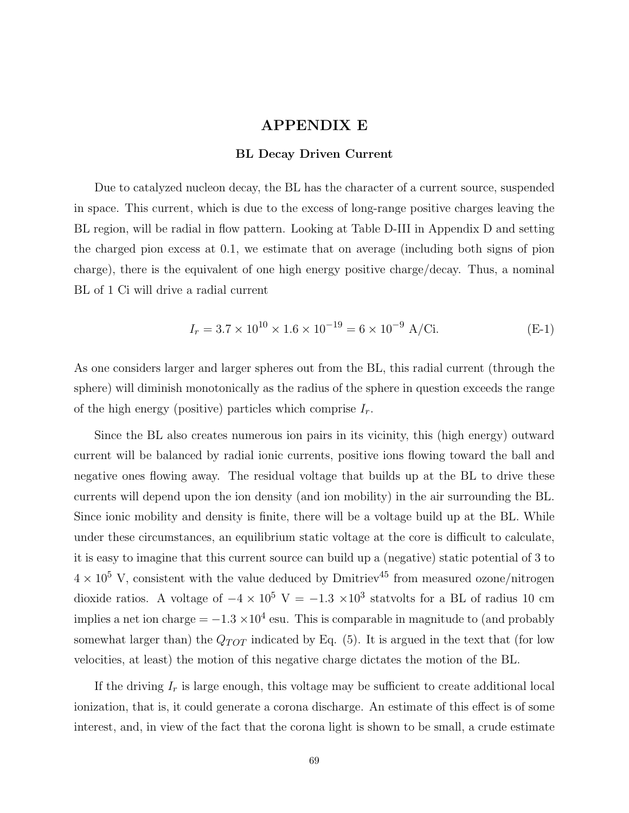### **APPENDIX E**

#### **BL Decay Driven Current**

Due to catalyzed nucleon decay, the BL has the character of a current source, suspended in space. This current, which is due to the excess of long-range positive charges leaving the BL region, will be radial in flow pattern. Looking at Table D-III in Appendix D and setting the charged pion excess at 0.1, we estimate that on average (including both signs of pion charge), there is the equivalent of one high energy positive charge/decay. Thus, a nominal BL of 1 Ci will drive a radial current

$$
I_r = 3.7 \times 10^{10} \times 1.6 \times 10^{-19} = 6 \times 10^{-9} \text{ A/Ci.}
$$
 (E-1)

As one considers larger and larger spheres out from the BL, this radial current (through the sphere) will diminish monotonically as the radius of the sphere in question exceeds the range of the high energy (positive) particles which comprise *I*r.

Since the BL also creates numerous ion pairs in its vicinity, this (high energy) outward current will be balanced by radial ionic currents, positive ions flowing toward the ball and negative ones flowing away. The residual voltage that builds up at the BL to drive these currents will depend upon the ion density (and ion mobility) in the air surrounding the BL. Since ionic mobility and density is finite, there will be a voltage build up at the BL. While under these circumstances, an equilibrium static voltage at the core is difficult to calculate, it is easy to imagine that this current source can build up a (negative) static potential of 3 to  $4 \times 10^5$  V, consistent with the value deduced by Dmitriev<sup>45</sup> from measured ozone/nitrogen dioxide ratios. A voltage of  $-4 \times 10^5$  V =  $-1.3 \times 10^3$  statvolts for a BL of radius 10 cm implies a net ion charge =  $-1.3 \times 10^4$  esu. This is comparable in magnitude to (and probably somewhat larger than) the  $Q_{TOT}$  indicated by Eq. (5). It is argued in the text that (for low velocities, at least) the motion of this negative charge dictates the motion of the BL.

If the driving *I*<sup>r</sup> is large enough, this voltage may be sufficient to create additional local ionization, that is, it could generate a corona discharge. An estimate of this effect is of some interest, and, in view of the fact that the corona light is shown to be small, a crude estimate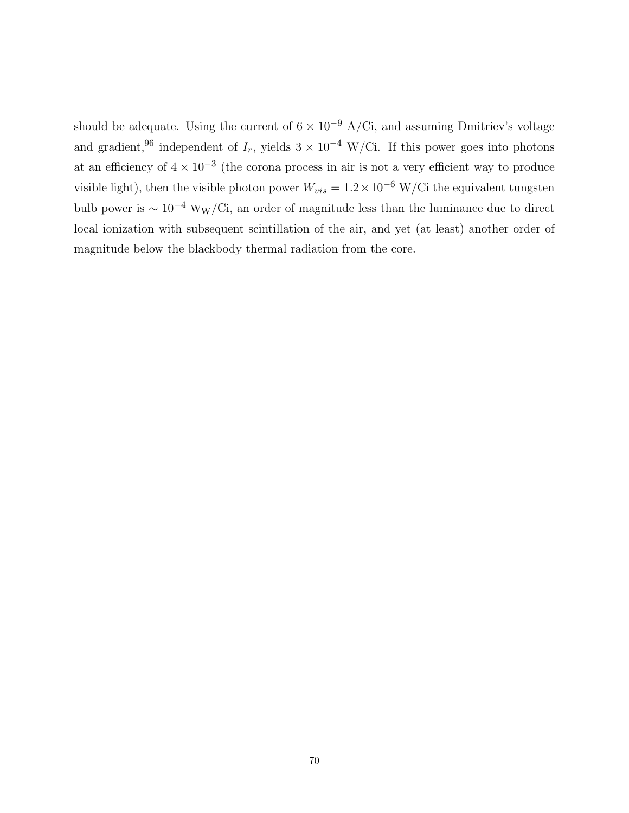should be adequate. Using the current of  $6 \times 10^{-9}$  A/Ci, and assuming Dmitriev's voltage and gradient,<sup>96</sup> independent of  $I_r$ , yields  $3 \times 10^{-4}$  W/Ci. If this power goes into photons at an efficiency of  $4 \times 10^{-3}$  (the corona process in air is not a very efficient way to produce visible light), then the visible photon power  $W_{vis} = 1.2 \times 10^{-6}$  W/Ci the equivalent tungsten bulb power is  $\sim 10^{-4}$  W<sub>W</sub>/Ci, an order of magnitude less than the luminance due to direct local ionization with subsequent scintillation of the air, and yet (at least) another order of magnitude below the blackbody thermal radiation from the core.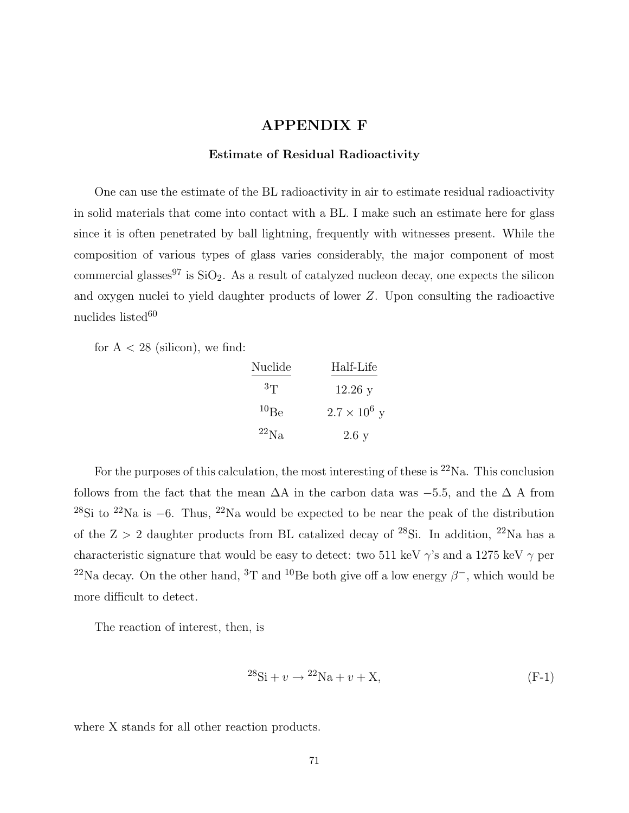### **APPENDIX F**

#### **Estimate of Residual Radioactivity**

One can use the estimate of the BL radioactivity in air to estimate residual radioactivity in solid materials that come into contact with a BL. I make such an estimate here for glass since it is often penetrated by ball lightning, frequently with witnesses present. While the composition of various types of glass varies considerably, the major component of most commercial glasses<sup>97</sup> is  $SiO<sub>2</sub>$ . As a result of catalyzed nucleon decay, one expects the silicon and oxygen nuclei to yield daughter products of lower *Z*. Upon consulting the radioactive nuclides listed $60$ 

for  $A < 28$  (silicon), we find:

| Nuclide    | Half-Life           |
|------------|---------------------|
| $^{3}$ T   | $12.26$ y           |
| $^{10}$ Be | $2.7 \times 10^6$ y |
| $^{22}Na$  | 2.6y                |

For the purposes of this calculation, the most interesting of these is  $22\text{Na}$ . This conclusion follows from the fact that the mean  $\Delta A$  in the carbon data was  $-5.5$ , and the  $\Delta A$  from <sup>28</sup>Si to <sup>22</sup>Na is −6. Thus, <sup>22</sup>Na would be expected to be near the peak of the distribution of the Z *>* 2 daughter products from BL catalized decay of <sup>28</sup>Si. In addition, <sup>22</sup>Na has a characteristic signature that would be easy to detect: two 511 keV *γ*'s and a 1275 keV *γ* per <sup>22</sup>Na decay. On the other hand, <sup>3</sup>T and <sup>10</sup>Be both give off a low energy  $\beta^-$ , which would be more difficult to detect.

The reaction of interest, then, is

$$
{}^{28}\text{Si} + v \rightarrow {}^{22}\text{Na} + v + \text{X},\tag{F-1}
$$

where X stands for all other reaction products.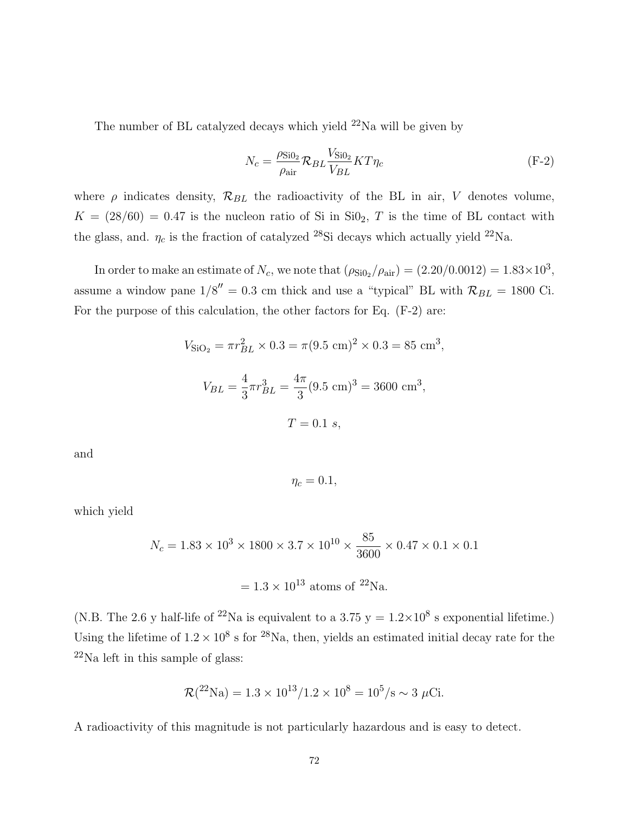The number of BL catalyzed decays which yield  $^{22}$ Na will be given by

$$
N_c = \frac{\rho_{\rm Si0_2}}{\rho_{\rm air}} \mathcal{R}_{BL} \frac{V_{\rm Si0_2}}{V_{BL}} K T \eta_c \tag{F-2}
$$

where  $\rho$  indicates density,  $\mathcal{R}_{BL}$  the radioactivity of the BL in air, *V* denotes volume,  $K = (28/60) = 0.47$  is the nucleon ratio of Si in SiO<sub>2</sub>, *T* is the time of BL contact with the glass, and.  $\eta_c$  is the fraction of catalyzed <sup>28</sup>Si decays which actually yield <sup>22</sup>Na.

In order to make an estimate of  $N_c$ , we note that  $(\rho_{\text{Si0}_2}/\rho_{\text{air}}) = (2.20/0.0012) = 1.83 \times 10^3$ , assume a window pane  $1/8'' = 0.3$  cm thick and use a "typical" BL with  $\mathcal{R}_{BL} = 1800$  Ci. For the purpose of this calculation, the other factors for Eq. (F-2) are:

$$
V_{\text{SiO}_2} = \pi r_{BL}^2 \times 0.3 = \pi (9.5 \text{ cm})^2 \times 0.3 = 85 \text{ cm}^3,
$$
  

$$
V_{BL} = \frac{4}{3} \pi r_{BL}^3 = \frac{4\pi}{3} (9.5 \text{ cm})^3 = 3600 \text{ cm}^3,
$$
  

$$
T = 0.1 \text{ s},
$$

and

$$
\eta_c=0.1,
$$

which yield

$$
N_c = 1.83 \times 10^3 \times 1800 \times 3.7 \times 10^{10} \times \frac{85}{3600} \times 0.47 \times 0.1 \times 0.1
$$

$$
= 1.3 \times 10^{13} \text{ atoms of } ^{22}\text{Na.}
$$

(N.B. The 2.6 y half-life of <sup>22</sup>Na is equivalent to a 3.75 y =  $1.2 \times 10^8$  s exponential lifetime.) Using the lifetime of  $1.2 \times 10^8$  s for <sup>28</sup>Na, then, yields an estimated initial decay rate for the  $22$ Na left in this sample of glass:

$$
\mathcal{R}(^{22}\text{Na}) = 1.3 \times 10^{13} / 1.2 \times 10^8 = 10^5 / \text{s} \sim 3 \ \mu\text{Ci}.
$$

A radioactivity of this magnitude is not particularly hazardous and is easy to detect.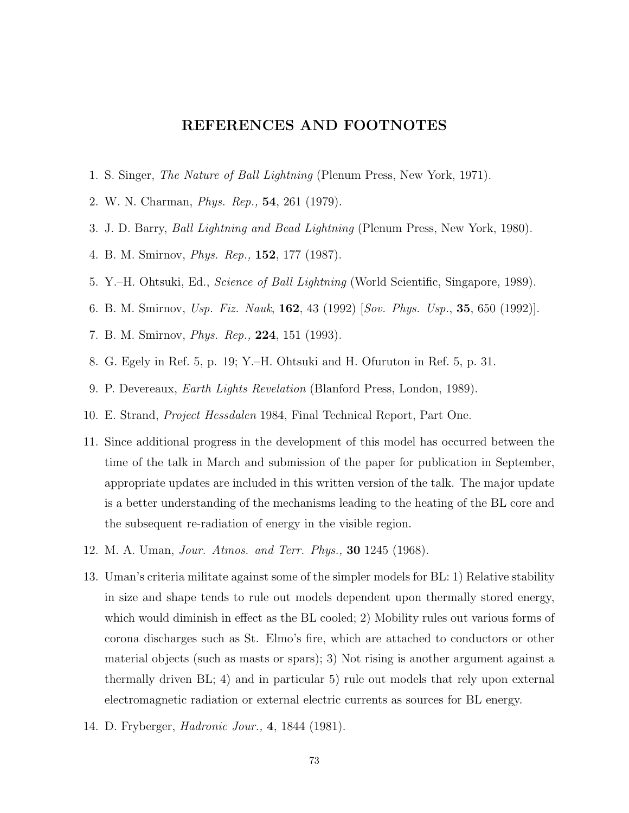## **REFERENCES AND FOOTNOTES**

- 1. S. Singer, The Nature of Ball Lightning (Plenum Press, New York, 1971).
- 2. W. N. Charman, Phys. Rep., **54**, 261 (1979).
- 3. J. D. Barry, Ball Lightning and Bead Lightning (Plenum Press, New York, 1980).
- 4. B. M. Smirnov, Phys. Rep., **152**, 177 (1987).
- 5. Y.–H. Ohtsuki, Ed., Science of Ball Lightning (World Scientific, Singapore, 1989).
- 6. B. M. Smirnov, Usp. Fiz. Nauk, **162**, 43 (1992) [Sov. Phys. Usp., **35**, 650 (1992)].
- 7. B. M. Smirnov, Phys. Rep., **224**, 151 (1993).
- 8. G. Egely in Ref. 5, p. 19; Y.–H. Ohtsuki and H. Ofuruton in Ref. 5, p. 31.
- 9. P. Devereaux, Earth Lights Revelation (Blanford Press, London, 1989).
- 10. E. Strand, Project Hessdalen 1984, Final Technical Report, Part One.
- 11. Since additional progress in the development of this model has occurred between the time of the talk in March and submission of the paper for publication in September, appropriate updates are included in this written version of the talk. The major update is a better understanding of the mechanisms leading to the heating of the BL core and the subsequent re-radiation of energy in the visible region.
- 12. M. A. Uman, Jour. Atmos. and Terr. Phys., **30** 1245 (1968).
- 13. Uman's criteria militate against some of the simpler models for BL: 1) Relative stability in size and shape tends to rule out models dependent upon thermally stored energy, which would diminish in effect as the BL cooled; 2) Mobility rules out various forms of corona discharges such as St. Elmo's fire, which are attached to conductors or other material objects (such as masts or spars); 3) Not rising is another argument against a thermally driven BL; 4) and in particular 5) rule out models that rely upon external electromagnetic radiation or external electric currents as sources for BL energy.
- 14. D. Fryberger, Hadronic Jour., **4**, 1844 (1981).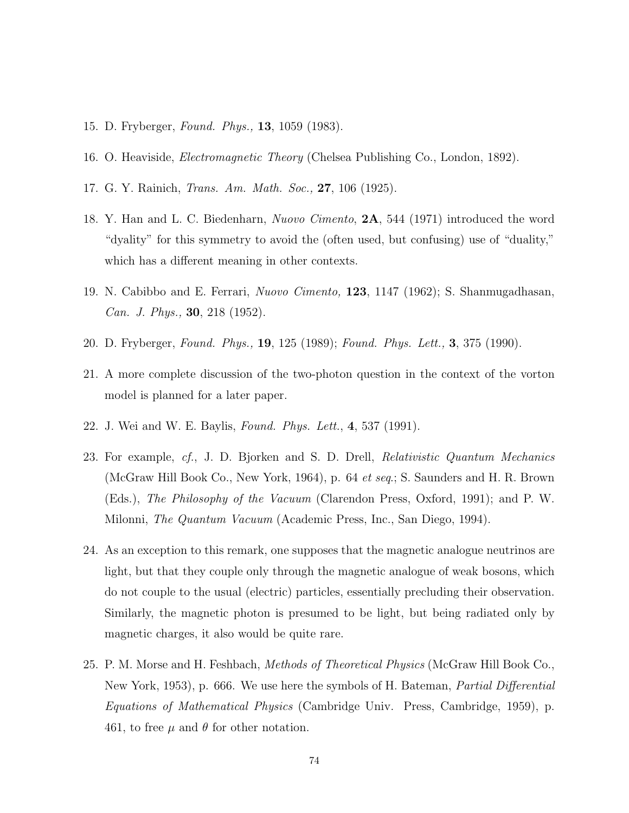- 15. D. Fryberger, Found. Phys., **13**, 1059 (1983).
- 16. O. Heaviside, *Electromagnetic Theory* (Chelsea Publishing Co., London, 1892).
- 17. G. Y. Rainich, Trans. Am. Math. Soc., **27**, 106 (1925).
- 18. Y. Han and L. C. Biedenharn, Nuovo Cimento, **2A**, 544 (1971) introduced the word "dyality" for this symmetry to avoid the (often used, but confusing) use of "duality," which has a different meaning in other contexts.
- 19. N. Cabibbo and E. Ferrari, Nuovo Cimento, **123**, 1147 (1962); S. Shanmugadhasan, Can. J. Phys., **30**, 218 (1952).
- 20. D. Fryberger, Found. Phys., **19**, 125 (1989); Found. Phys. Lett., **3**, 375 (1990).
- 21. A more complete discussion of the two-photon question in the context of the vorton model is planned for a later paper.
- 22. J. Wei and W. E. Baylis, Found. Phys. Lett., **4**, 537 (1991).
- 23. For example, cf., J. D. Bjorken and S. D. Drell, Relativistic Quantum Mechanics (McGraw Hill Book Co., New York, 1964), p. 64 et seq.; S. Saunders and H. R. Brown (Eds.), The Philosophy of the Vacuum (Clarendon Press, Oxford, 1991); and P. W. Milonni, The Quantum Vacuum (Academic Press, Inc., San Diego, 1994).
- 24. As an exception to this remark, one supposes that the magnetic analogue neutrinos are light, but that they couple only through the magnetic analogue of weak bosons, which do not couple to the usual (electric) particles, essentially precluding their observation. Similarly, the magnetic photon is presumed to be light, but being radiated only by magnetic charges, it also would be quite rare.
- 25. P. M. Morse and H. Feshbach, Methods of Theoretical Physics (McGraw Hill Book Co., New York, 1953), p. 666. We use here the symbols of H. Bateman, *Partial Differential* Equations of Mathematical Physics (Cambridge Univ. Press, Cambridge, 1959), p. 461, to free  $\mu$  and  $\theta$  for other notation.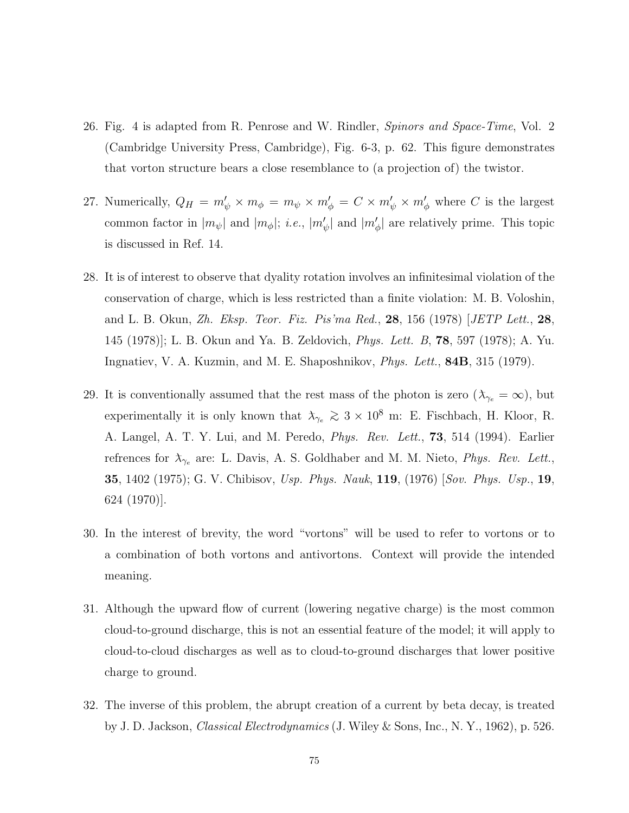- 26. Fig. 4 is adapted from R. Penrose and W. Rindler, Spinors and Space-Time, Vol. 2 (Cambridge University Press, Cambridge), Fig. 6-3, p. 62. This figure demonstrates that vorton structure bears a close resemblance to (a projection of) the twistor.
- 27. Numerically,  $Q_H = m'_\psi \times m_\phi = m_\psi \times m'_\phi = C \times m'_\psi \times m'_\phi$  where *C* is the largest common factor in  $|m_{\psi}|$  and  $|m_{\phi}|$ ; *i.e.*,  $|m_{\psi}'|$  and  $|m_{\phi}'|$  are relatively prime. This topic is discussed in Ref. 14.
- 28. It is of interest to observe that dyality rotation involves an infinitesimal violation of the conservation of charge, which is less restricted than a finite violation: M. B. Voloshin, and L. B. Okun, Zh. Eksp. Teor. Fiz. Pis'ma Red., **28**, 156 (1978) [JETP Lett., **28**, 145 (1978)]; L. B. Okun and Ya. B. Zeldovich, Phys. Lett. B, **78**, 597 (1978); A. Yu. Ingnatiev, V. A. Kuzmin, and M. E. Shaposhnikov, Phys. Lett., **84B**, 315 (1979).
- 29. It is conventionally assumed that the rest mass of the photon is zero  $(\lambda_{\gamma_e}=\infty)$ , but experimentally it is only known that  $\lambda_{\gamma_e} \gtrsim 3 \times 10^8$  m: E. Fischbach, H. Kloor, R. A. Langel, A. T. Y. Lui, and M. Peredo, Phys. Rev. Lett., **73**, 514 (1994). Earlier refrences for  $\lambda_{\gamma_e}$  are: L. Davis, A. S. Goldhaber and M. M. Nieto, *Phys. Rev. Lett.*, **35**, 1402 (1975); G. V. Chibisov, Usp. Phys. Nauk, **119**, (1976) [Sov. Phys. Usp., **19**, 624 (1970)].
- 30. In the interest of brevity, the word "vortons" will be used to refer to vortons or to a combination of both vortons and antivortons. Context will provide the intended meaning.
- 31. Although the upward flow of current (lowering negative charge) is the most common cloud-to-ground discharge, this is not an essential feature of the model; it will apply to cloud-to-cloud discharges as well as to cloud-to-ground discharges that lower positive charge to ground.
- 32. The inverse of this problem, the abrupt creation of a current by beta decay, is treated by J. D. Jackson, Classical Electrodynamics (J. Wiley & Sons, Inc., N. Y., 1962), p. 526.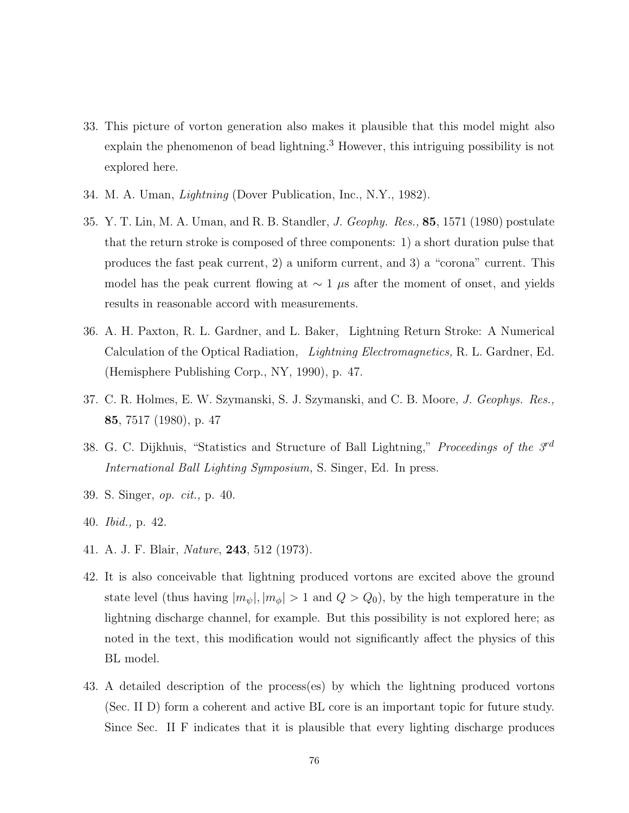- 33. This picture of vorton generation also makes it plausible that this model might also explain the phenomenon of bead lightning.<sup>3</sup> However, this intriguing possibility is not explored here.
- 34. M. A. Uman, Lightning (Dover Publication, Inc., N.Y., 1982).
- 35. Y. T. Lin, M. A. Uman, and R. B. Standler, J. Geophy. Res., **85**, 1571 (1980) postulate that the return stroke is composed of three components: 1) a short duration pulse that produces the fast peak current, 2) a uniform current, and 3) a "corona" current. This model has the peak current flowing at ∼ 1 *µ*s after the moment of onset, and yields results in reasonable accord with measurements.
- 36. A. H. Paxton, R. L. Gardner, and L. Baker, Lightning Return Stroke: A Numerical Calculation of the Optical Radiation, Lightning Electromagnetics, R. L. Gardner, Ed. (Hemisphere Publishing Corp., NY, 1990), p. 47.
- 37. C. R. Holmes, E. W. Szymanski, S. J. Szymanski, and C. B. Moore, J. Geophys. Res., **85**, 7517 (1980), p. 47
- 38. G. C. Dijkhuis, "Statistics and Structure of Ball Lightning," Proceedings of the  $3<sup>rd</sup>$ International Ball Lighting Symposium, S. Singer, Ed. In press.
- 39. S. Singer, op. cit., p. 40.
- 40. Ibid., p. 42.
- 41. A. J. F. Blair, Nature, **243**, 512 (1973).
- 42. It is also conceivable that lightning produced vortons are excited above the ground state level (thus having  $|m_{\psi}|, |m_{\phi}| > 1$  and  $Q > Q_0$ ), by the high temperature in the lightning discharge channel, for example. But this possibility is not explored here; as noted in the text, this modification would not significantly affect the physics of this BL model.
- 43. A detailed description of the process(es) by which the lightning produced vortons (Sec. II D) form a coherent and active BL core is an important topic for future study. Since Sec. II F indicates that it is plausible that every lighting discharge produces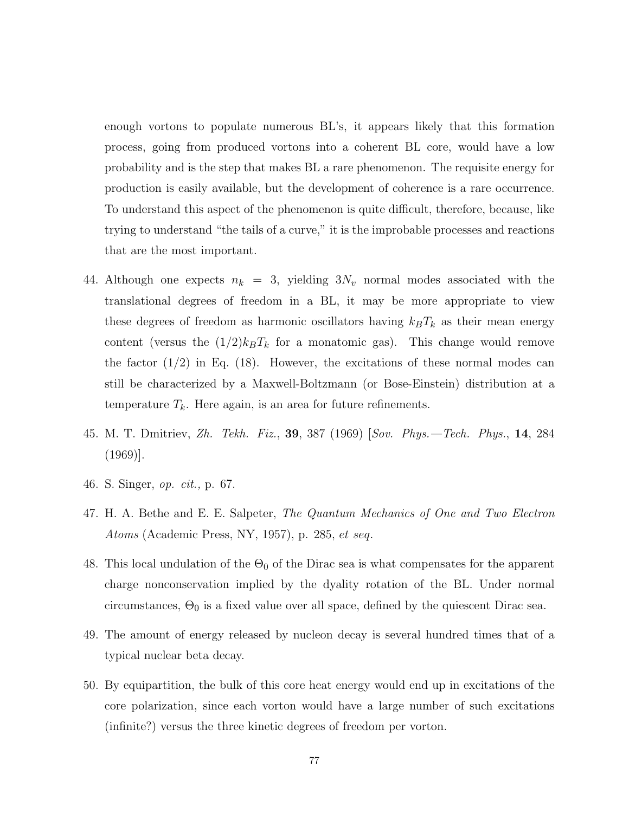enough vortons to populate numerous BL's, it appears likely that this formation process, going from produced vortons into a coherent BL core, would have a low probability and is the step that makes BL a rare phenomenon. The requisite energy for production is easily available, but the development of coherence is a rare occurrence. To understand this aspect of the phenomenon is quite difficult, therefore, because, like trying to understand "the tails of a curve," it is the improbable processes and reactions that are the most important.

- 44. Although one expects  $n_k = 3$ , yielding  $3N_v$  normal modes associated with the translational degrees of freedom in a BL, it may be more appropriate to view these degrees of freedom as harmonic oscillators having  $k_B T_k$  as their mean energy content (versus the  $(1/2)k_BT_k$  for a monatomic gas). This change would remove the factor  $(1/2)$  in Eq.  $(18)$ . However, the excitations of these normal modes can still be characterized by a Maxwell-Boltzmann (or Bose-Einstein) distribution at a temperature  $T_k$ . Here again, is an area for future refinements.
- 45. M. T. Dmitriev, Zh. Tekh. Fiz., **39**, 387 (1969) [Sov. Phys.—Tech. Phys., **14**, 284 (1969)].
- 46. S. Singer, op. cit., p. 67.
- 47. H. A. Bethe and E. E. Salpeter, The Quantum Mechanics of One and Two Electron Atoms (Academic Press, NY, 1957), p. 285, *et seq.*
- 48. This local undulation of the  $\Theta_0$  of the Dirac sea is what compensates for the apparent charge nonconservation implied by the dyality rotation of the BL. Under normal circumstances,  $\Theta_0$  is a fixed value over all space, defined by the quiescent Dirac sea.
- 49. The amount of energy released by nucleon decay is several hundred times that of a typical nuclear beta decay.
- 50. By equipartition, the bulk of this core heat energy would end up in excitations of the core polarization, since each vorton would have a large number of such excitations (infinite?) versus the three kinetic degrees of freedom per vorton.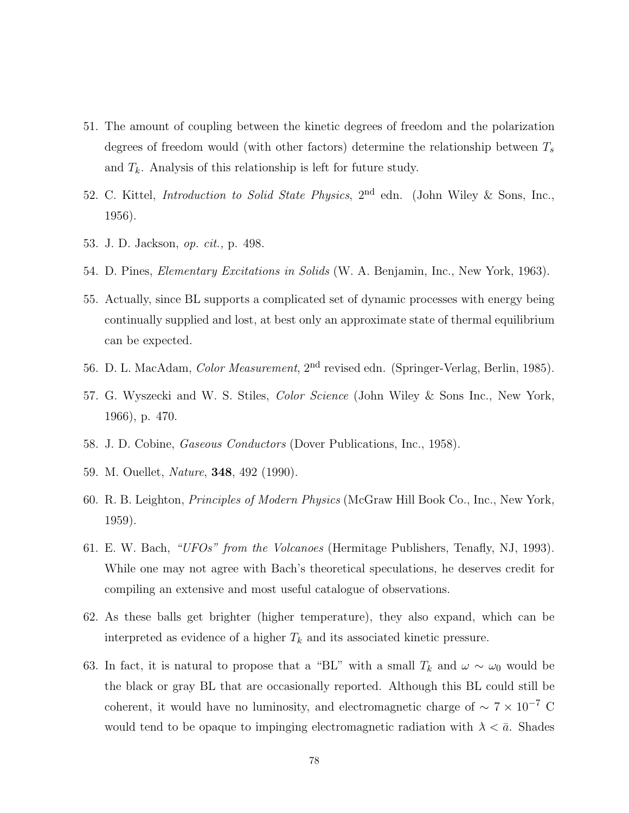- 51. The amount of coupling between the kinetic degrees of freedom and the polarization degrees of freedom would (with other factors) determine the relationship between *T*<sup>s</sup> and  $T_k$ . Analysis of this relationship is left for future study.
- 52. C. Kittel, Introduction to Solid State Physics, 2nd edn. (John Wiley & Sons, Inc., 1956).
- 53. J. D. Jackson, op. cit., p. 498.
- 54. D. Pines, Elementary Excitations in Solids (W. A. Benjamin, Inc., New York, 1963).
- 55. Actually, since BL supports a complicated set of dynamic processes with energy being continually supplied and lost, at best only an approximate state of thermal equilibrium can be expected.
- 56. D. L. MacAdam, Color Measurement, 2nd revised edn. (Springer-Verlag, Berlin, 1985).
- 57. G. Wyszecki and W. S. Stiles, Color Science (John Wiley & Sons Inc., New York, 1966), p. 470.
- 58. J. D. Cobine, Gaseous Conductors (Dover Publications, Inc., 1958).
- 59. M. Ouellet, Nature, **348**, 492 (1990).
- 60. R. B. Leighton, Principles of Modern Physics (McGraw Hill Book Co., Inc., New York, 1959).
- 61. E. W. Bach, "UFOs" from the Volcanoes (Hermitage Publishers, Tenafly, NJ, 1993). While one may not agree with Bach's theoretical speculations, he deserves credit for compiling an extensive and most useful catalogue of observations.
- 62. As these balls get brighter (higher temperature), they also expand, which can be interpreted as evidence of a higher  $T_k$  and its associated kinetic pressure.
- 63. In fact, it is natural to propose that a "BL" with a small  $T_k$  and  $\omega \sim \omega_0$  would be the black or gray BL that are occasionally reported. Although this BL could still be coherent, it would have no luminosity, and electromagnetic charge of  $\sim 7 \times 10^{-7}$  C would tend to be opaque to impinging electromagnetic radiation with  $\lambda < \bar{a}$ . Shades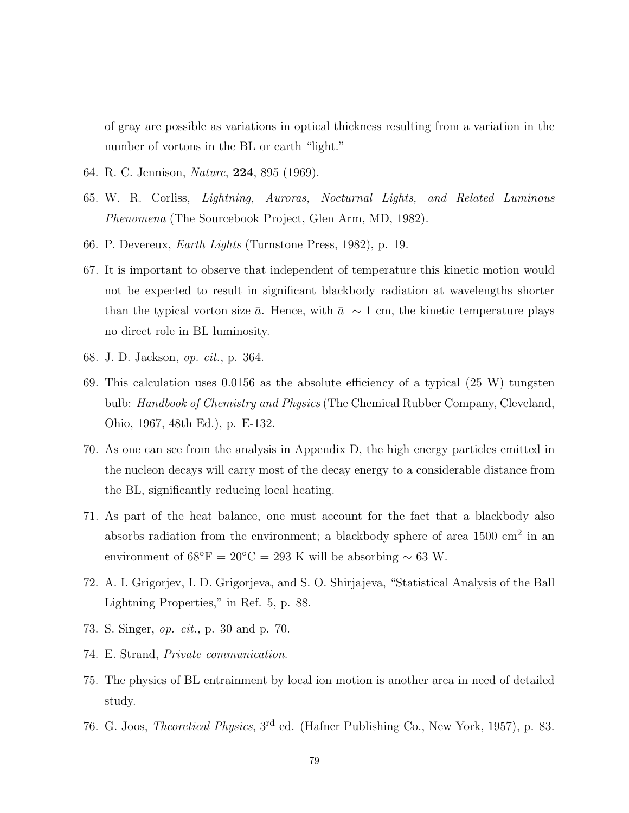of gray are possible as variations in optical thickness resulting from a variation in the number of vortons in the BL or earth "light."

- 64. R. C. Jennison, Nature, **224**, 895 (1969).
- 65. W. R. Corliss, Lightning, Auroras, Nocturnal Lights, and Related Luminous Phenomena (The Sourcebook Project, Glen Arm, MD, 1982).
- 66. P. Devereux, Earth Lights (Turnstone Press, 1982), p. 19.
- 67. It is important to observe that independent of temperature this kinetic motion would not be expected to result in significant blackbody radiation at wavelengths shorter than the typical vorton size  $\bar{a}$ . Hence, with  $\bar{a} \sim 1$  cm, the kinetic temperature plays no direct role in BL luminosity.
- 68. J. D. Jackson, op. cit., p. 364.
- 69. This calculation uses 0.0156 as the absolute efficiency of a typical (25 W) tungsten bulb: Handbook of Chemistry and Physics (The Chemical Rubber Company, Cleveland, Ohio, 1967, 48th Ed.), p. E-132.
- 70. As one can see from the analysis in Appendix D, the high energy particles emitted in the nucleon decays will carry most of the decay energy to a considerable distance from the BL, significantly reducing local heating.
- 71. As part of the heat balance, one must account for the fact that a blackbody also absorbs radiation from the environment; a blackbody sphere of area  $1500 \text{ cm}^2$  in an environment of  $68°$ F = 20°C = 293 K will be absorbing ~ 63 W.
- 72. A. I. Grigorjev, I. D. Grigorjeva, and S. O. Shirjajeva, "Statistical Analysis of the Ball Lightning Properties," in Ref. 5, p. 88.
- 73. S. Singer, op. cit., p. 30 and p. 70.
- 74. E. Strand, Private communication.
- 75. The physics of BL entrainment by local ion motion is another area in need of detailed study.
- 76. G. Joos, Theoretical Physics, 3rd ed. (Hafner Publishing Co., New York, 1957), p. 83.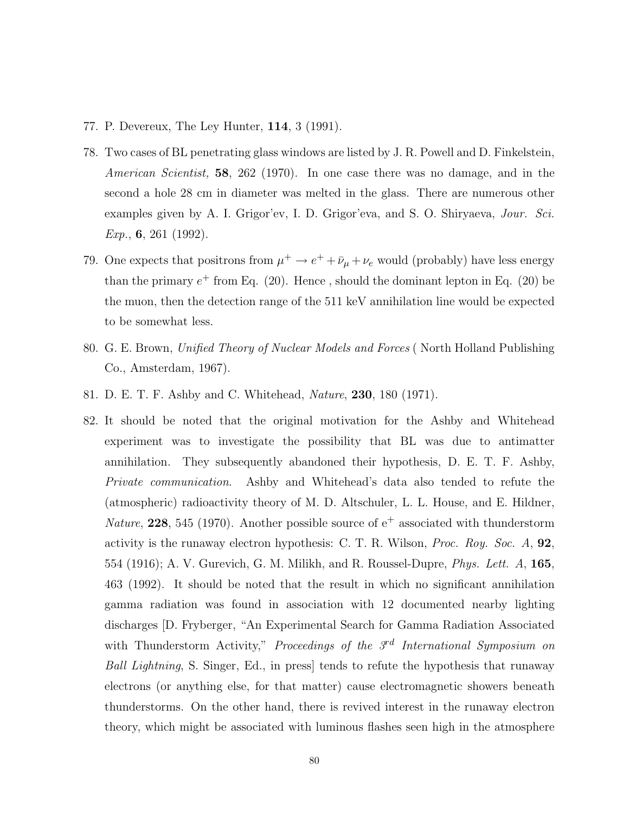- 77. P. Devereux, The Ley Hunter, **114**, 3 (1991).
- 78. Two cases of BL penetrating glass windows are listed by J. R. Powell and D. Finkelstein, American Scientist, **58**, 262 (1970). In one case there was no damage, and in the second a hole 28 cm in diameter was melted in the glass. There are numerous other examples given by A. I. Grigor'ev, I. D. Grigor'eva, and S. O. Shiryaeva, Jour. Sci. Exp., **6**, 261 (1992).
- 79. One expects that positrons from  $\mu^+ \to e^+ + \bar{\nu}_\mu + \nu_e$  would (probably) have less energy than the primary  $e^+$  from Eq. (20). Hence, should the dominant lepton in Eq. (20) be the muon, then the detection range of the 511 keV annihilation line would be expected to be somewhat less.
- 80. G. E. Brown, Unified Theory of Nuclear Models and Forces ( North Holland Publishing Co., Amsterdam, 1967).
- 81. D. E. T. F. Ashby and C. Whitehead, Nature, **230**, 180 (1971).
- 82. It should be noted that the original motivation for the Ashby and Whitehead experiment was to investigate the possibility that BL was due to antimatter annihilation. They subsequently abandoned their hypothesis, D. E. T. F. Ashby, Private communication. Ashby and Whitehead's data also tended to refute the (atmospheric) radioactivity theory of M. D. Altschuler, L. L. House, and E. Hildner, Nature, **228**, 545 (1970). Another possible source of  $e^+$  associated with thunderstorm activity is the runaway electron hypothesis: C. T. R. Wilson, Proc. Roy. Soc. A, **92**, 554 (1916); A. V. Gurevich, G. M. Milikh, and R. Roussel-Dupre, Phys. Lett. A, **165**, 463 (1992). It should be noted that the result in which no significant annihilation gamma radiation was found in association with 12 documented nearby lighting discharges [D. Fryberger, "An Experimental Search for Gamma Radiation Associated with Thunderstorm Activity," Proceedings of the  $3rd$  International Symposium on Ball Lightning, S. Singer, Ed., in press] tends to refute the hypothesis that runaway electrons (or anything else, for that matter) cause electromagnetic showers beneath thunderstorms. On the other hand, there is revived interest in the runaway electron theory, which might be associated with luminous flashes seen high in the atmosphere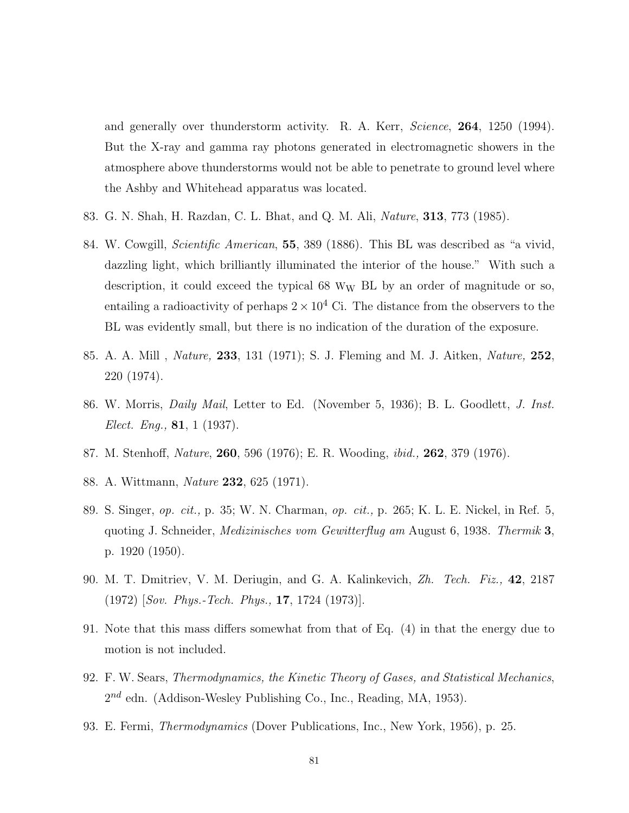and generally over thunderstorm activity. R. A. Kerr, Science, **264**, 1250 (1994). But the X-ray and gamma ray photons generated in electromagnetic showers in the atmosphere above thunderstorms would not be able to penetrate to ground level where the Ashby and Whitehead apparatus was located.

- 83. G. N. Shah, H. Razdan, C. L. Bhat, and Q. M. Ali, Nature, **313**, 773 (1985).
- 84. W. Cowgill, Scientific American, **55**, 389 (1886). This BL was described as "a vivid, dazzling light, which brilliantly illuminated the interior of the house." With such a description, it could exceed the typical  $68 \, W_W$  BL by an order of magnitude or so, entailing a radioactivity of perhaps  $2 \times 10^4$  Ci. The distance from the observers to the BL was evidently small, but there is no indication of the duration of the exposure.
- 85. A. A. Mill , Nature, **233**, 131 (1971); S. J. Fleming and M. J. Aitken, Nature, **252**, 220 (1974).
- 86. W. Morris, Daily Mail, Letter to Ed. (November 5, 1936); B. L. Goodlett, J. Inst. Elect. Eng., **81**, 1 (1937).
- 87. M. Stenhoff, Nature, **260**, 596 (1976); E. R. Wooding, ibid., **262**, 379 (1976).
- 88. A. Wittmann, Nature **232**, 625 (1971).
- 89. S. Singer, op. cit., p. 35; W. N. Charman, op. cit., p. 265; K. L. E. Nickel, in Ref. 5, quoting J. Schneider, Medizinisches vom Gewitterflug am August 6, 1938. Thermik **3**, p. 1920 (1950).
- 90. M. T. Dmitriev, V. M. Deriugin, and G. A. Kalinkevich, Zh. Tech. Fiz., **42**, 2187 (1972) [Sov. Phys.-Tech. Phys., **17**, 1724 (1973)].
- 91. Note that this mass differs somewhat from that of Eq. (4) in that the energy due to motion is not included.
- 92. F. W. Sears, Thermodynamics, the Kinetic Theory of Gases, and Statistical Mechanics,  $2^{nd}$  edn. (Addison-Wesley Publishing Co., Inc., Reading, MA, 1953).
- 93. E. Fermi, Thermodynamics (Dover Publications, Inc., New York, 1956), p. 25.